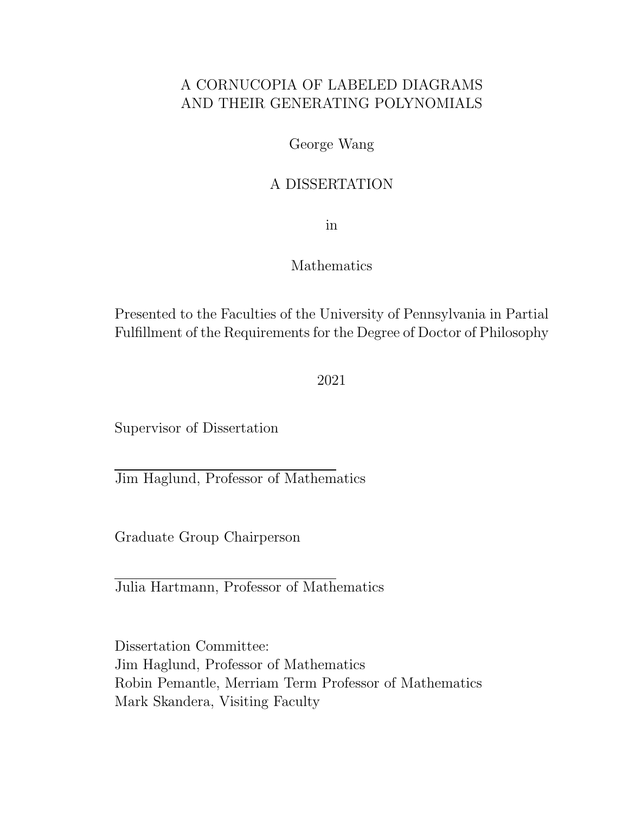## A CORNUCOPIA OF LABELED DIAGRAMS AND THEIR GENERATING POLYNOMIALS

George Wang

### A DISSERTATION

in

### Mathematics

Presented to the Faculties of the University of Pennsylvania in Partial Fulfillment of the Requirements for the Degree of Doctor of Philosophy

2021

Supervisor of Dissertation

Jim Haglund, Professor of Mathematics

Graduate Group Chairperson

Julia Hartmann, Professor of Mathematics

Dissertation Committee: Jim Haglund, Professor of Mathematics Robin Pemantle, Merriam Term Professor of Mathematics Mark Skandera, Visiting Faculty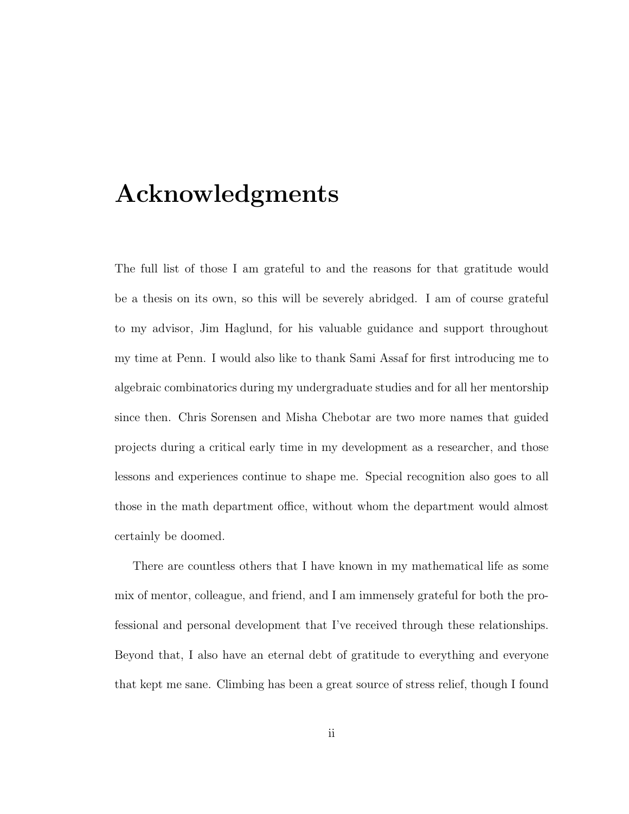# Acknowledgments

The full list of those I am grateful to and the reasons for that gratitude would be a thesis on its own, so this will be severely abridged. I am of course grateful to my advisor, Jim Haglund, for his valuable guidance and support throughout my time at Penn. I would also like to thank Sami Assaf for first introducing me to algebraic combinatorics during my undergraduate studies and for all her mentorship since then. Chris Sorensen and Misha Chebotar are two more names that guided projects during a critical early time in my development as a researcher, and those lessons and experiences continue to shape me. Special recognition also goes to all those in the math department office, without whom the department would almost certainly be doomed.

There are countless others that I have known in my mathematical life as some mix of mentor, colleague, and friend, and I am immensely grateful for both the professional and personal development that I've received through these relationships. Beyond that, I also have an eternal debt of gratitude to everything and everyone that kept me sane. Climbing has been a great source of stress relief, though I found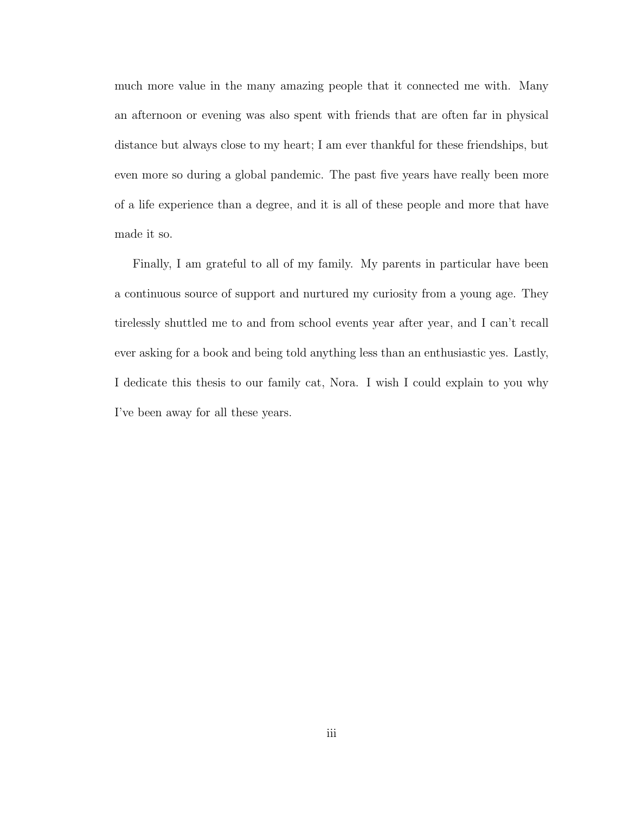much more value in the many amazing people that it connected me with. Many an afternoon or evening was also spent with friends that are often far in physical distance but always close to my heart; I am ever thankful for these friendships, but even more so during a global pandemic. The past five years have really been more of a life experience than a degree, and it is all of these people and more that have made it so.

Finally, I am grateful to all of my family. My parents in particular have been a continuous source of support and nurtured my curiosity from a young age. They tirelessly shuttled me to and from school events year after year, and I can't recall ever asking for a book and being told anything less than an enthusiastic yes. Lastly, I dedicate this thesis to our family cat, Nora. I wish I could explain to you why I've been away for all these years.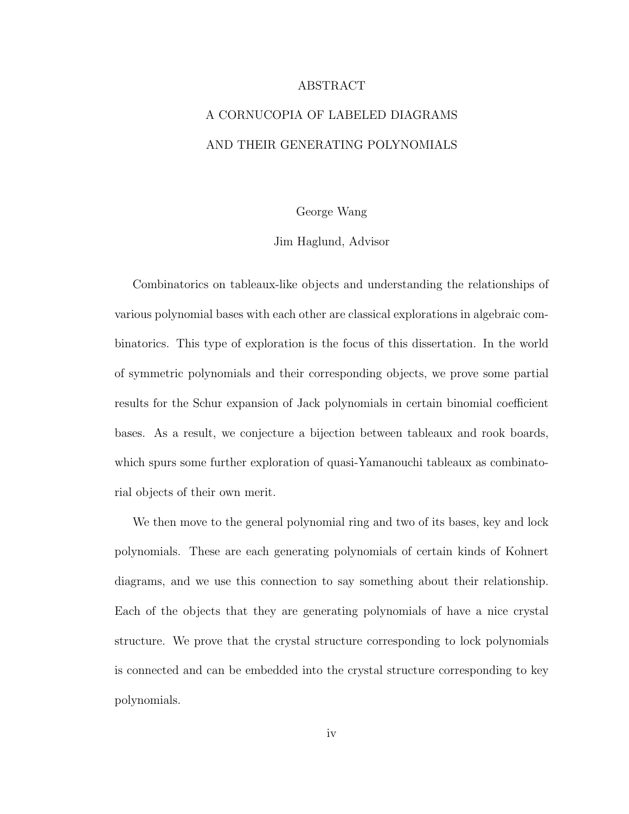#### ABSTRACT

# A CORNUCOPIA OF LABELED DIAGRAMS AND THEIR GENERATING POLYNOMIALS

#### George Wang

#### Jim Haglund, Advisor

Combinatorics on tableaux-like objects and understanding the relationships of various polynomial bases with each other are classical explorations in algebraic combinatorics. This type of exploration is the focus of this dissertation. In the world of symmetric polynomials and their corresponding objects, we prove some partial results for the Schur expansion of Jack polynomials in certain binomial coefficient bases. As a result, we conjecture a bijection between tableaux and rook boards, which spurs some further exploration of quasi-Yamanouchi tableaux as combinatorial objects of their own merit.

We then move to the general polynomial ring and two of its bases, key and lock polynomials. These are each generating polynomials of certain kinds of Kohnert diagrams, and we use this connection to say something about their relationship. Each of the objects that they are generating polynomials of have a nice crystal structure. We prove that the crystal structure corresponding to lock polynomials is connected and can be embedded into the crystal structure corresponding to key polynomials.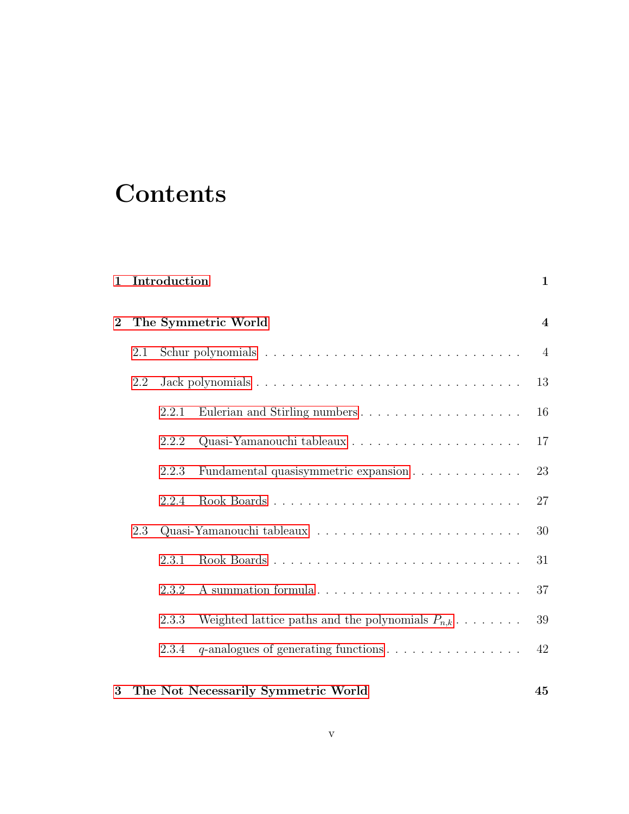# **Contents**

| $\mathbf 1$    | Introduction |       |                                                                  |                  |  |
|----------------|--------------|-------|------------------------------------------------------------------|------------------|--|
| $\overline{2}$ |              |       | The Symmetric World                                              | $\boldsymbol{4}$ |  |
|                | 2.1          |       |                                                                  | $\overline{4}$   |  |
|                | 2.2          |       |                                                                  | 13               |  |
|                |              | 2.2.1 |                                                                  | 16               |  |
|                |              | 2.2.2 |                                                                  | 17               |  |
|                |              | 2.2.3 | Fundamental quasisymmetric expansion                             | 23               |  |
|                |              | 2.2.4 |                                                                  | 27               |  |
|                | 2.3          |       |                                                                  | 30               |  |
|                |              | 2.3.1 | Rook Boards                                                      | 31               |  |
|                |              | 2.3.2 | A summation formula                                              | 37               |  |
|                |              | 2.3.3 | Weighted lattice paths and the polynomials $P_{n,k} \dots \dots$ | 39               |  |
|                |              | 2.3.4 |                                                                  | 42               |  |
| 3              |              |       | The Not Necessarily Symmetric World                              | 45               |  |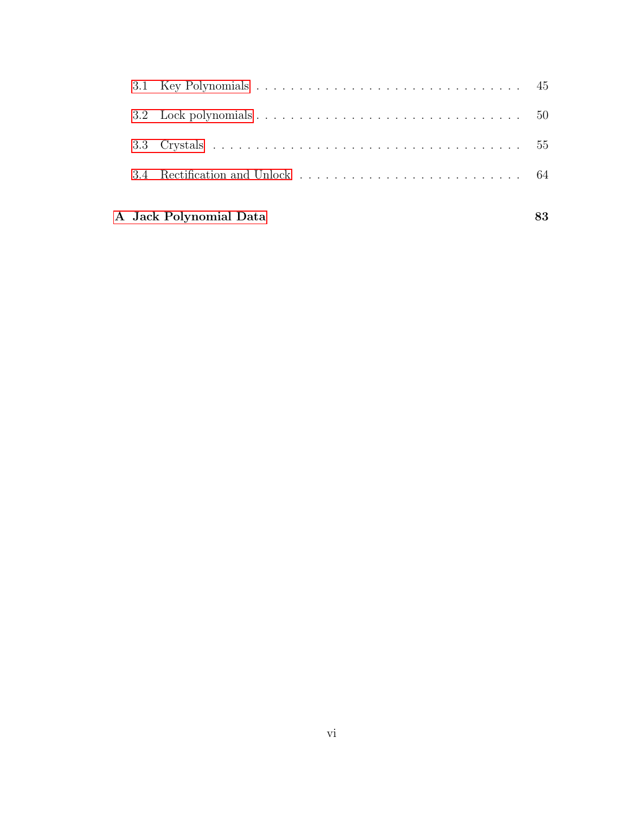| 3.2 Lock polynomials $\ldots \ldots \ldots \ldots \ldots \ldots \ldots \ldots \ldots \ldots \ldots \ldots 50$ |  |
|---------------------------------------------------------------------------------------------------------------|--|
|                                                                                                               |  |
|                                                                                                               |  |
|                                                                                                               |  |

### [A Jack Polynomial Data](#page-88-0) 83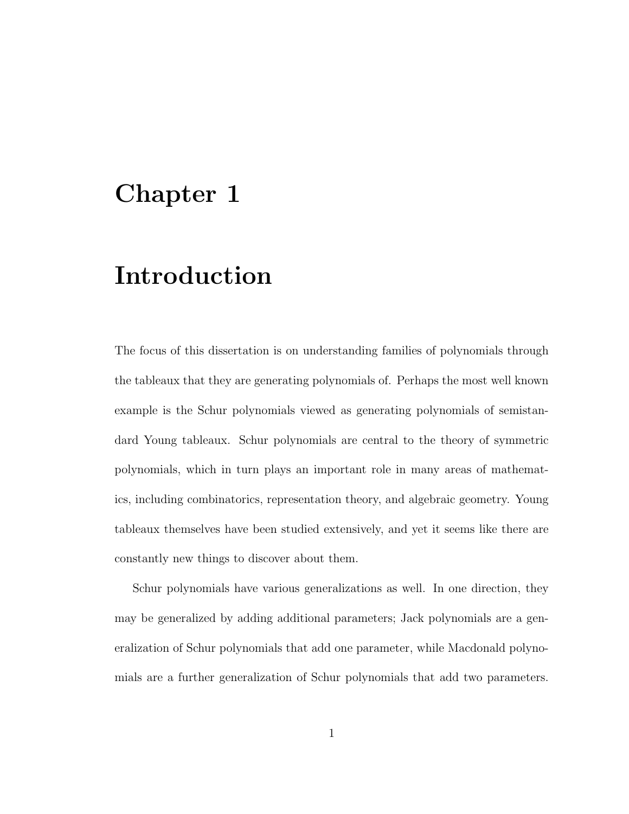# <span id="page-6-0"></span>Chapter 1

# Introduction

The focus of this dissertation is on understanding families of polynomials through the tableaux that they are generating polynomials of. Perhaps the most well known example is the Schur polynomials viewed as generating polynomials of semistandard Young tableaux. Schur polynomials are central to the theory of symmetric polynomials, which in turn plays an important role in many areas of mathematics, including combinatorics, representation theory, and algebraic geometry. Young tableaux themselves have been studied extensively, and yet it seems like there are constantly new things to discover about them.

Schur polynomials have various generalizations as well. In one direction, they may be generalized by adding additional parameters; Jack polynomials are a generalization of Schur polynomials that add one parameter, while Macdonald polynomials are a further generalization of Schur polynomials that add two parameters.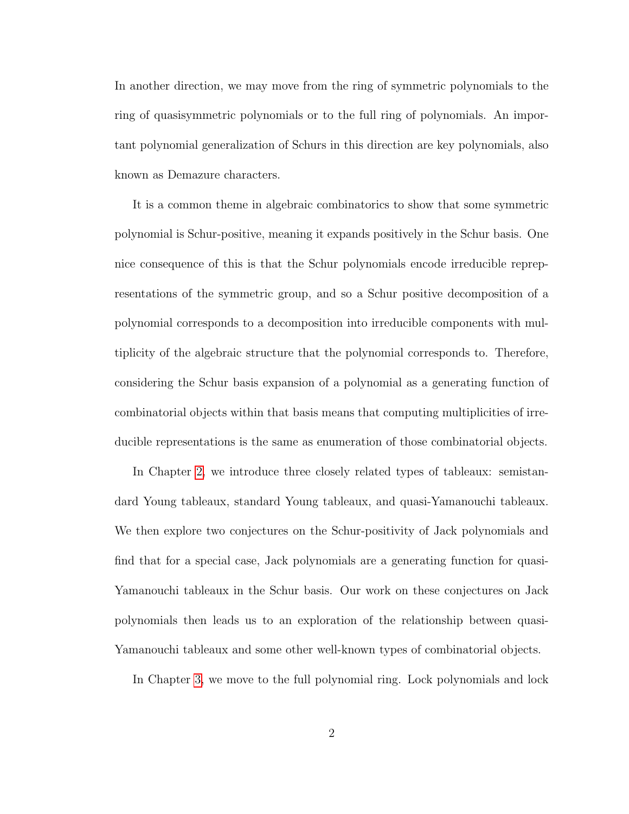In another direction, we may move from the ring of symmetric polynomials to the ring of quasisymmetric polynomials or to the full ring of polynomials. An important polynomial generalization of Schurs in this direction are key polynomials, also known as Demazure characters.

It is a common theme in algebraic combinatorics to show that some symmetric polynomial is Schur-positive, meaning it expands positively in the Schur basis. One nice consequence of this is that the Schur polynomials encode irreducible reprepresentations of the symmetric group, and so a Schur positive decomposition of a polynomial corresponds to a decomposition into irreducible components with multiplicity of the algebraic structure that the polynomial corresponds to. Therefore, considering the Schur basis expansion of a polynomial as a generating function of combinatorial objects within that basis means that computing multiplicities of irreducible representations is the same as enumeration of those combinatorial objects.

In Chapter [2,](#page-9-0) we introduce three closely related types of tableaux: semistandard Young tableaux, standard Young tableaux, and quasi-Yamanouchi tableaux. We then explore two conjectures on the Schur-positivity of Jack polynomials and find that for a special case, Jack polynomials are a generating function for quasi-Yamanouchi tableaux in the Schur basis. Our work on these conjectures on Jack polynomials then leads us to an exploration of the relationship between quasi-Yamanouchi tableaux and some other well-known types of combinatorial objects.

In Chapter [3,](#page-50-0) we move to the full polynomial ring. Lock polynomials and lock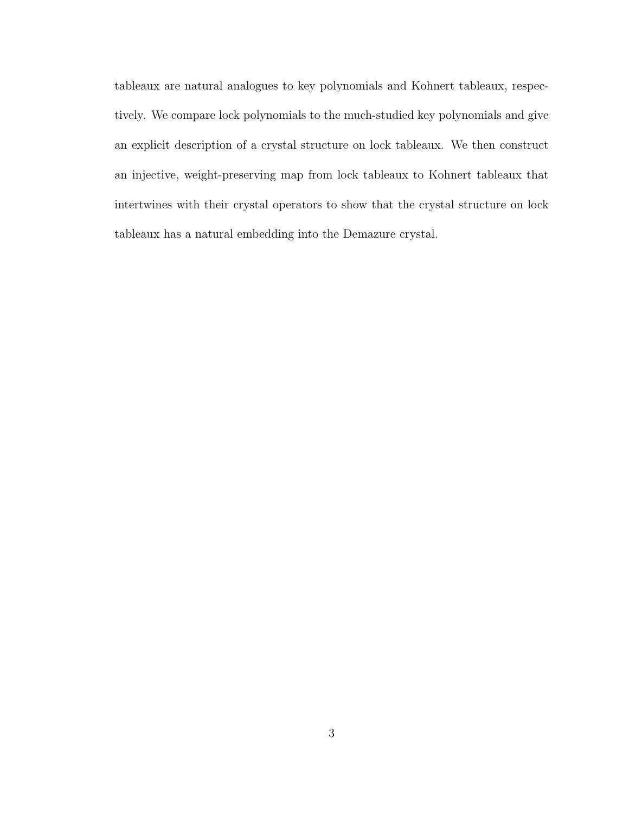tableaux are natural analogues to key polynomials and Kohnert tableaux, respectively. We compare lock polynomials to the much-studied key polynomials and give an explicit description of a crystal structure on lock tableaux. We then construct an injective, weight-preserving map from lock tableaux to Kohnert tableaux that intertwines with their crystal operators to show that the crystal structure on lock tableaux has a natural embedding into the Demazure crystal.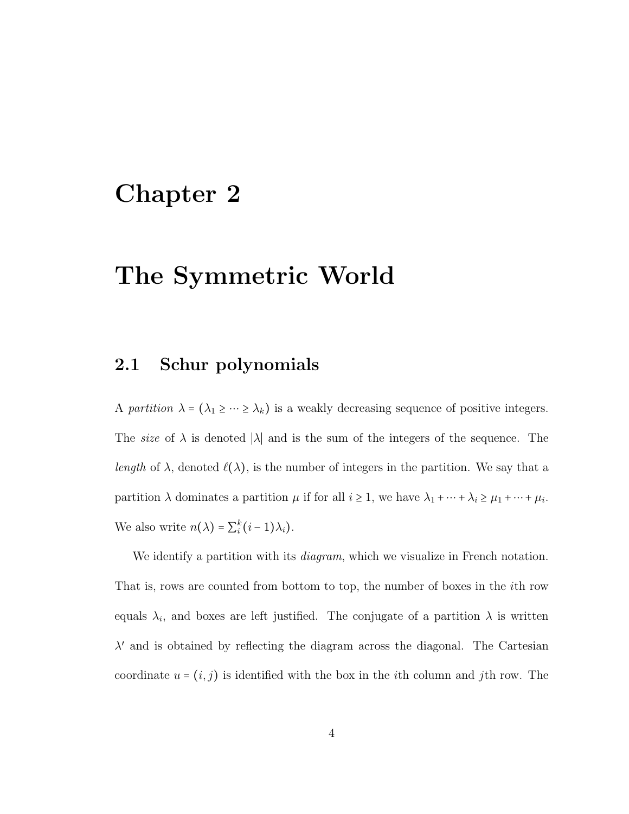# <span id="page-9-0"></span>Chapter 2

# The Symmetric World

### <span id="page-9-1"></span>2.1 Schur polynomials

A partition  $\lambda = (\lambda_1 \geq \cdots \geq \lambda_k)$  is a weakly decreasing sequence of positive integers. The *size* of  $\lambda$  is denoted | $\lambda$ | and is the sum of the integers of the sequence. The length of  $\lambda$ , denoted  $\ell(\lambda)$ , is the number of integers in the partition. We say that a partition  $\lambda$  dominates a partition  $\mu$  if for all  $i \geq 1$ , we have  $\lambda_1 + \cdots + \lambda_i \geq \mu_1 + \cdots + \mu_i$ . We also write  $n(\lambda) = \sum_{i}^{k} (i-1)\lambda_i$ .

We identify a partition with its *diagram*, which we visualize in French notation. That is, rows are counted from bottom to top, the number of boxes in the ith row equals  $\lambda_i$ , and boxes are left justified. The conjugate of a partition  $\lambda$  is written  $\lambda'$  and is obtained by reflecting the diagram across the diagonal. The Cartesian coordinate  $u = (i, j)$  is identified with the box in the *i*th column and *j*th row. The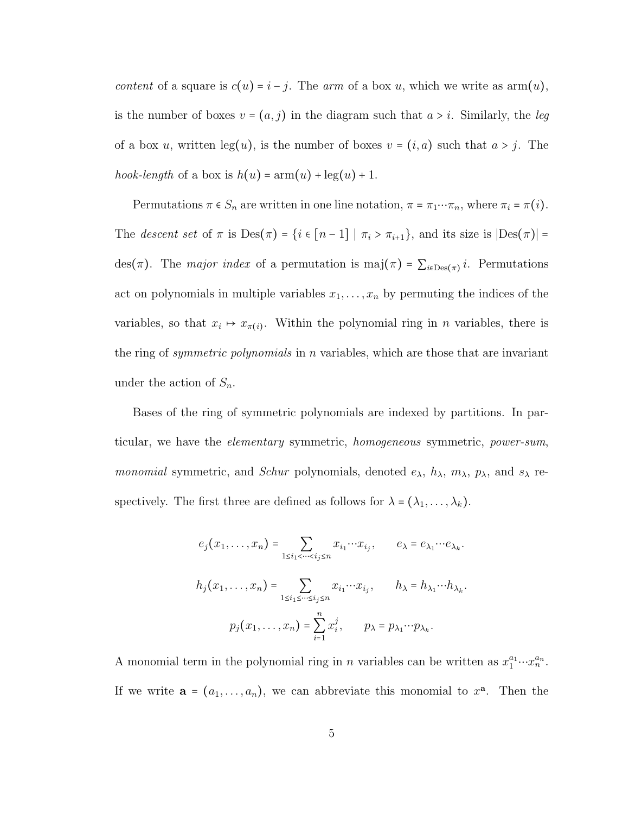content of a square is  $c(u) = i - j$ . The arm of a box u, which we write as  $arm(u)$ , is the number of boxes  $v = (a, j)$  in the diagram such that  $a > i$ . Similarly, the leg of a box u, written  $\log(u)$ , is the number of boxes  $v = (i, a)$  such that  $a > j$ . The hook-length of a box is  $h(u) = \text{arm}(u) + \text{leg}(u) + 1$ .

Permutations  $\pi \in S_n$  are written in one line notation,  $\pi = \pi_1 \cdots \pi_n$ , where  $\pi_i = \pi(i)$ . The *descent set* of  $\pi$  is Des $(\pi)$  = { $i \in [n-1] | \pi_i > \pi_{i+1}$ }, and its size is  $|Des(\pi)| =$ des( $\pi$ ). The *major index* of a permutation is maj( $\pi$ ) =  $\sum_{i \in \text{Des}(\pi)} i$ . Permutations act on polynomials in multiple variables  $x_1, \ldots, x_n$  by permuting the indices of the variables, so that  $x_i \mapsto x_{\pi(i)}$ . Within the polynomial ring in *n* variables, there is the ring of *symmetric polynomials* in n variables, which are those that are invariant under the action of  $S_n$ .

Bases of the ring of symmetric polynomials are indexed by partitions. In particular, we have the elementary symmetric, homogeneous symmetric, power-sum, *monomial* symmetric, and *Schur* polynomials, denoted  $e_{\lambda}$ ,  $h_{\lambda}$ ,  $m_{\lambda}$ ,  $p_{\lambda}$ , and  $s_{\lambda}$  respectively. The first three are defined as follows for  $\lambda = (\lambda_1, \dots, \lambda_k)$ .

$$
e_j(x_1, \ldots, x_n) = \sum_{1 \le i_1 < \cdots < i_j \le n} x_{i_1} \cdots x_{i_j}, \qquad e_\lambda = e_{\lambda_1} \cdots e_{\lambda_k}.
$$

$$
h_j(x_1, \ldots, x_n) = \sum_{1 \le i_1 \le \cdots \le i_j \le n} x_{i_1} \cdots x_{i_j}, \qquad h_\lambda = h_{\lambda_1} \cdots h_{\lambda_k}.
$$

$$
p_j(x_1, \ldots, x_n) = \sum_{i=1}^n x_i^j, \qquad p_\lambda = p_{\lambda_1} \cdots p_{\lambda_k}.
$$

A monomial term in the polynomial ring in *n* variables can be written as  $x_1^{a_1} \cdots x_n^{a_n}$ . If we write  $\mathbf{a} = (a_1, \dots, a_n)$ , we can abbreviate this monomial to  $x^{\mathbf{a}}$ . Then the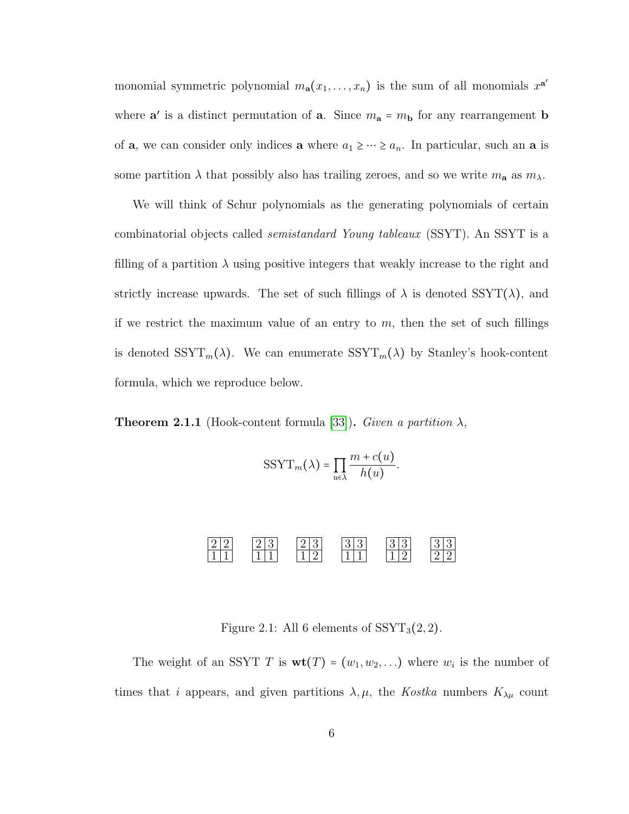monomial symmetric polynomial  $m_{a}(x_1, \ldots, x_n)$  is the sum of all monomials  $x^{a'}$ where  $\mathbf{a}'$  is a distinct permutation of  $\mathbf{a}$ . Since  $m_{\mathbf{a}} = m_{\mathbf{b}}$  for any rearrangement **b** of **a**, we can consider only indices **a** where  $a_1 \geq \cdots \geq a_n$ . In particular, such an **a** is some partition  $\lambda$  that possibly also has trailing zeroes, and so we write  $m_a$  as  $m_\lambda$ .

We will think of Schur polynomials as the generating polynomials of certain combinatorial objects called semistandard Young tableaux (SSYT). An SSYT is a filling of a partition  $\lambda$  using positive integers that weakly increase to the right and strictly increase upwards. The set of such fillings of  $\lambda$  is denoted SSYT( $\lambda$ ), and if we restrict the maximum value of an entry to  $m$ , then the set of such fillings is denoted  $SSYT_m(\lambda)$ . We can enumerate  $SSYT_m(\lambda)$  by Stanley's hook-content formula, which we reproduce below.

**Theorem 2.1.1** (Hook-content formula [\[33\]](#page-94-0)). Given a partition  $\lambda$ ,

$$
SSYT_m(\lambda) = \prod_{u \in \lambda} \frac{m + c(u)}{h(u)}.
$$



Figure 2.1: All 6 elements of  $SSYT_3(2, 2)$ .

The weight of an SSYT T is  $\textbf{wt}(T) = (w_1, w_2, \ldots)$  where  $w_i$  is the number of times that i appears, and given partitions  $\lambda, \mu$ , the Kostka numbers  $K_{\lambda\mu}$  count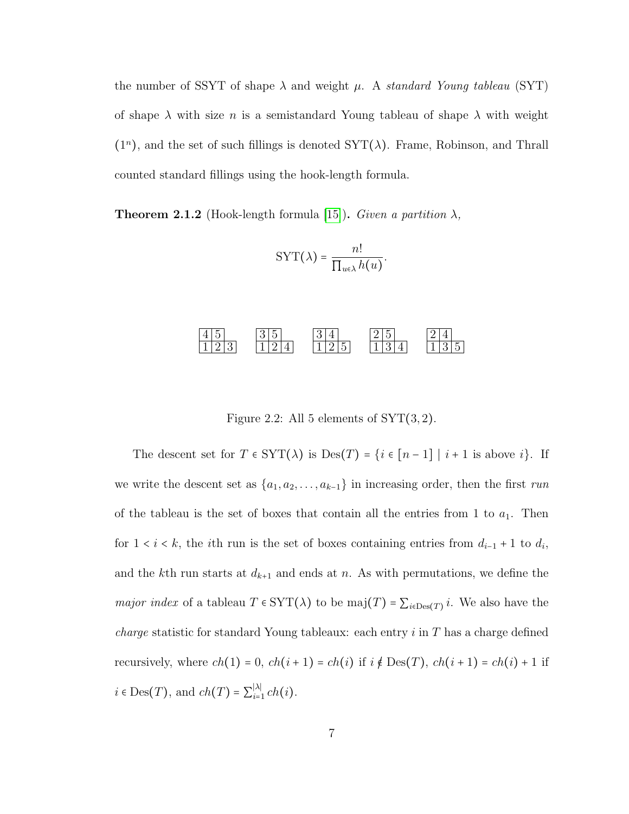the number of SSYT of shape  $\lambda$  and weight  $\mu$ . A standard Young tableau (SYT) of shape  $\lambda$  with size n is a semistandard Young tableau of shape  $\lambda$  with weight  $(1<sup>n</sup>)$ , and the set of such fillings is denoted  $SYT(\lambda)$ . Frame, Robinson, and Thrall counted standard fillings using the hook-length formula.

**Theorem 2.1.2** (Hook-length formula [\[15\]](#page-92-0)). Given a partition  $\lambda$ ,

$$
\text{SYT}(\lambda) = \frac{n!}{\prod_{u \in \lambda} h(u)}.
$$

#### $4|5$  $1 \, | \, 2 \, | \, 3$  $3\,|\,5$  $1 \, | \, 2 \, | \, 4$  $3|4$  $1 \, | \, 2 \, | \, 5$  $2\vert 5$  $1 \, | \, 3 \, | \, 4$  $\frac{2}{4}$  $\overline{35}$

Figure 2.2: All 5 elements of  $SYT(3,2)$ .

The descent set for  $T \in \text{SYT}(\lambda)$  is  $\text{Des}(T) = \{i \in [n-1] \mid i+1 \text{ is above } i\}.$  If we write the descent set as  $\{a_1, a_2, \ldots, a_{k-1}\}$  in increasing order, then the first run of the tableau is the set of boxes that contain all the entries from 1 to  $a_1$ . Then for  $1 < i < k$ , the *i*th run is the set of boxes containing entries from  $d_{i-1} + 1$  to  $d_i$ , and the kth run starts at  $d_{k+1}$  and ends at n. As with permutations, we define the *major index* of a tableau  $T \in SYT(\lambda)$  to be maj $(T) = \sum_{i \in Des(T)} i$ . We also have the *charge* statistic for standard Young tableaux: each entry  $i$  in  $T$  has a charge defined recursively, where  $ch(1) = 0$ ,  $ch(i + 1) = ch(i)$  if  $i \notin Des(T)$ ,  $ch(i + 1) = ch(i) + 1$  if  $i \in \text{Des}(T)$ , and  $ch(T) = \sum_{i=1}^{\lvert \lambda \rvert}$  $\sum_{i=1}^{|\lambda|} ch(i).$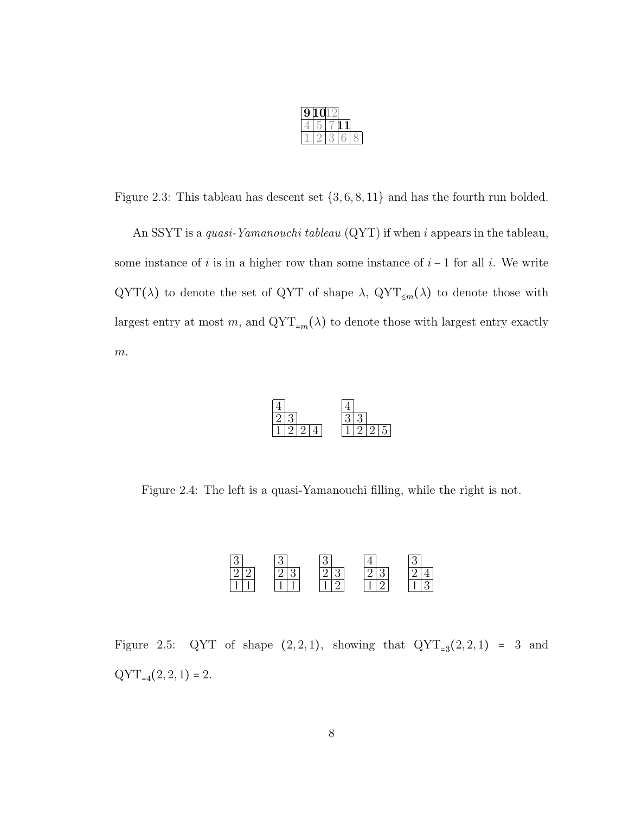| 9 | , к |  |  |
|---|-----|--|--|
|   |     |  |  |
|   |     |  |  |

Figure 2.3: This tableau has descent set  $\{3, 6, 8, 11\}$  and has the fourth run bolded.

An SSYT is a quasi-Yamanouchi tableau (QYT) if when i appears in the tableau, some instance of i is in a higher row than some instance of  $i - 1$  for all i. We write QYT( $\lambda$ ) to denote the set of QYT of shape  $\lambda$ , QYT<sub>≤m</sub>( $\lambda$ ) to denote those with largest entry at most  $m$ , and  $\mathrm{QYT}_{=m}(\lambda)$  to denote those with largest entry exactly  $\boldsymbol{m}.$ 



Figure 2.4: The left is a quasi-Yamanouchi filling, while the right is not.



Figure 2.5: QYT of shape  $(2,2,1)$ , showing that  $QYT_{=3}(2,2,1) = 3$  and  $QYT_{=4}(2, 2, 1) = 2.$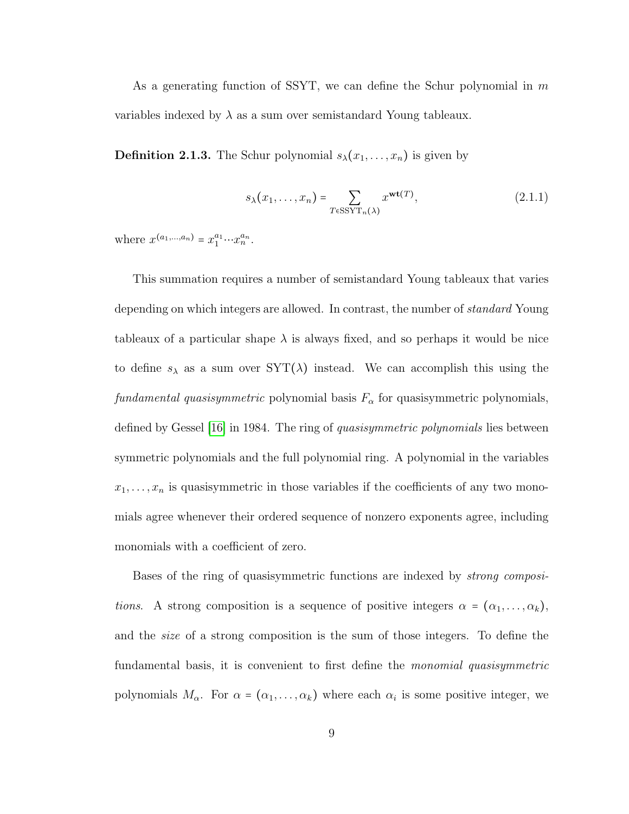As a generating function of SSYT, we can define the Schur polynomial in  $m$ variables indexed by  $\lambda$  as a sum over semistandard Young tableaux.

**Definition 2.1.3.** The Schur polynomial  $s_{\lambda}(x_1, \ldots, x_n)$  is given by

$$
s_{\lambda}(x_1,\ldots,x_n) = \sum_{T \in \text{SSYT}_n(\lambda)} x^{\text{wt}(T)},
$$
\n(2.1.1)

where  $x^{(a_1,...,a_n)} = x_1^{a_1} \cdots x_n^{a_n}$ .

This summation requires a number of semistandard Young tableaux that varies depending on which integers are allowed. In contrast, the number of *standard* Young tableaux of a particular shape  $\lambda$  is always fixed, and so perhaps it would be nice to define  $s_{\lambda}$  as a sum over  $SYT(\lambda)$  instead. We can accomplish this using the fundamental quasisymmetric polynomial basis  $F_{\alpha}$  for quasisymmetric polynomials, defined by Gessel [\[16\]](#page-92-1) in 1984. The ring of *quasisymmetric polynomials* lies between symmetric polynomials and the full polynomial ring. A polynomial in the variables  $x_1, \ldots, x_n$  is quasisymmetric in those variables if the coefficients of any two monomials agree whenever their ordered sequence of nonzero exponents agree, including monomials with a coefficient of zero.

Bases of the ring of quasisymmetric functions are indexed by strong compositions. A strong composition is a sequence of positive integers  $\alpha = (\alpha_1, \ldots, \alpha_k)$ , and the size of a strong composition is the sum of those integers. To define the fundamental basis, it is convenient to first define the *monomial quasisymmetric* polynomials  $M_{\alpha}$ . For  $\alpha = (\alpha_1, \dots, \alpha_k)$  where each  $\alpha_i$  is some positive integer, we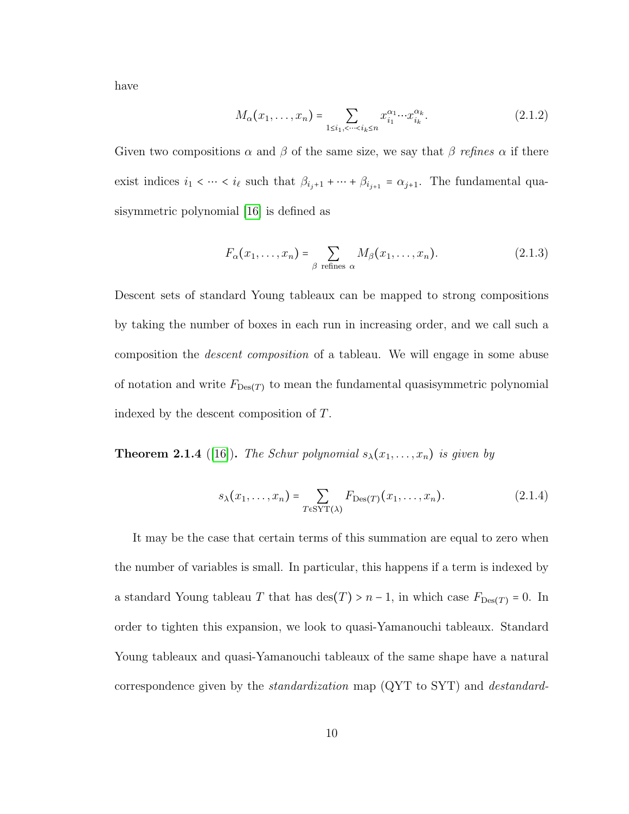have

$$
M_{\alpha}(x_1, \dots, x_n) = \sum_{1 \le i_1, \le \dots \le i_k \le n} x_{i_1}^{\alpha_1} \dots x_{i_k}^{\alpha_k}.
$$
 (2.1.2)

Given two compositions  $\alpha$  and  $\beta$  of the same size, we say that  $\beta$  refines  $\alpha$  if there exist indices  $i_1 < \cdots < i_\ell$  such that  $\beta_{i_j+1} + \cdots + \beta_{i_{j+1}} = \alpha_{j+1}$ . The fundamental quasisymmetric polynomial [\[16\]](#page-92-1) is defined as

$$
F_{\alpha}(x_1, \dots, x_n) = \sum_{\beta \text{ refines } \alpha} M_{\beta}(x_1, \dots, x_n). \tag{2.1.3}
$$

Descent sets of standard Young tableaux can be mapped to strong compositions by taking the number of boxes in each run in increasing order, and we call such a composition the descent composition of a tableau. We will engage in some abuse of notation and write  $F_{\text{Des}(T)}$  to mean the fundamental quasisymmetric polynomial indexed by the descent composition of T.

**Theorem 2.1.4** ([\[16\]](#page-92-1)). The Schur polynomial  $s_{\lambda}(x_1, \ldots, x_n)$  is given by

$$
s_{\lambda}(x_1,\ldots,x_n) = \sum_{T \in \text{SYT}(\lambda)} F_{\text{Des}(T)}(x_1,\ldots,x_n). \tag{2.1.4}
$$

It may be the case that certain terms of this summation are equal to zero when the number of variables is small. In particular, this happens if a term is indexed by a standard Young tableau T that has  $\text{des}(T) > n - 1$ , in which case  $F_{\text{Des}(T)} = 0$ . In order to tighten this expansion, we look to quasi-Yamanouchi tableaux. Standard Young tableaux and quasi-Yamanouchi tableaux of the same shape have a natural correspondence given by the *standardization* map  $(QYT$  to  $SYT$ ) and *destandard-*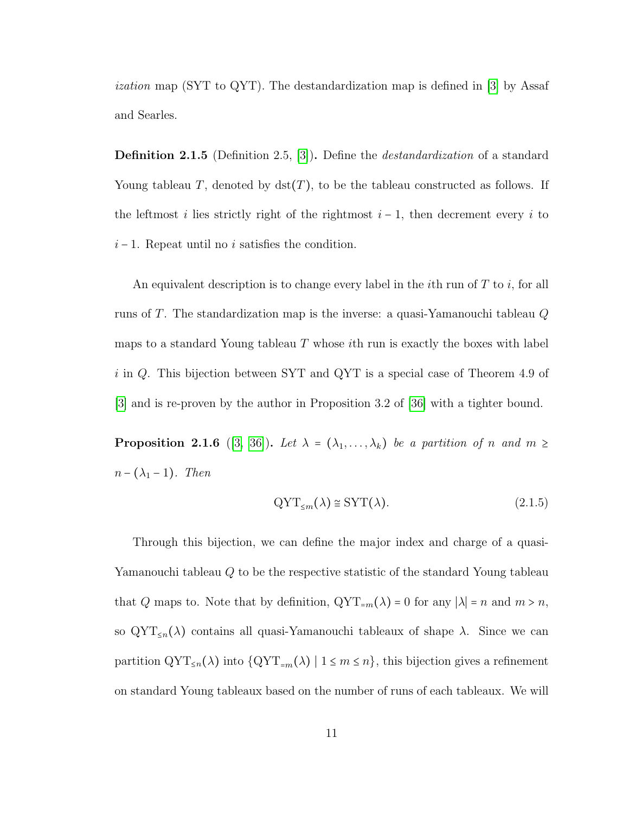ization map (SYT to QYT). The destandardization map is defined in [\[3\]](#page-90-0) by Assaf and Searles.

Definition 2.1.5 (Definition 2.5, [\[3\]](#page-90-0)). Define the destandardization of a standard Young tableau T, denoted by  $\det(T)$ , to be the tableau constructed as follows. If the leftmost i lies strictly right of the rightmost  $i-1$ , then decrement every i to  $i - 1$ . Repeat until no i satisfies the condition.

An equivalent description is to change every label in the *i*th run of  $T$  to *i*, for all runs of T. The standardization map is the inverse: a quasi-Yamanouchi tableau  $Q$ maps to a standard Young tableau  $T$  whose *i*th run is exactly the boxes with label i in Q. This bijection between SYT and QYT is a special case of Theorem 4.9 of [\[3\]](#page-90-0) and is re-proven by the author in Proposition 3.2 of [\[36\]](#page-94-1) with a tighter bound.

**Proposition 2.1.6** ([\[3,](#page-90-0) [36\]](#page-94-1)). Let  $\lambda = (\lambda_1, \ldots, \lambda_k)$  be a partition of n and  $m \geq$  $n - (\lambda_1 - 1)$ . Then

$$
QYT_{\leq m}(\lambda) \cong SYT(\lambda). \tag{2.1.5}
$$

Through this bijection, we can define the major index and charge of a quasi-Yamanouchi tableau Q to be the respective statistic of the standard Young tableau that Q maps to. Note that by definition,  $\mathrm{QYT}_{=m}(\lambda) = 0$  for any  $|\lambda| = n$  and  $m > n$ , so  $\mathrm{QYT}_{\leq n}(\lambda)$  contains all quasi-Yamanouchi tableaux of shape  $\lambda$ . Since we can partition  $\mathrm{QYT}_{\leq n}(\lambda)$  into  $\{\mathrm{QYT}_{=m}(\lambda) \mid 1 \leq m \leq n\}$ , this bijection gives a refinement on standard Young tableaux based on the number of runs of each tableaux. We will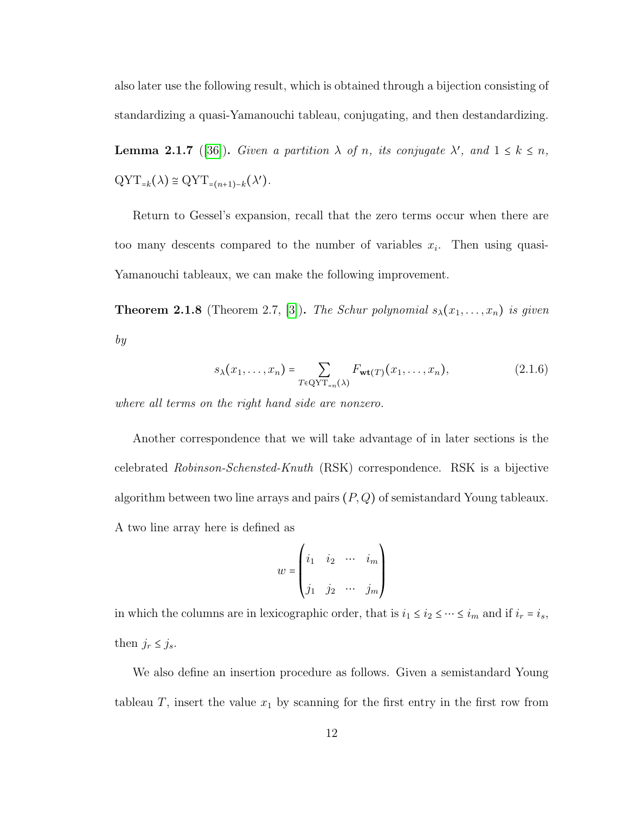also later use the following result, which is obtained through a bijection consisting of standardizing a quasi-Yamanouchi tableau, conjugating, and then destandardizing.

<span id="page-17-0"></span>**Lemma 2.1.7** ([\[36\]](#page-94-1)). Given a partition  $\lambda$  of n, its conjugate  $\lambda'$ , and  $1 \leq k \leq n$ ,  $\mathrm{QYT}_{=k}(\lambda) \cong \mathrm{QYT}_{=(n+1)-k}(\lambda').$ 

Return to Gessel's expansion, recall that the zero terms occur when there are too many descents compared to the number of variables  $x_i$ . Then using quasi-Yamanouchi tableaux, we can make the following improvement.

**Theorem 2.1.8** (Theorem 2.7, [\[3\]](#page-90-0)). The Schur polynomial  $s_{\lambda}(x_1, \ldots, x_n)$  is given by

$$
s_{\lambda}(x_1,\ldots,x_n) = \sum_{T \in \text{QYT}_{=n}(\lambda)} F_{\text{wt}(T)}(x_1,\ldots,x_n), \qquad (2.1.6)
$$

where all terms on the right hand side are nonzero.

Another correspondence that we will take advantage of in later sections is the celebrated Robinson-Schensted-Knuth (RSK) correspondence. RSK is a bijective algorithm between two line arrays and pairs  $(P,Q)$  of semistandard Young tableaux. A two line array here is defined as

$$
w = \begin{pmatrix} i_1 & i_2 & \cdots & i_m \\ j_1 & j_2 & \cdots & j_m \end{pmatrix}
$$

in which the columns are in lexicographic order, that is  $i_1 \le i_2 \le \cdots \le i_m$  and if  $i_r = i_s$ , then  $j_r \leq j_s$ .

We also define an insertion procedure as follows. Given a semistandard Young tableau  $T$ , insert the value  $x_1$  by scanning for the first entry in the first row from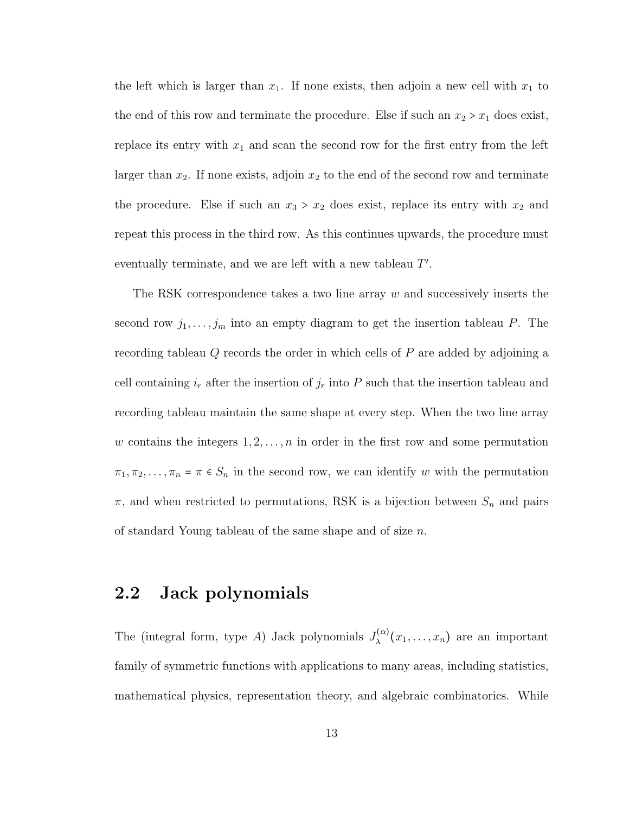the left which is larger than  $x_1$ . If none exists, then adjoin a new cell with  $x_1$  to the end of this row and terminate the procedure. Else if such an  $x_2 > x_1$  does exist, replace its entry with  $x_1$  and scan the second row for the first entry from the left larger than  $x_2$ . If none exists, adjoin  $x_2$  to the end of the second row and terminate the procedure. Else if such an  $x_3 > x_2$  does exist, replace its entry with  $x_2$  and repeat this process in the third row. As this continues upwards, the procedure must eventually terminate, and we are left with a new tableau  $T'$ .

The RSK correspondence takes a two line array  $w$  and successively inserts the second row  $j_1, \ldots, j_m$  into an empty diagram to get the insertion tableau P. The recording tableau Q records the order in which cells of P are added by adjoining a cell containing  $i_r$  after the insertion of  $j_r$  into P such that the insertion tableau and recording tableau maintain the same shape at every step. When the two line array w contains the integers  $1, 2, \ldots, n$  in order in the first row and some permutation  $\pi_1, \pi_2, \ldots, \pi_n = \pi \in S_n$  in the second row, we can identify w with the permutation  $\pi$ , and when restricted to permutations, RSK is a bijection between  $S_n$  and pairs of standard Young tableau of the same shape and of size n.

### <span id="page-18-0"></span>2.2 Jack polynomials

The (integral form, type A) Jack polynomials  $J_{\lambda}^{(\alpha)}(x_1,\ldots,x_n)$  are an important family of symmetric functions with applications to many areas, including statistics, mathematical physics, representation theory, and algebraic combinatorics. While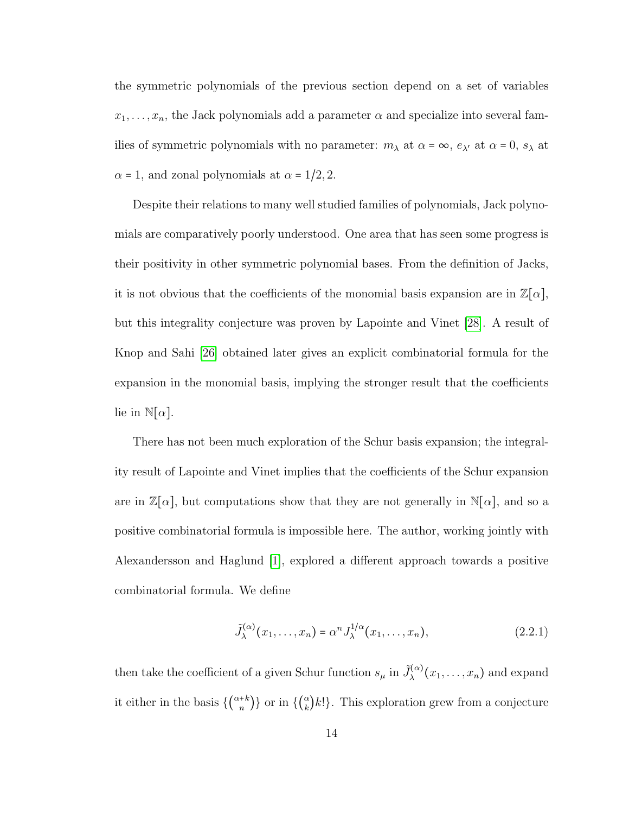the symmetric polynomials of the previous section depend on a set of variables  $x_1, \ldots, x_n$ , the Jack polynomials add a parameter  $\alpha$  and specialize into several families of symmetric polynomials with no parameter:  $m_{\lambda}$  at  $\alpha = \infty$ ,  $e_{\lambda'}$  at  $\alpha = 0$ ,  $s_{\lambda}$  at  $\alpha$  = 1, and zonal polynomials at  $\alpha$  = 1/2, 2.

Despite their relations to many well studied families of polynomials, Jack polynomials are comparatively poorly understood. One area that has seen some progress is their positivity in other symmetric polynomial bases. From the definition of Jacks, it is not obvious that the coefficients of the monomial basis expansion are in  $\mathbb{Z}[\alpha],$ but this integrality conjecture was proven by Lapointe and Vinet [\[28\]](#page-93-0). A result of Knop and Sahi [\[26\]](#page-93-1) obtained later gives an explicit combinatorial formula for the expansion in the monomial basis, implying the stronger result that the coefficients lie in  $\mathbb{N}[\alpha]$ .

There has not been much exploration of the Schur basis expansion; the integrality result of Lapointe and Vinet implies that the coefficients of the Schur expansion are in  $\mathbb{Z}[\alpha]$ , but computations show that they are not generally in  $\mathbb{N}[\alpha]$ , and so a positive combinatorial formula is impossible here. The author, working jointly with Alexandersson and Haglund [\[1\]](#page-90-1), explored a different approach towards a positive combinatorial formula. We define

$$
\tilde{J}_{\lambda}^{(\alpha)}(x_1,\ldots,x_n) = \alpha^n J_{\lambda}^{1/\alpha}(x_1,\ldots,x_n),\tag{2.2.1}
$$

then take the coefficient of a given Schur function  $s_{\mu}$  in  $\tilde{J}_{\lambda}^{(\alpha)}(x_1,\ldots,x_n)$  and expand it either in the basis  $\{\binom{\alpha+k}{n}\}$  or in  $\{\binom{\alpha}{k}$  $\binom{\alpha}{k}k!$ . This exploration grew from a conjecture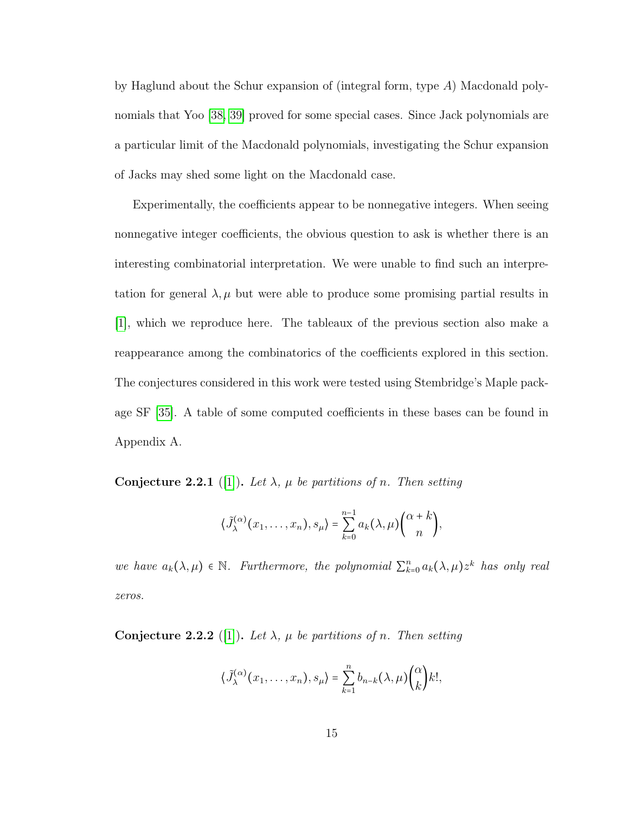by Haglund about the Schur expansion of (integral form, type  $A$ ) Macdonald polynomials that Yoo [\[38,](#page-94-2) [39\]](#page-95-0) proved for some special cases. Since Jack polynomials are a particular limit of the Macdonald polynomials, investigating the Schur expansion of Jacks may shed some light on the Macdonald case.

Experimentally, the coefficients appear to be nonnegative integers. When seeing nonnegative integer coefficients, the obvious question to ask is whether there is an interesting combinatorial interpretation. We were unable to find such an interpretation for general  $\lambda, \mu$  but were able to produce some promising partial results in [\[1\]](#page-90-1), which we reproduce here. The tableaux of the previous section also make a reappearance among the combinatorics of the coefficients explored in this section. The conjectures considered in this work were tested using Stembridge's Maple package SF [\[35\]](#page-94-3). A table of some computed coefficients in these bases can be found in Appendix A.

<span id="page-20-0"></span>**Conjecture 2.2.1** ([\[1\]](#page-90-1)). Let  $\lambda$ ,  $\mu$  be partitions of n. Then setting

$$
\langle \tilde{J}_{\lambda}^{(\alpha)}(x_1,\ldots,x_n),s_{\mu}\rangle = \sum_{k=0}^{n-1} a_k(\lambda,\mu) {\alpha+k \choose n},
$$

we have  $a_k(\lambda, \mu) \in \mathbb{N}$ . Furthermore, the polynomial  $\sum_{k=0}^n a_k(\lambda, \mu) z^k$  has only real zeros.

<span id="page-20-1"></span>**Conjecture 2.2.2** ([\[1\]](#page-90-1)). Let  $\lambda$ ,  $\mu$  be partitions of n. Then setting

$$
\langle \tilde{J}_{\lambda}^{(\alpha)}(x_1,\ldots,x_n),s_{\mu}\rangle = \sum_{k=1}^n b_{n-k}(\lambda,\mu) {\binom{\alpha}{k}} k!,
$$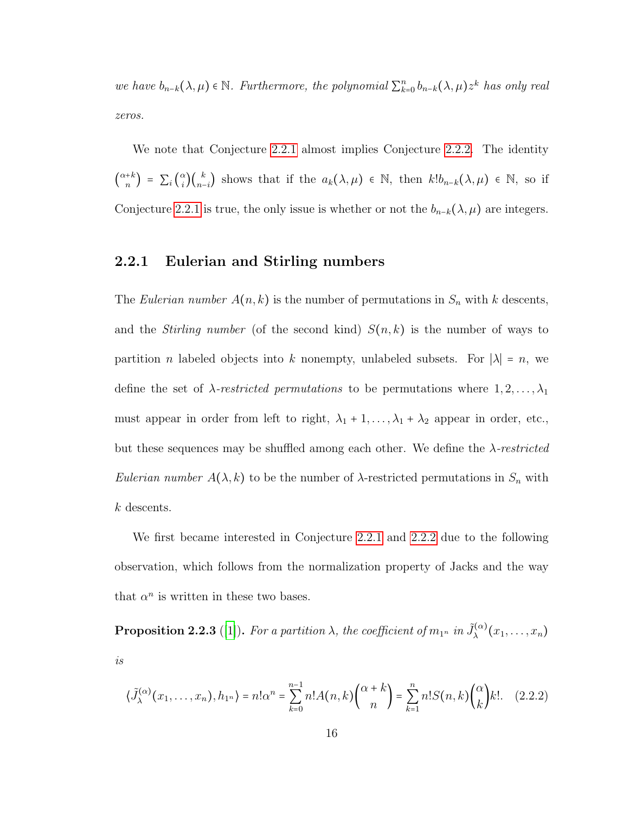we have  $b_{n-k}(\lambda,\mu) \in \mathbb{N}$ . Furthermore, the polynomial  $\sum_{k=0}^{n} b_{n-k}(\lambda,\mu) z^k$  has only real zeros.

We note that Conjecture [2.2.1](#page-20-0) almost implies Conjecture [2.2.2.](#page-20-1) The identity  $\overline{\phantom{0}}$  $\binom{\alpha+k}{n} = \sum_i \binom{n}{n}$ α  $\binom{n}{i}\binom{k}{n-i}$  shows that if the  $a_k(\lambda,\mu) \in \mathbb{N}$ , then  $k!b_{n-k}(\lambda,\mu) \in \mathbb{N}$ , so if Conjecture [2.2.1](#page-20-0) is true, the only issue is whether or not the  $b_{n-k}(\lambda, \mu)$  are integers.

### <span id="page-21-0"></span>2.2.1 Eulerian and Stirling numbers

The Eulerian number  $A(n, k)$  is the number of permutations in  $S_n$  with k descents, and the *Stirling number* (of the second kind)  $S(n, k)$  is the number of ways to partition *n* labeled objects into k nonempty, unlabeled subsets. For  $|\lambda| = n$ , we define the set of  $\lambda$ -restricted permutations to be permutations where  $1, 2, \ldots, \lambda_1$ must appear in order from left to right,  $\lambda_1 + 1, \ldots, \lambda_1 + \lambda_2$  appear in order, etc., but these sequences may be shuffled among each other. We define the  $\lambda$ -restricted Eulerian number  $A(\lambda, k)$  to be the number of  $\lambda$ -restricted permutations in  $S_n$  with k descents.

We first became interested in Conjecture [2.2.1](#page-20-0) and [2.2.2](#page-20-1) due to the following observation, which follows from the normalization property of Jacks and the way that  $\alpha^n$  is written in these two bases.

<span id="page-21-1"></span>**Proposition 2.2.3** ([\[1\]](#page-90-1)). For a partition  $\lambda$ , the coefficient of  $m_{1^n}$  in  $\tilde{J}_{\lambda}^{(\alpha)}(x_1,\ldots,x_n)$ is

$$
\langle \tilde{J}_{\lambda}^{(\alpha)}(x_1,\ldots,x_n),h_{1^n}\rangle = n!\alpha^n = \sum_{k=0}^{n-1} n!A(n,k)\binom{\alpha+k}{n} = \sum_{k=1}^n n!S(n,k)\binom{\alpha}{k}k!.\tag{2.2.2}
$$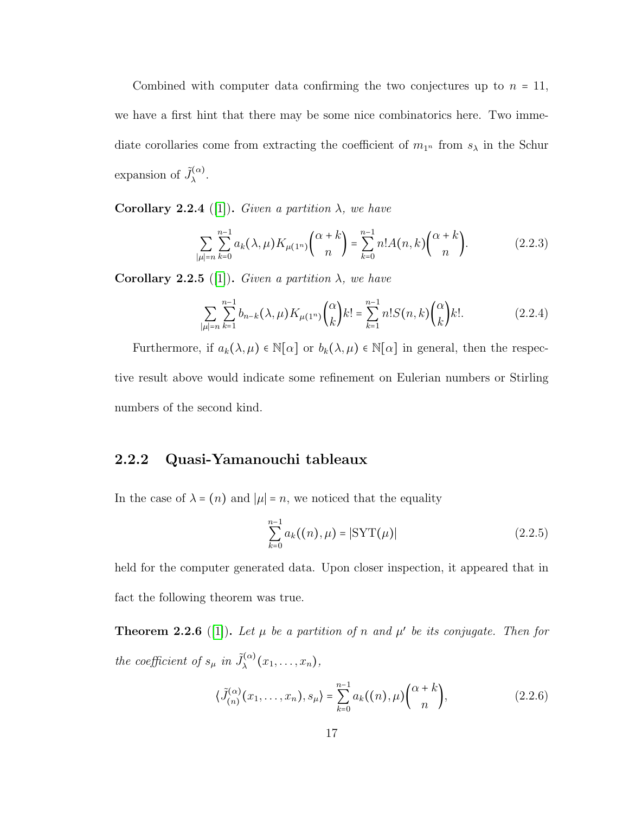Combined with computer data confirming the two conjectures up to  $n = 11$ , we have a first hint that there may be some nice combinatorics here. Two immediate corollaries come from extracting the coefficient of  $m_{1^n}$  from  $s_\lambda$  in the Schur expansion of  $\tilde{J}_{\lambda}^{(\alpha)}$ .

<span id="page-22-2"></span>**Corollary 2.2.4** ([\[1\]](#page-90-1)). Given a partition  $\lambda$ , we have

$$
\sum_{|\mu|=n} \sum_{k=0}^{n-1} a_k(\lambda, \mu) K_{\mu(1^n)} \binom{\alpha+k}{n} = \sum_{k=0}^{n-1} n! A(n, k) \binom{\alpha+k}{n}.
$$
 (2.2.3)

**Corollary 2.2.5** ([\[1\]](#page-90-1)). Given a partition  $\lambda$ , we have

$$
\sum_{|\mu|=n} \sum_{k=1}^{n-1} b_{n-k}(\lambda, \mu) K_{\mu(1^n)} \binom{\alpha}{k} k! = \sum_{k=1}^{n-1} n! S(n, k) \binom{\alpha}{k} k!.
$$
 (2.2.4)

Furthermore, if  $a_k(\lambda, \mu) \in \mathbb{N}[\alpha]$  or  $b_k(\lambda, \mu) \in \mathbb{N}[\alpha]$  in general, then the respective result above would indicate some refinement on Eulerian numbers or Stirling numbers of the second kind.

### <span id="page-22-0"></span>2.2.2 Quasi-Yamanouchi tableaux

In the case of  $\lambda = (n)$  and  $|\mu| = n$ , we noticed that the equality

$$
\sum_{k=0}^{n-1} a_k((n), \mu) = |\text{SYT}(\mu)| \tag{2.2.5}
$$

held for the computer generated data. Upon closer inspection, it appeared that in fact the following theorem was true.

<span id="page-22-1"></span>**Theorem 2.2.6** ([\[1\]](#page-90-1)). Let  $\mu$  be a partition of n and  $\mu'$  be its conjugate. Then for the coefficient of  $s_{\mu}$  in  $\tilde{J}_{\lambda}^{(\alpha)}(x_1,\ldots,x_n)$ ,

$$
\langle \tilde{J}_{(n)}^{(\alpha)}(x_1,\ldots,x_n),s_{\mu}\rangle = \sum_{k=0}^{n-1} a_k((n),\mu) {\binom{\alpha+k}{n}}, \qquad (2.2.6)
$$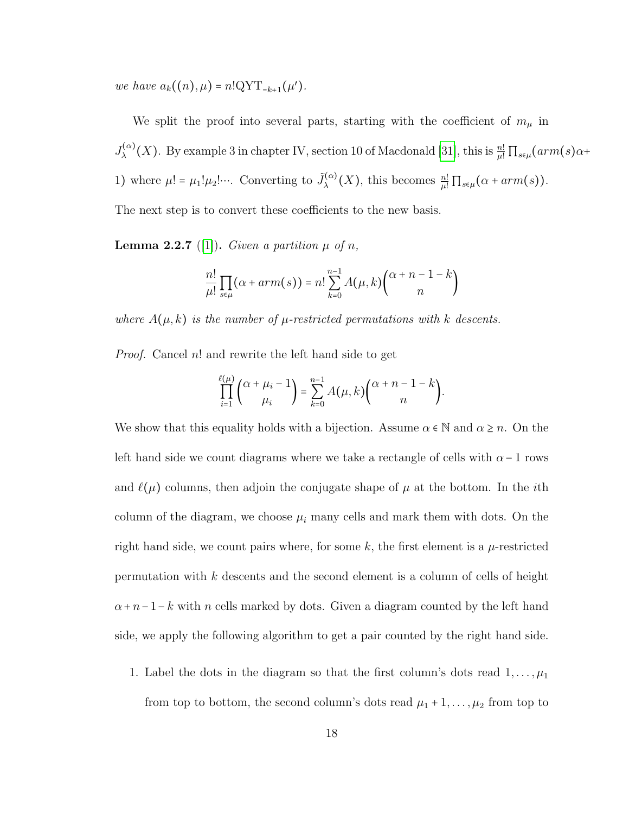we have  $a_k((n), \mu) = n!QYT_{=k+1}(\mu').$ 

We split the proof into several parts, starting with the coefficient of  $m_{\mu}$  in  $J_{\lambda}^{(\alpha)}(X)$ . By example 3 in chapter IV, section 10 of Macdonald [\[31\]](#page-94-4), this is  $\frac{n!}{\mu!} \prod_{s \in \mu} (arm(s) \alpha +$ 1) where  $\mu! = \mu_1! \mu_2! \cdots$ . Converting to  $\tilde{J}_{\lambda}^{(\alpha)}(X)$ , this becomes  $\frac{n!}{\mu!} \prod_{s \in \mu} (\alpha + arm(s)).$ The next step is to convert these coefficients to the new basis.

**Lemma 2.2.7** ([\[1\]](#page-90-1)). Given a partition  $\mu$  of n,

$$
\frac{n!}{\mu!} \prod_{s \in \mu} (\alpha + arm(s)) = n! \sum_{k=0}^{n-1} A(\mu, k) \binom{\alpha + n - 1 - k}{n}
$$

where  $A(\mu, k)$  is the number of  $\mu$ -restricted permutations with k descents.

*Proof.* Cancel n! and rewrite the left hand side to get

$$
\prod_{i=1}^{\ell(\mu)} {\alpha + \mu_i - 1 \choose \mu_i} = \sum_{k=0}^{n-1} A(\mu, k) {\alpha + n - 1 - k \choose n}.
$$

We show that this equality holds with a bijection. Assume  $\alpha \in \mathbb{N}$  and  $\alpha \geq n$ . On the left hand side we count diagrams where we take a rectangle of cells with  $\alpha - 1$  rows and  $\ell(\mu)$  columns, then adjoin the conjugate shape of  $\mu$  at the bottom. In the *i*th column of the diagram, we choose  $\mu_i$  many cells and mark them with dots. On the right hand side, we count pairs where, for some k, the first element is a  $\mu$ -restricted permutation with  $k$  descents and the second element is a column of cells of height  $\alpha + n-1-k$  with n cells marked by dots. Given a diagram counted by the left hand side, we apply the following algorithm to get a pair counted by the right hand side.

1. Label the dots in the diagram so that the first column's dots read  $1, \ldots, \mu_1$ from top to bottom, the second column's dots read  $\mu_1 + 1, \ldots, \mu_2$  from top to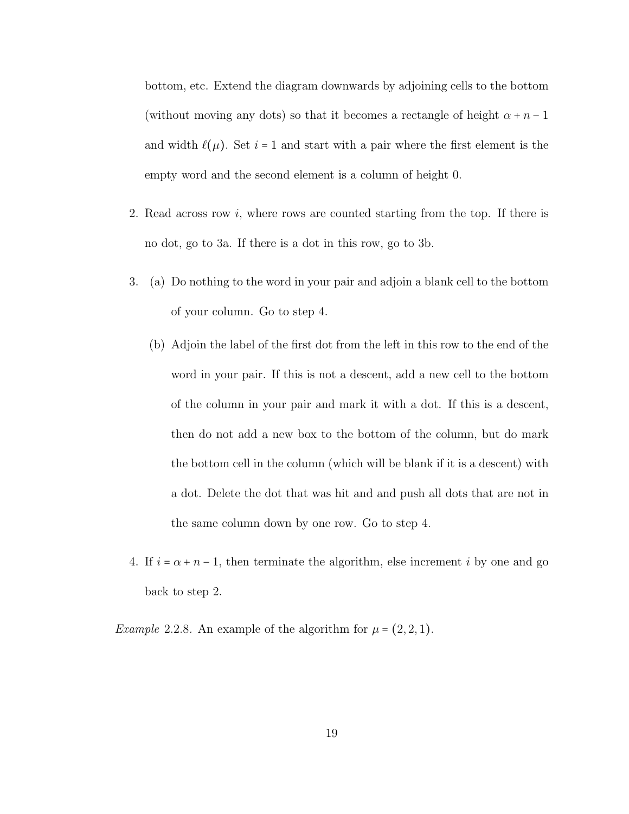bottom, etc. Extend the diagram downwards by adjoining cells to the bottom (without moving any dots) so that it becomes a rectangle of height  $\alpha + n - 1$ and width  $\ell(\mu)$ . Set i = 1 and start with a pair where the first element is the empty word and the second element is a column of height 0.

- 2. Read across row i, where rows are counted starting from the top. If there is no dot, go to 3a. If there is a dot in this row, go to 3b.
- 3. (a) Do nothing to the word in your pair and adjoin a blank cell to the bottom of your column. Go to step 4.
	- (b) Adjoin the label of the first dot from the left in this row to the end of the word in your pair. If this is not a descent, add a new cell to the bottom of the column in your pair and mark it with a dot. If this is a descent, then do not add a new box to the bottom of the column, but do mark the bottom cell in the column (which will be blank if it is a descent) with a dot. Delete the dot that was hit and and push all dots that are not in the same column down by one row. Go to step 4.
- 4. If  $i = \alpha + n 1$ , then terminate the algorithm, else increment i by one and go back to step 2.

*Example 2.2.8.* An example of the algorithm for  $\mu = (2, 2, 1)$ .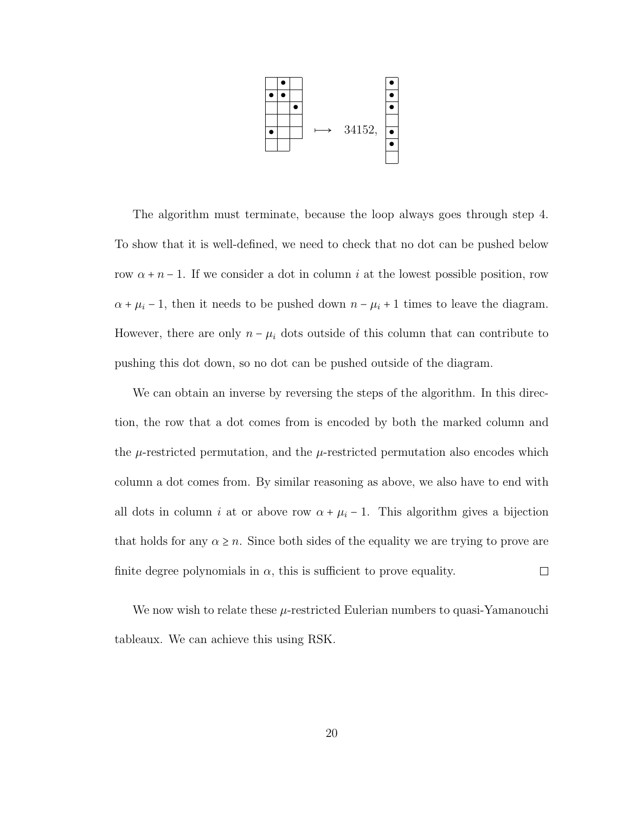

The algorithm must terminate, because the loop always goes through step 4. To show that it is well-defined, we need to check that no dot can be pushed below row  $\alpha + n - 1$ . If we consider a dot in column i at the lowest possible position, row  $\alpha + \mu_i - 1$ , then it needs to be pushed down  $n - \mu_i + 1$  times to leave the diagram. However, there are only  $n - \mu_i$  dots outside of this column that can contribute to pushing this dot down, so no dot can be pushed outside of the diagram.

We can obtain an inverse by reversing the steps of the algorithm. In this direction, the row that a dot comes from is encoded by both the marked column and the  $\mu$ -restricted permutation, and the  $\mu$ -restricted permutation also encodes which column a dot comes from. By similar reasoning as above, we also have to end with all dots in column *i* at or above row  $\alpha + \mu_i - 1$ . This algorithm gives a bijection that holds for any  $\alpha \geq n$ . Since both sides of the equality we are trying to prove are finite degree polynomials in  $\alpha$ , this is sufficient to prove equality.  $\Box$ 

We now wish to relate these  $\mu$ -restricted Eulerian numbers to quasi-Yamanouchi tableaux. We can achieve this using RSK.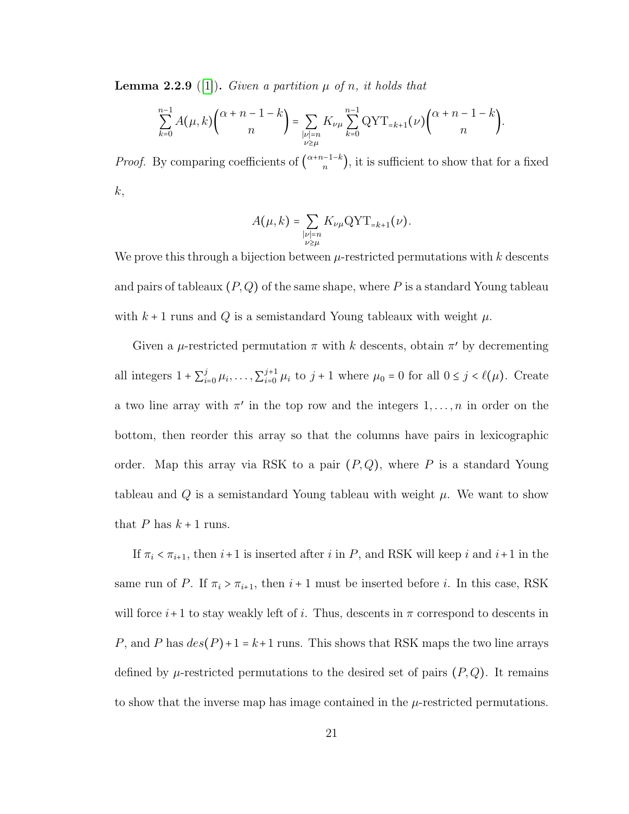<span id="page-26-0"></span>**Lemma 2.2.9** ([\[1\]](#page-90-1)). Given a partition  $\mu$  of n, it holds that

$$
\sum_{k=0}^{n-1} A(\mu, k) {\alpha + n - 1 - k \choose n} = \sum_{\substack{|\nu| = n \\ \nu \ge \mu}} K_{\nu\mu} \sum_{k=0}^{n-1} \text{QYT}_{=k+1}(\nu) {\alpha + n - 1 - k \choose n}.
$$

*Proof.* By comparing coefficients of  $\binom{\alpha+n-1-k}{n}$ , it is sufficient to show that for a fixed  $k,$ 

$$
A(\mu, k) = \sum_{\substack{|\nu|=n \\ \nu \ge \mu}} K_{\nu\mu} \text{QYT}_{=k+1}(\nu).
$$

We prove this through a bijection between  $\mu$ -restricted permutations with k descents and pairs of tableaux  $(P,Q)$  of the same shape, where P is a standard Young tableau with  $k + 1$  runs and Q is a semistandard Young tableaux with weight  $\mu$ .

Given a  $\mu$ -restricted permutation  $\pi$  with k descents, obtain  $\pi'$  by decrementing all integers  $1 + \sum_{i=0}^{j} \mu_i, \ldots, \sum_{i=0}^{j+1} \mu_i$  to  $j+1$  where  $\mu_0 = 0$  for all  $0 \le j < l(\mu)$ . Create a two line array with  $\pi'$  in the top row and the integers  $1, \ldots, n$  in order on the bottom, then reorder this array so that the columns have pairs in lexicographic order. Map this array via RSK to a pair  $(P,Q)$ , where P is a standard Young tableau and  $Q$  is a semistandard Young tableau with weight  $\mu$ . We want to show that  $P$  has  $k + 1$  runs.

If  $\pi_i < \pi_{i+1}$ , then  $i+1$  is inserted after i in P, and RSK will keep i and  $i+1$  in the same run of P. If  $\pi_i > \pi_{i+1}$ , then  $i+1$  must be inserted before i. In this case, RSK will force  $i+1$  to stay weakly left of i. Thus, descents in  $\pi$  correspond to descents in P, and P has  $des(P)+1 = k+1$  runs. This shows that RSK maps the two line arrays defined by  $\mu$ -restricted permutations to the desired set of pairs  $(P,Q)$ . It remains to show that the inverse map has image contained in the  $\mu$ -restricted permutations.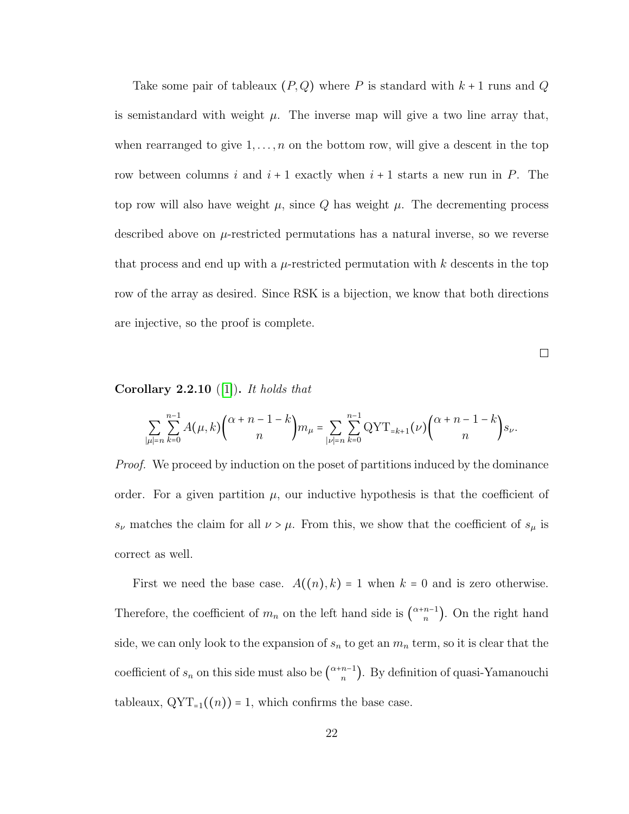Take some pair of tableaux  $(P,Q)$  where P is standard with  $k + 1$  runs and Q is semistandard with weight  $\mu$ . The inverse map will give a two line array that, when rearranged to give  $1, \ldots, n$  on the bottom row, will give a descent in the top row between columns i and  $i + 1$  exactly when  $i + 1$  starts a new run in P. The top row will also have weight  $\mu$ , since Q has weight  $\mu$ . The decrementing process described above on  $\mu$ -restricted permutations has a natural inverse, so we reverse that process and end up with a  $\mu$ -restricted permutation with k descents in the top row of the array as desired. Since RSK is a bijection, we know that both directions are injective, so the proof is complete.

 $\Box$ 

### Corollary  $2.2.10$  ([\[1\]](#page-90-1)). It holds that

$$
\sum_{|\mu|=n} \sum_{k=0}^{n-1} A(\mu, k) \binom{\alpha+n-1-k}{n} m_{\mu} = \sum_{|\nu|=n} \sum_{k=0}^{n-1} \text{QYT}_{=k+1}(\nu) \binom{\alpha+n-1-k}{n} s_{\nu}.
$$

*Proof.* We proceed by induction on the poset of partitions induced by the dominance order. For a given partition  $\mu$ , our inductive hypothesis is that the coefficient of  $s_{\nu}$  matches the claim for all  $\nu > \mu$ . From this, we show that the coefficient of  $s_{\mu}$  is correct as well.

First we need the base case.  $A((n),k) = 1$  when  $k = 0$  and is zero otherwise. Therefore, the coefficient of  $m_n$  on the left hand side is  $\binom{\alpha+n-1}{n}$ . On the right hand side, we can only look to the expansion of  $s_n$  to get an  $m_n$  term, so it is clear that the coefficient of  $s_n$  on this side must also be  $\binom{\alpha+n-1}{n}$ . By definition of quasi-Yamanouchi tableaux,  $\mathrm{QYT}_{=1}((n)) = 1$ , which confirms the base case.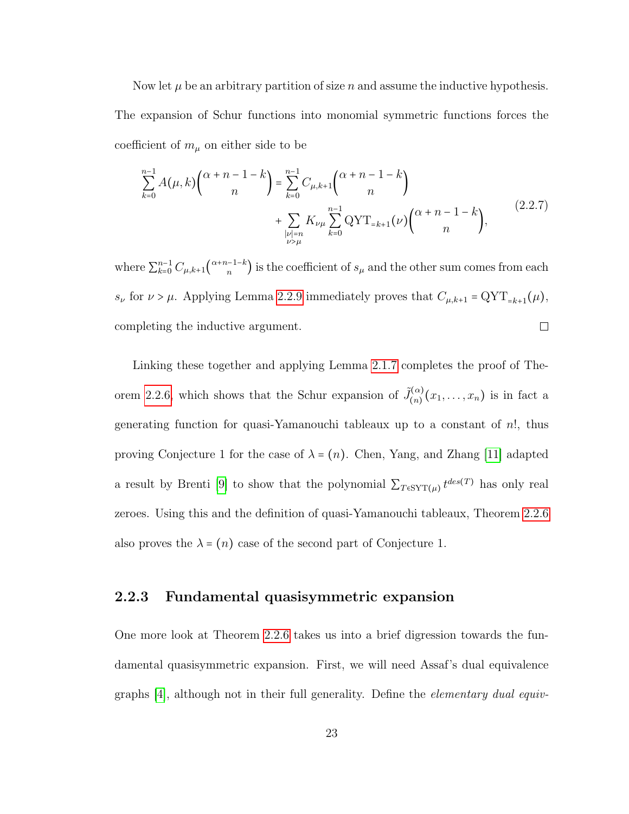Now let  $\mu$  be an arbitrary partition of size n and assume the inductive hypothesis. The expansion of Schur functions into monomial symmetric functions forces the coefficient of  $m_{\mu}$  on either side to be

$$
\sum_{k=0}^{n-1} A(\mu, k) {\alpha + n - 1 - k \choose n} = \sum_{k=0}^{n-1} C_{\mu, k+1} {\alpha + n - 1 - k \choose n} + \sum_{\substack{|\nu| = n \\ \nu > \mu}} K_{\nu} \sum_{k=0}^{n-1} \text{QYT}_{=k+1}(\nu) {\alpha + n - 1 - k \choose n},
$$
\n(2.2.7)

where  $\sum_{k=0}^{n-1} C_{\mu,k+1} {\alpha+n-1-k \choose n}$  is the coefficient of  $s_{\mu}$  and the other sum comes from each  $s_{\nu}$  for  $\nu > \mu$ . Applying Lemma [2.2.9](#page-26-0) immediately proves that  $C_{\mu,k+1} = \text{QYT}_{=k+1}(\mu)$ , completing the inductive argument.  $\Box$ 

Linking these together and applying Lemma [2.1.7](#page-17-0) completes the proof of The-orem [2.2.6,](#page-22-1) which shows that the Schur expansion of  $\tilde{J}^{(\alpha)}_{(n)}$  $\binom{\alpha}{n}(x_1,\ldots,x_n)$  is in fact a generating function for quasi-Yamanouchi tableaux up to a constant of  $n!$ , thus proving Conjecture 1 for the case of  $\lambda = (n)$ . Chen, Yang, and Zhang [\[11\]](#page-91-0) adapted a result by Brenti [\[9\]](#page-91-1) to show that the polynomial  $\sum_{T \in \text{SYT}(\mu)} t^{des(T)}$  has only real zeroes. Using this and the definition of quasi-Yamanouchi tableaux, Theorem [2.2.6](#page-22-1) also proves the  $\lambda = (n)$  case of the second part of Conjecture 1.

#### <span id="page-28-0"></span>2.2.3 Fundamental quasisymmetric expansion

One more look at Theorem [2.2.6](#page-22-1) takes us into a brief digression towards the fundamental quasisymmetric expansion. First, we will need Assaf's dual equivalence graphs [\[4\]](#page-90-2), although not in their full generality. Define the elementary dual equiv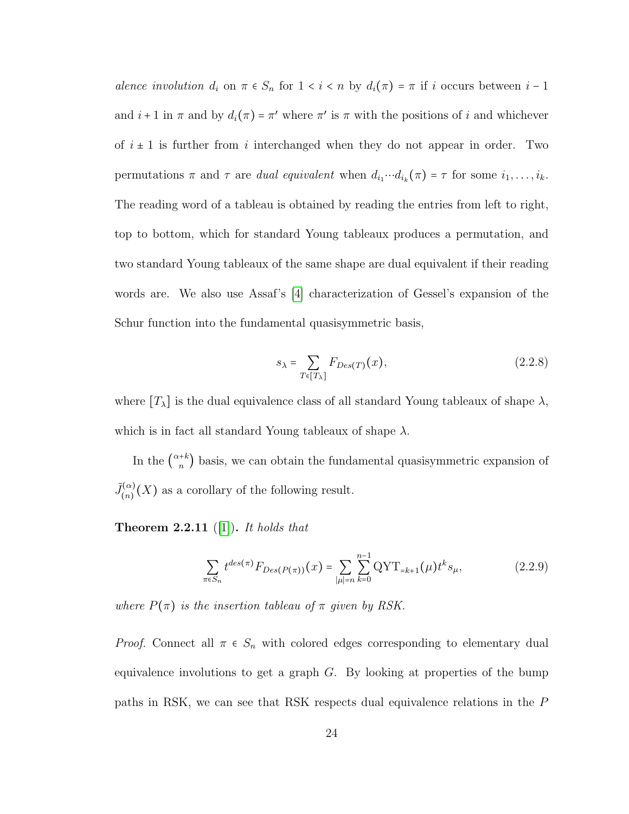alence involution  $d_i$  on  $\pi \in S_n$  for  $1 < i < n$  by  $d_i(\pi) = \pi$  if i occurs between  $i-1$ and  $i+1$  in  $\pi$  and by  $d_i(\pi) = \pi'$  where  $\pi'$  is  $\pi$  with the positions of i and whichever of  $i \pm 1$  is further from i interchanged when they do not appear in order. Two permutations  $\pi$  and  $\tau$  are *dual equivalent* when  $d_{i_1} \cdots d_{i_k}(\pi) = \tau$  for some  $i_1, \ldots, i_k$ . The reading word of a tableau is obtained by reading the entries from left to right, top to bottom, which for standard Young tableaux produces a permutation, and two standard Young tableaux of the same shape are dual equivalent if their reading words are. We also use Assaf's [\[4\]](#page-90-2) characterization of Gessel's expansion of the Schur function into the fundamental quasisymmetric basis,

$$
s_{\lambda} = \sum_{T \in [T_{\lambda}]} F_{Des(T)}(x), \qquad (2.2.8)
$$

where  $[T_{\lambda}]$  is the dual equivalence class of all standard Young tableaux of shape  $\lambda$ , which is in fact all standard Young tableaux of shape  $\lambda$ .

In the  $\binom{\alpha+k}{n}$  basis, we can obtain the fundamental quasisymmetric expansion of  $\tilde{J}^{(\alpha)}_{(n)}$  $\binom{N(\alpha)}{(n)}(X)$  as a corollary of the following result.

<span id="page-29-0"></span>**Theorem 2.2.11** ([\[1\]](#page-90-1)). It holds that

$$
\sum_{\pi \in S_n} t^{des(\pi)} F_{Des(P(\pi))}(x) = \sum_{|\mu|=n} \sum_{k=0}^{n-1} \text{QYT}_{=k+1}(\mu) t^k s_{\mu},\tag{2.2.9}
$$

where  $P(\pi)$  is the insertion tableau of  $\pi$  given by RSK.

*Proof.* Connect all  $\pi \in S_n$  with colored edges corresponding to elementary dual equivalence involutions to get a graph  $G$ . By looking at properties of the bump paths in RSK, we can see that RSK respects dual equivalence relations in the P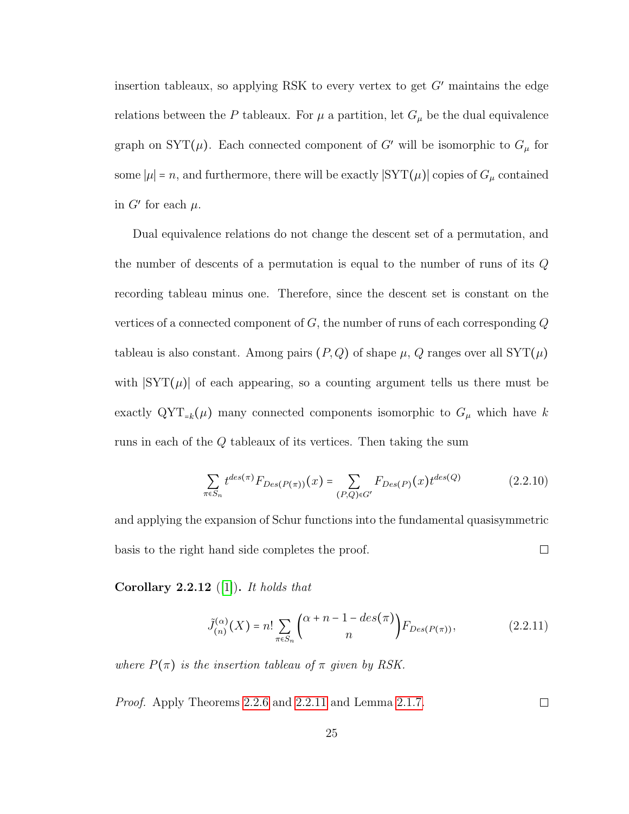insertion tableaux, so applying RSK to every vertex to get  $G'$  maintains the edge relations between the P tableaux. For  $\mu$  a partition, let  $G_{\mu}$  be the dual equivalence graph on SYT( $\mu$ ). Each connected component of G' will be isomorphic to  $G_{\mu}$  for some  $|\mu| = n$ , and furthermore, there will be exactly  $|SYT(\mu)|$  copies of  $G_\mu$  contained in  $G'$  for each  $\mu$ .

Dual equivalence relations do not change the descent set of a permutation, and the number of descents of a permutation is equal to the number of runs of its Q recording tableau minus one. Therefore, since the descent set is constant on the vertices of a connected component of  $G$ , the number of runs of each corresponding  $Q$ tableau is also constant. Among pairs  $(P,Q)$  of shape  $\mu$ , Q ranges over all SYT $(\mu)$ with  $|\text{SYT}(\mu)|$  of each appearing, so a counting argument tells us there must be exactly  $\mathrm{QYT}_{=k}(\mu)$  many connected components isomorphic to  $G_{\mu}$  which have k runs in each of the Q tableaux of its vertices. Then taking the sum

$$
\sum_{\pi \in S_n} t^{des(\pi)} F_{Des(P(\pi))}(x) = \sum_{(P,Q) \in G'} F_{Des(P)}(x) t^{des(Q)} \tag{2.2.10}
$$

and applying the expansion of Schur functions into the fundamental quasisymmetric  $\Box$ basis to the right hand side completes the proof.

<span id="page-30-0"></span>Corollary 2.2.12 ([\[1\]](#page-90-1)). It holds that

$$
\tilde{J}_{(n)}^{(\alpha)}(X) = n! \sum_{\pi \in S_n} {\alpha + n - 1 - des(\pi) \choose n} F_{Des(P(\pi))},
$$
\n(2.2.11)

where  $P(\pi)$  is the insertion tableau of  $\pi$  given by RSK.

Proof. Apply Theorems [2.2.6](#page-22-1) and [2.2.11](#page-29-0) and Lemma [2.1.7.](#page-17-0)  $\Box$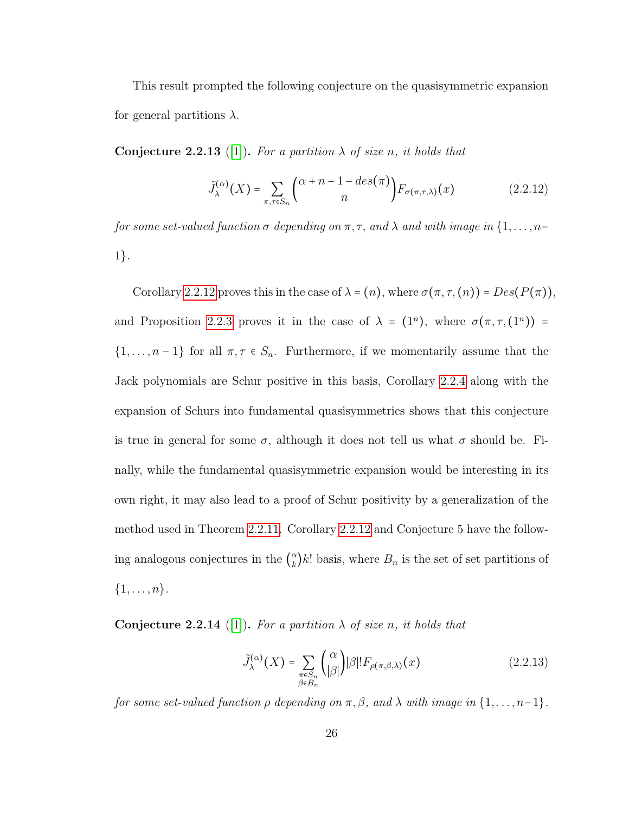This result prompted the following conjecture on the quasisymmetric expansion for general partitions  $\lambda$ .

**Conjecture 2.2.13** ([\[1\]](#page-90-1)). For a partition  $\lambda$  of size n, it holds that

$$
\tilde{J}_{\lambda}^{(\alpha)}(X) = \sum_{\pi,\tau \in S_n} {\alpha + n - 1 - des(\pi) \choose n} F_{\sigma(\pi,\tau,\lambda)}(x)
$$
\n(2.2.12)

for some set-valued function  $\sigma$  depending on  $\pi$ ,  $\tau$ , and  $\lambda$  and with image in  $\{1, \ldots, n-\}$ 1}.

Corollary [2.2.12](#page-30-0) proves this in the case of  $\lambda = (n)$ , where  $\sigma(\pi, \tau, (n)) = Des(P(\pi))$ , and Proposition [2.2.3](#page-21-1) proves it in the case of  $\lambda = (1^n)$ , where  $\sigma(\pi, \tau, (1^n))$  =  $\{1, \ldots, n-1\}$  for all  $\pi, \tau \in S_n$ . Furthermore, if we momentarily assume that the Jack polynomials are Schur positive in this basis, Corollary [2.2.4](#page-22-2) along with the expansion of Schurs into fundamental quasisymmetrics shows that this conjecture is true in general for some  $\sigma$ , although it does not tell us what  $\sigma$  should be. Finally, while the fundamental quasisymmetric expansion would be interesting in its own right, it may also lead to a proof of Schur positivity by a generalization of the method used in Theorem [2.2.11.](#page-29-0) Corollary [2.2.12](#page-30-0) and Conjecture 5 have the following analogous conjectures in the  $\binom{\alpha}{k}$  $\binom{\alpha}{k}k!$  basis, where  $B_n$  is the set of set partitions of  $\{1,\ldots,n\}.$ 

<span id="page-31-0"></span>**Conjecture 2.2.14** ([\[1\]](#page-90-1)). For a partition  $\lambda$  of size n, it holds that

$$
\tilde{J}_{\lambda}^{(\alpha)}(X) = \sum_{\substack{\pi \in S_n \\ \beta \in B_n}} \binom{\alpha}{|\beta|} |\beta|! F_{\rho(\pi,\beta,\lambda)}(x) \tag{2.2.13}
$$

for some set-valued function  $\rho$  depending on  $\pi, \beta$ , and  $\lambda$  with image in  $\{1, \ldots, n-1\}$ .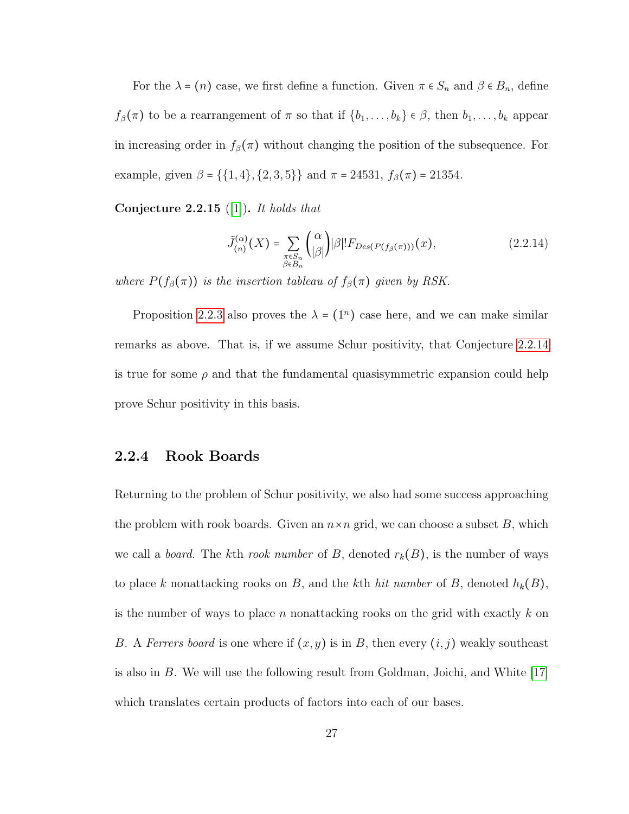For the  $\lambda = (n)$  case, we first define a function. Given  $\pi \in S_n$  and  $\beta \in B_n$ , define  $f_{\beta}(\pi)$  to be a rearrangement of  $\pi$  so that if  $\{b_1, \ldots, b_k\} \in \beta$ , then  $b_1, \ldots, b_k$  appear in increasing order in  $f_\beta(\pi)$  without changing the position of the subsequence. For example, given  $\beta = \{\{1, 4\}, \{2, 3, 5\}\}\$  and  $\pi = 24531, f_{\beta}(\pi) = 21354$ .

Conjecture 2.2.15 ([\[1\]](#page-90-1)). It holds that

$$
\tilde{J}_{(n)}^{(\alpha)}(X) = \sum_{\substack{\pi \in S_n \\ \beta \in B_n}} {\alpha \choose |\beta|} |\beta|! F_{Des(P(f_\beta(\pi)))}(x), \qquad (2.2.14)
$$

where  $P(f_\beta(\pi))$  is the insertion tableau of  $f_\beta(\pi)$  given by RSK.

Proposition [2.2.3](#page-21-1) also proves the  $\lambda = (1^n)$  case here, and we can make similar remarks as above. That is, if we assume Schur positivity, that Conjecture [2.2.14](#page-31-0) is true for some  $\rho$  and that the fundamental quasisymmetric expansion could help prove Schur positivity in this basis.

#### <span id="page-32-0"></span>2.2.4 Rook Boards

Returning to the problem of Schur positivity, we also had some success approaching the problem with rook boards. Given an  $n \times n$  grid, we can choose a subset B, which we call a *board*. The kth rook number of B, denoted  $r_k(B)$ , is the number of ways to place k nonattacking rooks on B, and the kth hit number of B, denoted  $h_k(B)$ , is the number of ways to place n nonattacking rooks on the grid with exactly  $k$  on B. A Ferrers board is one where if  $(x, y)$  is in B, then every  $(i, j)$  weakly southeast is also in B. We will use the following result from Goldman, Joichi, and White [\[17\]](#page-92-2) which translates certain products of factors into each of our bases.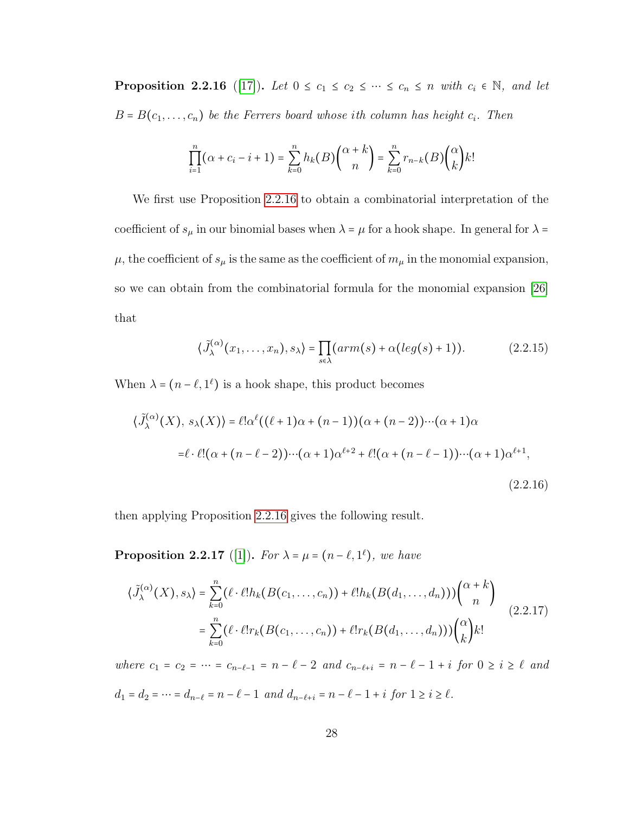<span id="page-33-0"></span>**Proposition 2.2.16** ([\[17\]](#page-92-2)). Let  $0 \le c_1 \le c_2 \le \cdots \le c_n \le n$  with  $c_i \in \mathbb{N}$ , and let  $B = B(c_1, \ldots, c_n)$  be the Ferrers board whose ith column has height  $c_i$ . Then

$$
\prod_{i=1}^n (\alpha + c_i - i + 1) = \sum_{k=0}^n h_k(B) \binom{\alpha + k}{n} = \sum_{k=0}^n r_{n-k}(B) \binom{\alpha}{k} k!
$$

We first use Proposition [2.2.16](#page-33-0) to obtain a combinatorial interpretation of the coefficient of  $s_\mu$  in our binomial bases when  $\lambda = \mu$  for a hook shape. In general for  $\lambda =$  $\mu,$  the coefficient of  $s_\mu$  is the same as the coefficient of  $m_\mu$  in the monomial expansion, so we can obtain from the combinatorial formula for the monomial expansion [\[26\]](#page-93-1) that

$$
\langle \tilde{J}_{\lambda}^{(\alpha)}(x_1,\ldots,x_n),s_{\lambda}\rangle = \prod_{s\in\lambda}(arm(s) + \alpha(\log(s) + 1)).\tag{2.2.15}
$$

When  $\lambda = (n - \ell, 1^{\ell})$  is a hook shape, this product becomes

$$
\langle \tilde{J}_{\lambda}^{(\alpha)}(X), s_{\lambda}(X) \rangle = \ell! \alpha^{\ell}((\ell+1)\alpha + (n-1))(\alpha + (n-2)) \cdots (\alpha + 1)\alpha
$$
  

$$
= \ell \cdot \ell! (\alpha + (n - \ell - 2)) \cdots (\alpha + 1) \alpha^{\ell+2} + \ell! (\alpha + (n - \ell - 1)) \cdots (\alpha + 1) \alpha^{\ell+1},
$$
  
(2.2.16)

then applying Proposition [2.2.16](#page-33-0) gives the following result.

**Proposition 2.2.17** ([\[1\]](#page-90-1)). For  $\lambda = \mu = (n - \ell, 1^{\ell})$ , we have

$$
\langle \tilde{J}_{\lambda}^{(\alpha)}(X), s_{\lambda} \rangle = \sum_{k=0}^{n} (\ell \cdot \ell! h_k(B(c_1, \ldots, c_n)) + \ell! h_k(B(d_1, \ldots, d_n))) \binom{\alpha + k}{n}
$$
  

$$
= \sum_{k=0}^{n} (\ell \cdot \ell! r_k(B(c_1, \ldots, c_n)) + \ell! r_k(B(d_1, \ldots, d_n))) \binom{\alpha}{k} k! \tag{2.2.17}
$$

where  $c_1 = c_2 = \cdots = c_{n-\ell-1} = n - \ell - 2$  and  $c_{n-\ell+i} = n - \ell - 1 + i$  for  $0 \ge i \ge \ell$  and  $d_1 = d_2 = \cdots = d_{n-\ell} = n-\ell-1 \hspace{0.2cm} and \hspace{0.2cm} d_{n-\ell+i} = n-\ell-1 + i \hspace{0.2cm} for \hspace{0.2cm} 1 \geq i \geq \ell.$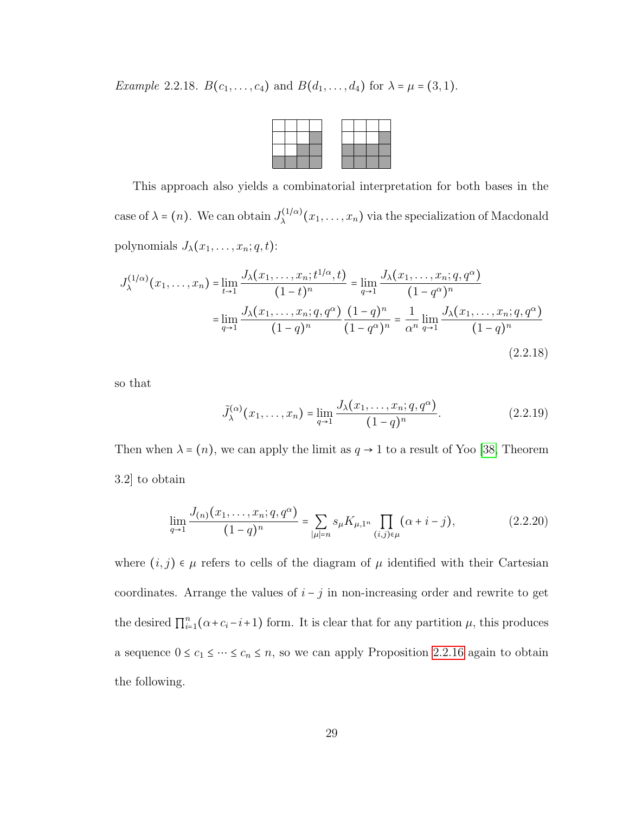Example 2.2.18.  $B(c_1, ..., c_4)$  and  $B(d_1, ..., d_4)$  for  $\lambda = \mu = (3, 1)$ .

This approach also yields a combinatorial interpretation for both bases in the case of  $\lambda = (n)$ . We can obtain  $J_{\lambda}^{(1/\alpha)}(x_1,\ldots,x_n)$  via the specialization of Macdonald polynomials  $J_{\lambda}(x_1, \ldots, x_n; q, t)$ :

$$
J_{\lambda}^{(1/\alpha)}(x_1, \dots, x_n) = \lim_{t \to 1} \frac{J_{\lambda}(x_1, \dots, x_n; t^{1/\alpha}, t)}{(1 - t)^n} = \lim_{q \to 1} \frac{J_{\lambda}(x_1, \dots, x_n; q, q^{\alpha})}{(1 - q^{\alpha})^n}
$$

$$
= \lim_{q \to 1} \frac{J_{\lambda}(x_1, \dots, x_n; q, q^{\alpha})}{(1 - q)^n} \frac{(1 - q)^n}{(1 - q^{\alpha})^n} = \frac{1}{\alpha^n} \lim_{q \to 1} \frac{J_{\lambda}(x_1, \dots, x_n; q, q^{\alpha})}{(1 - q)^n}
$$
(2.2.18)

so that

$$
\tilde{J}_{\lambda}^{(\alpha)}(x_1,\ldots,x_n) = \lim_{q \to 1} \frac{J_{\lambda}(x_1,\ldots,x_n;q,q^{\alpha})}{(1-q)^n}.
$$
\n(2.2.19)

Then when  $\lambda = (n)$ , we can apply the limit as  $q \to 1$  to a result of Yoo [\[38,](#page-94-2) Theorem 3.2] to obtain

$$
\lim_{q \to 1} \frac{J_{(n)}(x_1, \dots, x_n; q, q^{\alpha})}{(1-q)^n} = \sum_{|\mu|=n} s_{\mu} K_{\mu, 1^n} \prod_{(i,j) \in \mu} (\alpha + i - j), \tag{2.2.20}
$$

where  $(i, j) \in \mu$  refers to cells of the diagram of  $\mu$  identified with their Cartesian coordinates. Arrange the values of  $i - j$  in non-increasing order and rewrite to get the desired  $\prod_{i=1}^{n} (\alpha + c_i - i + 1)$  form. It is clear that for any partition  $\mu$ , this produces a sequence  $0 \le c_1 \le \dots \le c_n \le n$ , so we can apply Proposition [2.2.16](#page-33-0) again to obtain the following.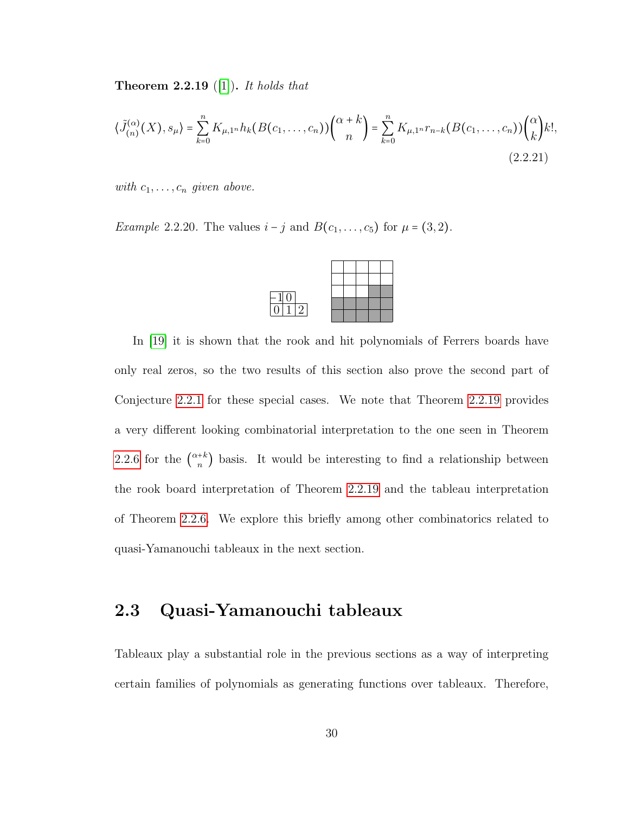<span id="page-35-1"></span>**Theorem 2.2.19** ([\[1\]](#page-90-1)). It holds that

$$
\langle \tilde{J}_{(n)}^{(\alpha)}(X), s_{\mu} \rangle = \sum_{k=0}^{n} K_{\mu,1^n} h_k(B(c_1, \dots, c_n)) \binom{\alpha + k}{n} = \sum_{k=0}^{n} K_{\mu,1^n} r_{n-k} (B(c_1, \dots, c_n)) \binom{\alpha}{k} k!,
$$
\n(2.2.21)

with  $c_1, \ldots, c_n$  given above.

*Example 2.2.20.* The values  $i - j$  and  $B(c_1, ..., c_5)$  for  $\mu = (3, 2)$ .



In [\[19\]](#page-92-3) it is shown that the rook and hit polynomials of Ferrers boards have only real zeros, so the two results of this section also prove the second part of Conjecture [2.2.1](#page-20-0) for these special cases. We note that Theorem [2.2.19](#page-35-1) provides a very different looking combinatorial interpretation to the one seen in Theorem [2.2.6](#page-22-1) for the  $\binom{\alpha+k}{n}$  basis. It would be interesting to find a relationship between the rook board interpretation of Theorem [2.2.19](#page-35-1) and the tableau interpretation of Theorem [2.2.6.](#page-22-1) We explore this briefly among other combinatorics related to quasi-Yamanouchi tableaux in the next section.

### <span id="page-35-0"></span>2.3 Quasi-Yamanouchi tableaux

Tableaux play a substantial role in the previous sections as a way of interpreting certain families of polynomials as generating functions over tableaux. Therefore,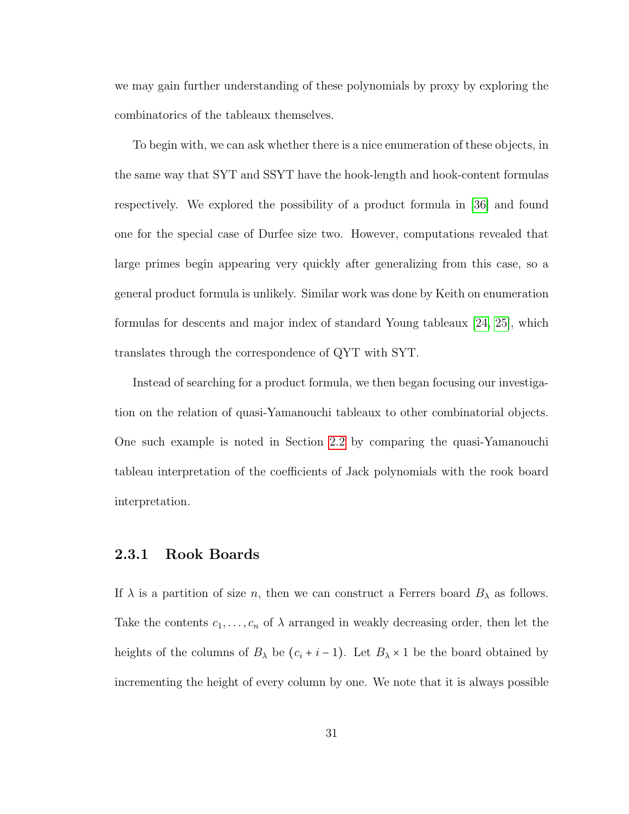we may gain further understanding of these polynomials by proxy by exploring the combinatorics of the tableaux themselves.

To begin with, we can ask whether there is a nice enumeration of these objects, in the same way that SYT and SSYT have the hook-length and hook-content formulas respectively. We explored the possibility of a product formula in [\[36\]](#page-94-0) and found one for the special case of Durfee size two. However, computations revealed that large primes begin appearing very quickly after generalizing from this case, so a general product formula is unlikely. Similar work was done by Keith on enumeration formulas for descents and major index of standard Young tableaux [\[24,](#page-93-0) [25\]](#page-93-1), which translates through the correspondence of QYT with SYT.

Instead of searching for a product formula, we then began focusing our investigation on the relation of quasi-Yamanouchi tableaux to other combinatorial objects. One such example is noted in Section [2.2](#page-18-0) by comparing the quasi-Yamanouchi tableau interpretation of the coefficients of Jack polynomials with the rook board interpretation.

## 2.3.1 Rook Boards

If  $\lambda$  is a partition of size n, then we can construct a Ferrers board  $B_{\lambda}$  as follows. Take the contents  $c_1, \ldots, c_n$  of  $\lambda$  arranged in weakly decreasing order, then let the heights of the columns of  $B_\lambda$  be  $(c_i + i - 1)$ . Let  $B_\lambda \times 1$  be the board obtained by incrementing the height of every column by one. We note that it is always possible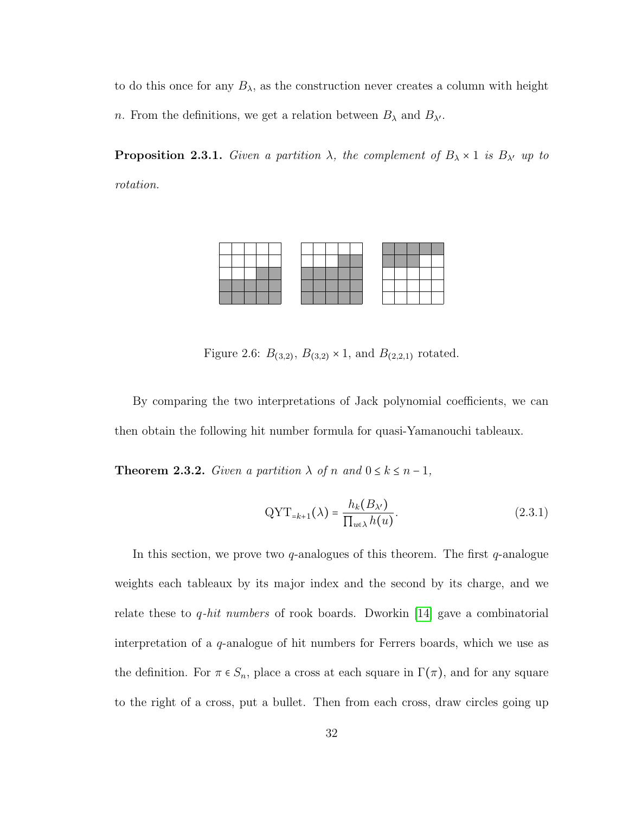to do this once for any  $B_{\lambda}$ , as the construction never creates a column with height n. From the definitions, we get a relation between  $B_{\lambda}$  and  $B_{\lambda'}$ .

<span id="page-37-0"></span>**Proposition 2.3.1.** Given a partition  $\lambda$ , the complement of  $B_{\lambda} \times 1$  is  $B_{\lambda'}$  up to rotation.



Figure 2.6:  $B_{(3,2)}$ ,  $B_{(3,2)} \times 1$ , and  $B_{(2,2,1)}$  rotated.

By comparing the two interpretations of Jack polynomial coefficients, we can then obtain the following hit number formula for quasi-Yamanouchi tableaux.

<span id="page-37-1"></span>**Theorem 2.3.2.** Given a partition  $\lambda$  of n and  $0 \le k \le n-1$ ,

$$
QYT_{=k+1}(\lambda) = \frac{h_k(B_{\lambda'})}{\prod_{u \in \lambda} h(u)}.
$$
\n(2.3.1)

In this section, we prove two  $q$ -analogues of this theorem. The first  $q$ -analogue weights each tableaux by its major index and the second by its charge, and we relate these to *q-hit numbers* of rook boards. Dworkin [\[14\]](#page-91-0) gave a combinatorial interpretation of a q-analogue of hit numbers for Ferrers boards, which we use as the definition. For  $\pi \in S_n$ , place a cross at each square in  $\Gamma(\pi)$ , and for any square to the right of a cross, put a bullet. Then from each cross, draw circles going up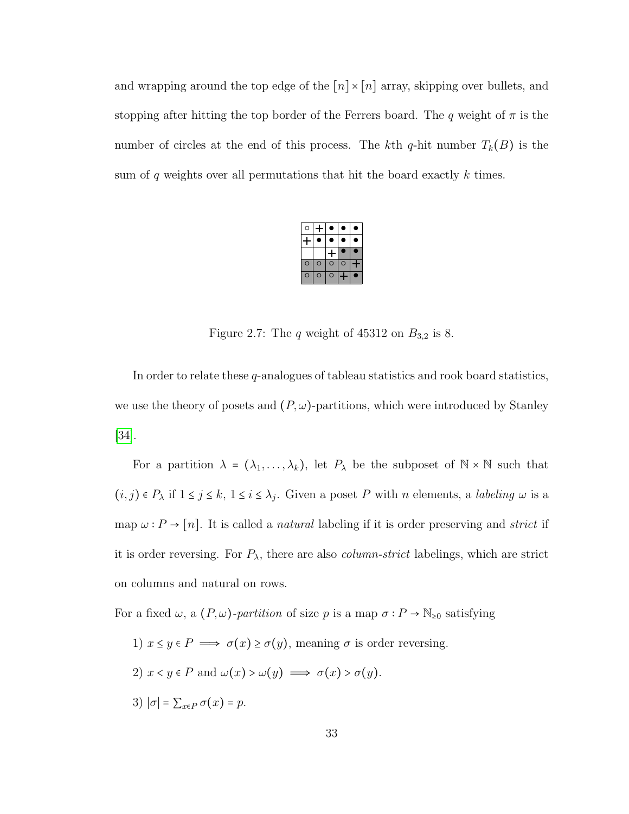and wrapping around the top edge of the  $\lceil n \rceil \times \lceil n \rceil$  array, skipping over bullets, and stopping after hitting the top border of the Ferrers board. The q weight of  $\pi$  is the number of circles at the end of this process. The kth q-hit number  $T_k(B)$  is the sum of q weights over all permutations that hit the board exactly  $k$  times.

| с              |   |   |          |  |  |
|----------------|---|---|----------|--|--|
|                |   |   |          |  |  |
|                |   |   |          |  |  |
| $\overline{C}$ | C | ٢ | $\Omega$ |  |  |
| ⋂              | ٥ | п |          |  |  |

Figure 2.7: The  $q$  weight of 45312 on  $B_{3,2}$  is 8.

In order to relate these q-analogues of tableau statistics and rook board statistics, we use the theory of posets and  $(P, \omega)$ -partitions, which were introduced by Stanley [\[34\]](#page-94-1).

For a partition  $\lambda = (\lambda_1, \ldots, \lambda_k)$ , let  $P_{\lambda}$  be the subposet of  $\mathbb{N} \times \mathbb{N}$  such that  $(i, j) \in P_{\lambda}$  if  $1 \leq j \leq k$ ,  $1 \leq i \leq \lambda_j$ . Given a poset P with n elements, a *labeling*  $\omega$  is a map  $\omega : P \to [n]$ . It is called a *natural* labeling if it is order preserving and *strict* if it is order reversing. For  $P_{\lambda}$ , there are also *column-strict* labelings, which are strict on columns and natural on rows.

For a fixed  $\omega$ , a  $(P, \omega)$ -partition of size p is a map  $\sigma : P \to \mathbb{N}_{\geq 0}$  satisfying

1)  $x \leq y \in P \implies \sigma(x) \geq \sigma(y)$ , meaning  $\sigma$  is order reversing. 2)  $x < y \in P$  and  $\omega(x) > \omega(y) \implies \sigma(x) > \sigma(y)$ . 3)  $|\sigma| = \sum_{x \in P} \sigma(x) = p$ .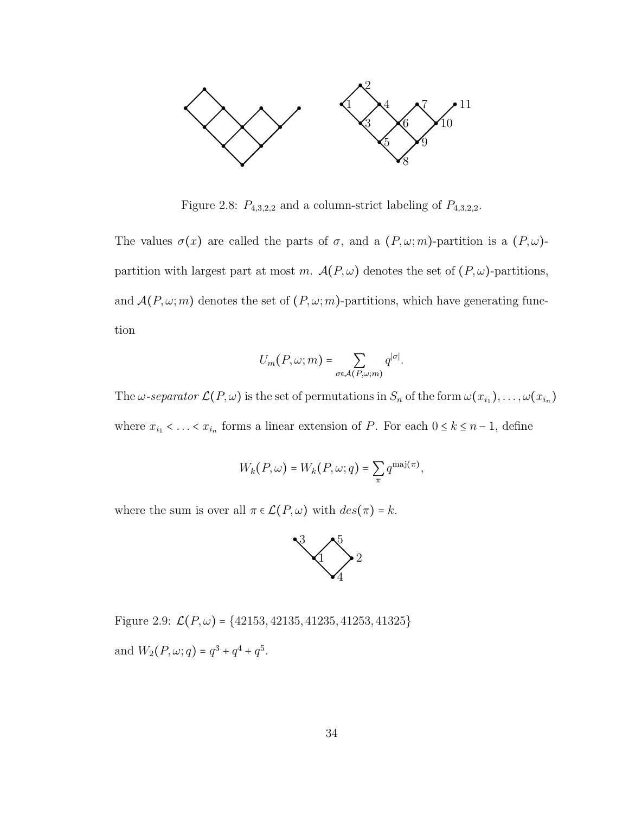

Figure 2.8:  $P_{4,3,2,2}$  and a column-strict labeling of  $P_{4,3,2,2}$ .

The values  $\sigma(x)$  are called the parts of  $\sigma$ , and a  $(P, \omega; m)$ -partition is a  $(P, \omega)$ partition with largest part at most m.  $\mathcal{A}(P,\omega)$  denotes the set of  $(P,\omega)$ -partitions, and  $\mathcal{A}(P,\omega;m)$  denotes the set of  $(P,\omega;m)$ -partitions, which have generating function

$$
U_m(P,\omega;m) = \sum_{\sigma \in \mathcal{A}(P,\omega;m)} q^{|\sigma|}.
$$

The  $\omega$ -separator  $\mathcal{L}(P,\omega)$  is the set of permutations in  $S_n$  of the form  $\omega(x_{i_1}),\ldots,\omega(x_{i_n})$ where  $x_{i_1} < \ldots < x_{i_n}$  forms a linear extension of P. For each  $0 \le k \le n-1$ , define

$$
W_k(P,\omega) = W_k(P,\omega;q) = \sum_{\pi} q^{\text{maj}(\pi)},
$$

where the sum is over all  $\pi \in \mathcal{L}(P, \omega)$  with  $des(\pi) = k$ .



Figure 2.9:  $\mathcal{L}(P,\omega)$  = {42153, 42135, 41235, 41253, 41325} and  $W_2(P, \omega; q) = q^3 + q^4 + q^5$ .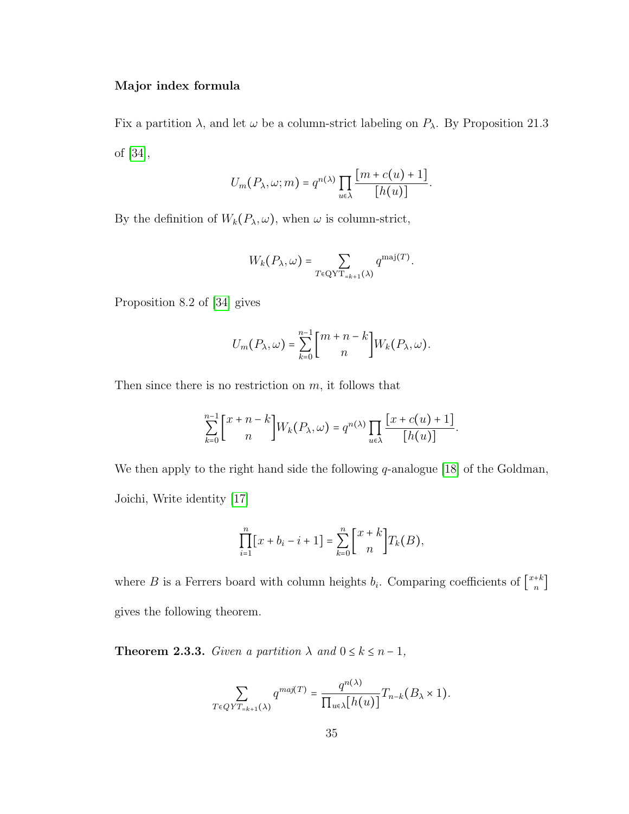### Major index formula

Fix a partition  $\lambda$ , and let  $\omega$  be a column-strict labeling on  $P_{\lambda}$ . By Proposition 21.3 of [\[34\]](#page-94-1),

$$
U_m(P_\lambda,\omega;m) = q^{n(\lambda)} \prod_{u \in \lambda} \frac{[m+c(u)+1]}{[h(u)]}.
$$

By the definition of  $W_k(P_\lambda, \omega)$ , when  $\omega$  is column-strict,

$$
W_k(P_\lambda,\omega)=\sum_{T\in \text{QYT}_{=k+1}(\lambda)}q^{\text{maj}(T)}.
$$

Proposition 8.2 of [\[34\]](#page-94-1) gives

$$
U_m(P_\lambda,\omega)=\sum_{k=0}^{n-1}\binom{m+n-k}{n}W_k(P_\lambda,\omega).
$$

Then since there is no restriction on  $m$ , it follows that

$$
\sum_{k=0}^{n-1} \binom{x+n-k}{n} W_k(P_\lambda, \omega) = q^{n(\lambda)} \prod_{u \in \lambda} \frac{\lfloor x + c(u) + 1 \rfloor}{\lfloor h(u) \rfloor}.
$$

We then apply to the right hand side the following q-analogue [\[18\]](#page-92-0) of the Goldman, Joichi, Write identity [\[17\]](#page-92-1)

$$
\prod_{i=1}^{n} [x + b_i - i + 1] = \sum_{k=0}^{n} \binom{x+k}{n} T_k(B),
$$

where B is a Ferrers board with column heights  $b_i$ . Comparing coefficients of  $\begin{bmatrix} x+k \\ n \end{bmatrix}$ gives the following theorem.

<span id="page-40-0"></span>**Theorem 2.3.3.** Given a partition  $\lambda$  and  $0 \le k \le n-1$ ,

$$
\sum_{T \in QYT_{=k+1}(\lambda)} q^{maj(T)} = \frac{q^{n(\lambda)}}{\prod_{u \in \lambda} [h(u)]} T_{n-k}(B_{\lambda} \times 1).
$$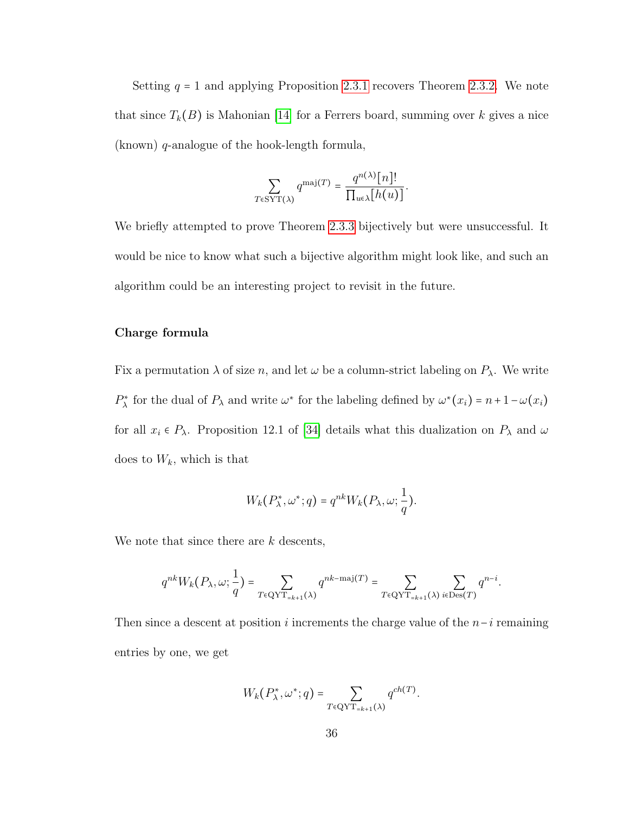Setting  $q = 1$  and applying Proposition [2.3.1](#page-37-0) recovers Theorem [2.3.2.](#page-37-1) We note that since  $T_k(B)$  is Mahonian [\[14\]](#page-91-0) for a Ferrers board, summing over k gives a nice (known) q-analogue of the hook-length formula,

$$
\sum_{T \in \text{SYT}(\lambda)} q^{\text{maj}(T)} = \frac{q^{n(\lambda)}[n]!}{\prod_{u \in \lambda} [h(u)]}.
$$

We briefly attempted to prove Theorem [2.3.3](#page-40-0) bijectively but were unsuccessful. It would be nice to know what such a bijective algorithm might look like, and such an algorithm could be an interesting project to revisit in the future.

#### Charge formula

Fix a permutation  $\lambda$  of size n, and let  $\omega$  be a column-strict labeling on  $P_{\lambda}$ . We write  $P_{\lambda}^{*}$  for the dual of  $P_{\lambda}$  and write  $\omega^{*}$  for the labeling defined by  $\omega^{*}(x_i) = n + 1 - \omega(x_i)$ for all  $x_i \in P_\lambda$ . Proposition 12.1 of [\[34\]](#page-94-1) details what this dualization on  $P_\lambda$  and  $\omega$ does to  $W_k$ , which is that

$$
W_k(P_{\lambda}^*, \omega^*; q) = q^{nk} W_k(P_{\lambda}, \omega; \frac{1}{q}).
$$

We note that since there are k descents,

$$
q^{nk}W_k(P_\lambda,\omega;\frac{1}{q})=\sum_{T\in \text{QYT}_{=k+1}(\lambda)}q^{nk-\text{maj}(T)}=\sum_{T\in \text{QYT}_{=k+1}(\lambda)}\sum_{i\in \text{Des}(T)}q^{n-i}.
$$

Then since a descent at position i increments the charge value of the  $n-i$  remaining entries by one, we get

$$
W_k(P_{\lambda}^*, \omega^*; q) = \sum_{T \in \text{QYT}_{=k+1}(\lambda)} q^{ch(T)}.
$$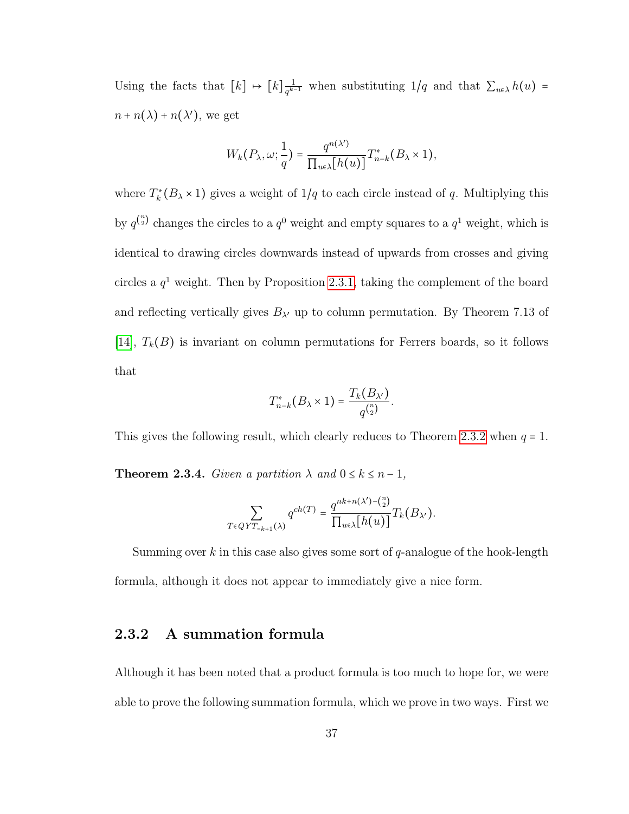Using the facts that  $[k] \mapsto [k]_{q^{k}}^{\frac{1}{q^k}}$  $\frac{1}{q^{k-1}}$  when substituting 1/q and that  $\sum_{u \in \lambda} h(u)$  =  $n + n(\lambda) + n(\lambda')$ , we get

$$
W_k(P_\lambda,\omega;\frac{1}{q})=\frac{q^{n(\lambda')}}{\prod_{u\in\lambda}[h(u)]}T_{n-k}^*(B_\lambda\times 1),
$$

where  $T_k^*(B_\lambda \times 1)$  gives a weight of  $1/q$  to each circle instead of q. Multiplying this by  $q^{n \choose 2}$  changes the circles to a  $q^0$  weight and empty squares to a  $q^1$  weight, which is identical to drawing circles downwards instead of upwards from crosses and giving circles a  $q<sup>1</sup>$  weight. Then by Proposition [2.3.1,](#page-37-0) taking the complement of the board and reflecting vertically gives  $B_{\lambda'}$  up to column permutation. By Theorem 7.13 of [\[14\]](#page-91-0),  $T_k(B)$  is invariant on column permutations for Ferrers boards, so it follows that

$$
T_{n-k}^*(B_\lambda \times 1) = \frac{T_k(B_{\lambda'})}{q^{\binom{n}{2}}}.
$$

This gives the following result, which clearly reduces to Theorem [2.3.2](#page-37-1) when  $q = 1$ .

**Theorem 2.3.4.** Given a partition  $\lambda$  and  $0 \le k \le n-1$ ,

$$
\sum_{T \in QYT_{=k+1}(\lambda)} q^{ch(T)} = \frac{q^{nk+n(\lambda') - {n \choose 2}}}{\prod_{u \in \lambda} [h(u)]} T_k(B_{\lambda'}).
$$

Summing over k in this case also gives some sort of  $q$ -analogue of the hook-length formula, although it does not appear to immediately give a nice form.

## 2.3.2 A summation formula

Although it has been noted that a product formula is too much to hope for, we were able to prove the following summation formula, which we prove in two ways. First we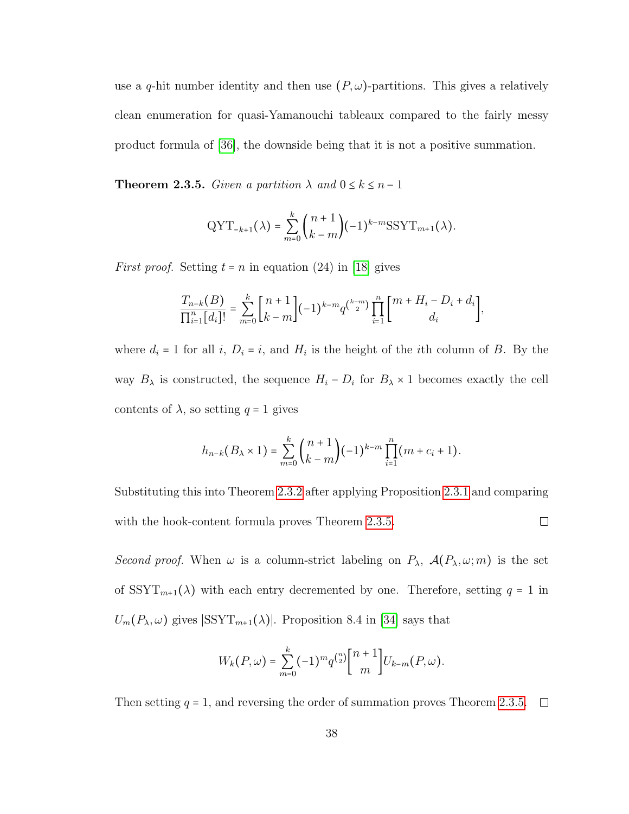use a q-hit number identity and then use  $(P, \omega)$ -partitions. This gives a relatively clean enumeration for quasi-Yamanouchi tableaux compared to the fairly messy product formula of [\[36\]](#page-94-0), the downside being that it is not a positive summation.

<span id="page-43-0"></span>**Theorem 2.3.5.** Given a partition  $\lambda$  and  $0 \le k \le n-1$ 

$$
\text{QYT}_{=k+1}(\lambda) = \sum_{m=0}^{k} {n+1 \choose k-m} (-1)^{k-m} \text{SSYT}_{m+1}(\lambda).
$$

*First proof.* Setting  $t = n$  in equation (24) in [\[18\]](#page-92-0) gives

$$
\frac{T_{n-k}(B)}{\prod_{i=1}^n [d_i]!} = \sum_{m=0}^k {n+1 \choose k-m} (-1)^{k-m} q^{\binom{k-m}{2}} \prod_{i=1}^n {m+H_i - D_i + d_i \choose d_i},
$$

where  $d_i = 1$  for all i,  $D_i = i$ , and  $H_i$  is the height of the ith column of B. By the way  $B_{\lambda}$  is constructed, the sequence  $H_i - D_i$  for  $B_{\lambda} \times 1$  becomes exactly the cell contents of  $\lambda$ , so setting  $q = 1$  gives

$$
h_{n-k}(B_{\lambda} \times 1) = \sum_{m=0}^{k} {n+1 \choose k-m} (-1)^{k-m} \prod_{i=1}^{n} (m + c_i + 1).
$$

Substituting this into Theorem [2.3.2](#page-37-1) after applying Proposition [2.3.1](#page-37-0) and comparing  $\Box$ with the hook-content formula proves Theorem [2.3.5.](#page-43-0)

Second proof. When  $\omega$  is a column-strict labeling on  $P_{\lambda}$ ,  $\mathcal{A}(P_{\lambda}, \omega; m)$  is the set of  $SSYT_{m+1}(\lambda)$  with each entry decremented by one. Therefore, setting  $q = 1$  in  $U_m(P_\lambda,\omega)$  gives  $|\text{SSYT}_{m+1}(\lambda)|$ . Proposition 8.4 in [\[34\]](#page-94-1) says that

$$
W_{k}(P,\omega) = \sum_{m=0}^{k} (-1)^{m} q^{\binom{n}{2}} {n+1 \brack m} U_{k-m}(P,\omega).
$$

Then setting  $q = 1$ , and reversing the order of summation proves Theorem [2.3.5.](#page-43-0)  $\Box$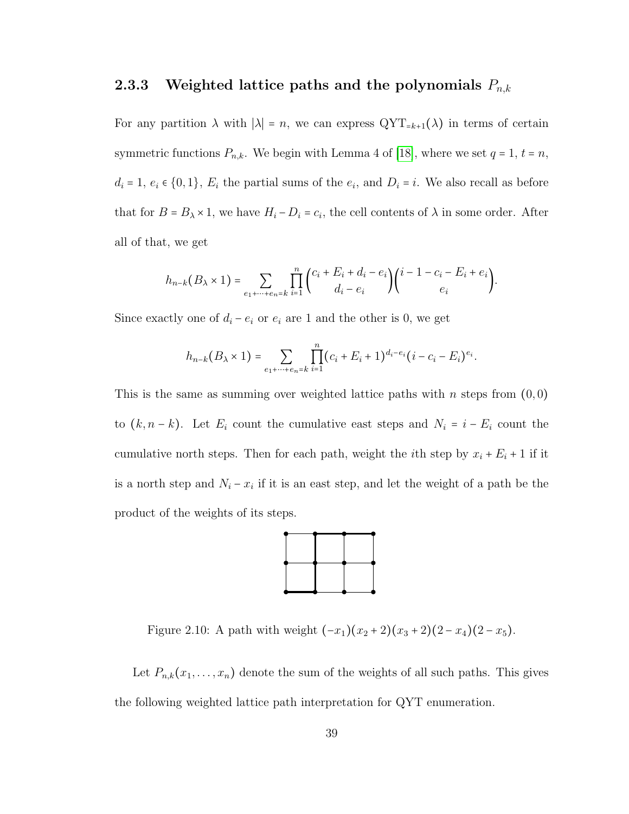## 2.3.3 Weighted lattice paths and the polynomials  $P_{n,k}$

For any partition  $\lambda$  with  $|\lambda| = n$ , we can express  $\mathrm{QYT}_{=k+1}(\lambda)$  in terms of certain symmetric functions  $P_{n,k}$ . We begin with Lemma 4 of [\[18\]](#page-92-0), where we set  $q = 1$ ,  $t = n$ ,  $d_i = 1, e_i \in \{0, 1\}, E_i$  the partial sums of the  $e_i$ , and  $D_i = i$ . We also recall as before that for  $B = B_{\lambda} \times 1$ , we have  $H_i - D_i = c_i$ , the cell contents of  $\lambda$  in some order. After all of that, we get

$$
h_{n-k}(B_{\lambda} \times 1) = \sum_{e_1 + \dots + e_n = k} \prod_{i=1}^n {c_i + E_i + d_i - e_i \choose d_i - e_i} {i - 1 - c_i - E_i + e_i \choose e_i}.
$$

Since exactly one of  $d_i - e_i$  or  $e_i$  are 1 and the other is 0, we get

$$
h_{n-k}(B_{\lambda} \times 1) = \sum_{e_1 + \dots + e_n = k} \prod_{i=1}^n (c_i + E_i + 1)^{d_i - e_i} (i - c_i - E_i)^{e_i}.
$$

This is the same as summing over weighted lattice paths with n steps from  $(0,0)$ to  $(k, n-k)$ . Let  $E_i$  count the cumulative east steps and  $N_i = i - E_i$  count the cumulative north steps. Then for each path, weight the *i*<sup>th</sup> step by  $x_i + E_i + 1$  if it is a north step and  $N_i - x_i$  if it is an east step, and let the weight of a path be the product of the weights of its steps.



Figure 2.10: A path with weight  $(-x_1)(x_2+2)(x_3+2)(2-x_4)(2-x_5)$ .

Let  $P_{n,k}(x_1,\ldots,x_n)$  denote the sum of the weights of all such paths. This gives the following weighted lattice path interpretation for QYT enumeration.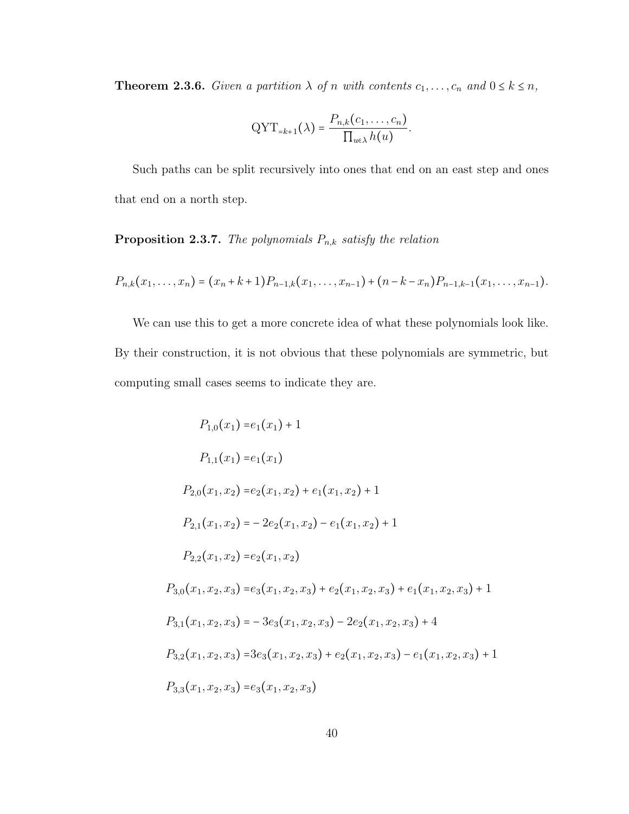**Theorem 2.3.6.** Given a partition  $\lambda$  of n with contents  $c_1, \ldots, c_n$  and  $0 \le k \le n$ ,

$$
\text{QYT}_{=k+1}(\lambda) = \frac{P_{n,k}(c_1,\ldots,c_n)}{\prod_{u\in\lambda}h(u)}.
$$

Such paths can be split recursively into ones that end on an east step and ones that end on a north step.

## **Proposition 2.3.7.** The polynomials  $P_{n,k}$  satisfy the relation

$$
P_{n,k}(x_1,\ldots,x_n)=(x_n+k+1)P_{n-1,k}(x_1,\ldots,x_{n-1})+(n-k-x_n)P_{n-1,k-1}(x_1,\ldots,x_{n-1}).
$$

We can use this to get a more concrete idea of what these polynomials look like. By their construction, it is not obvious that these polynomials are symmetric, but computing small cases seems to indicate they are.

$$
P_{1,0}(x_1) = e_1(x_1) + 1
$$
  
\n
$$
P_{1,1}(x_1) = e_1(x_1)
$$
  
\n
$$
P_{2,0}(x_1, x_2) = e_2(x_1, x_2) + e_1(x_1, x_2) + 1
$$
  
\n
$$
P_{2,1}(x_1, x_2) = -2e_2(x_1, x_2) - e_1(x_1, x_2) + 1
$$
  
\n
$$
P_{2,2}(x_1, x_2) = e_2(x_1, x_2)
$$
  
\n
$$
P_{3,0}(x_1, x_2, x_3) = e_3(x_1, x_2, x_3) + e_2(x_1, x_2, x_3) + e_1(x_1, x_2, x_3) + 1
$$
  
\n
$$
P_{3,1}(x_1, x_2, x_3) = -3e_3(x_1, x_2, x_3) - 2e_2(x_1, x_2, x_3) + 4
$$
  
\n
$$
P_{3,2}(x_1, x_2, x_3) = 3e_3(x_1, x_2, x_3) + e_2(x_1, x_2, x_3) - e_1(x_1, x_2, x_3) + 1
$$
  
\n
$$
P_{3,3}(x_1, x_2, x_3) = e_3(x_1, x_2, x_3)
$$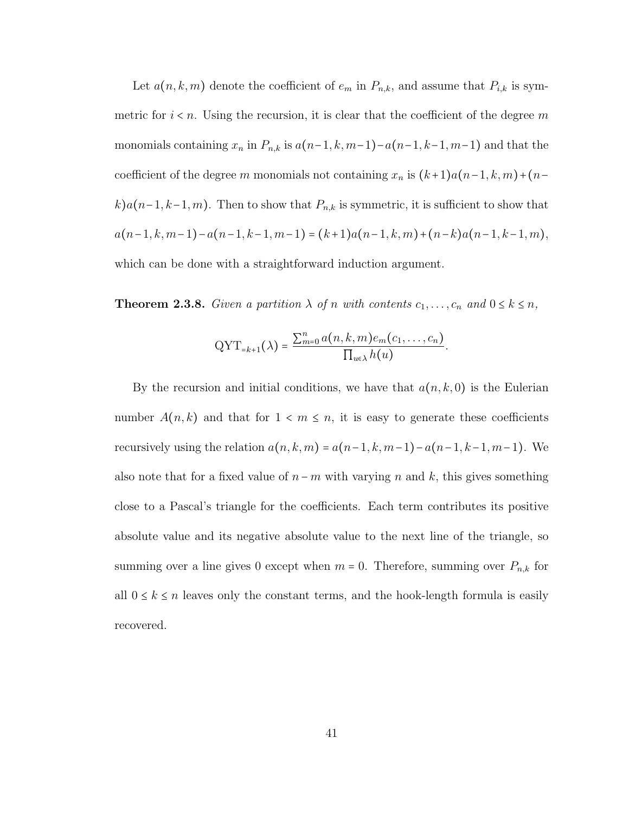Let  $a(n, k, m)$  denote the coefficient of  $e_m$  in  $P_{n,k}$ , and assume that  $P_{i,k}$  is symmetric for  $i < n$ . Using the recursion, it is clear that the coefficient of the degree m monomials containing  $x_n$  in  $P_{n,k}$  is  $a(n-1, k, m-1)-a(n-1, k-1, m-1)$  and that the coefficient of the degree m monomials not containing  $x_n$  is  $(k+1)a(n-1, k, m)+(n-1)$ k)a(n-1, k-1, m). Then to show that  $P_{n,k}$  is symmetric, it is sufficient to show that  $a(n-1, k, m-1)-a(n-1, k-1, m-1) = (k+1)a(n-1, k, m)+(n-k)a(n-1, k-1, m),$ which can be done with a straightforward induction argument.

**Theorem 2.3.8.** Given a partition  $\lambda$  of n with contents  $c_1, \ldots, c_n$  and  $0 \le k \le n$ ,

$$
QYT_{=k+1}(\lambda) = \frac{\sum_{m=0}^{n} a(n, k, m) e_m(c_1, \dots, c_n)}{\prod_{u \in \lambda} h(u)}.
$$

By the recursion and initial conditions, we have that  $a(n, k, 0)$  is the Eulerian number  $A(n, k)$  and that for  $1 \lt m \leq n$ , it is easy to generate these coefficients recursively using the relation  $a(n, k, m) = a(n-1, k, m-1) - a(n-1, k-1, m-1)$ . We also note that for a fixed value of  $n - m$  with varying n and k, this gives something close to a Pascal's triangle for the coefficients. Each term contributes its positive absolute value and its negative absolute value to the next line of the triangle, so summing over a line gives 0 except when  $m = 0$ . Therefore, summing over  $P_{n,k}$  for all  $0 \le k \le n$  leaves only the constant terms, and the hook-length formula is easily recovered.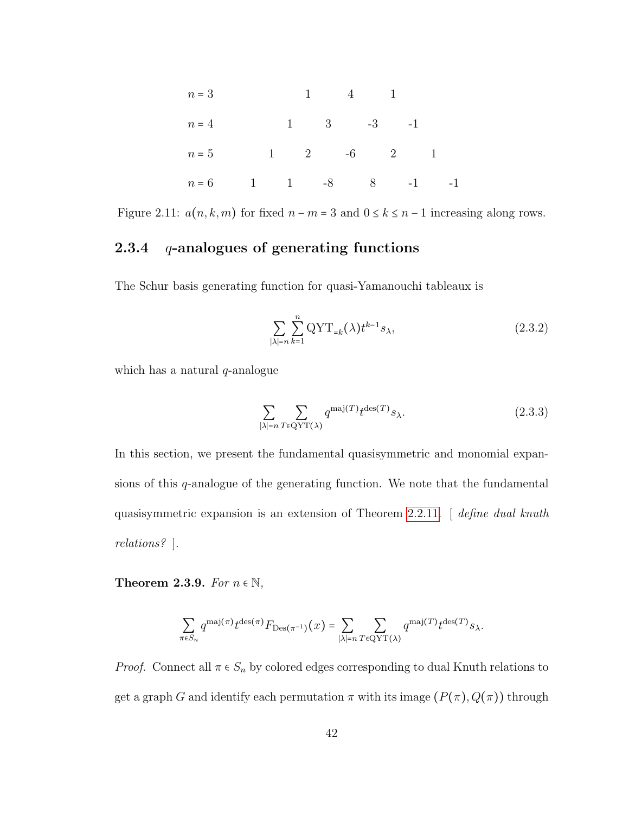| $n=3$                  |  |  | $1 \qquad 4 \qquad 1$ |  |                          |  |
|------------------------|--|--|-----------------------|--|--------------------------|--|
| $n=4$                  |  |  | $1 \t 3 \t -3 \t -1$  |  |                          |  |
| $n=5$                  |  |  |                       |  | $1 \t 2 \t -6 \t 2 \t 1$ |  |
| $n = 6$ 1 1 -8 8 -1 -1 |  |  |                       |  |                          |  |

Figure 2.11:  $a(n, k, m)$  for fixed  $n - m = 3$  and  $0 \le k \le n - 1$  increasing along rows.

## 2.3.4  $q$ -analogues of generating functions

The Schur basis generating function for quasi-Yamanouchi tableaux is

$$
\sum_{|\lambda|=n} \sum_{k=1}^n \mathrm{QYT}_{=k}(\lambda) t^{k-1} s_{\lambda},\tag{2.3.2}
$$

which has a natural  $q$ -analogue

$$
\sum_{|\lambda|=n} \sum_{T \in \mathcal{Q}YT(\lambda)} q^{\text{maj}(T)} t^{\text{des}(T)} s_{\lambda}.
$$
 (2.3.3)

In this section, we present the fundamental quasisymmetric and monomial expansions of this  $q$ -analogue of the generating function. We note that the fundamental quasisymmetric expansion is an extension of Theorem [2.2.11.](#page-29-0) [ define dual knuth relations? ].

Theorem 2.3.9. For  $n \in \mathbb{N}$ ,

$$
\sum_{\pi \in S_n} q^{\text{maj}(\pi)} t^{\text{des}(\pi)} F_{\text{Des}(\pi^{-1})}(x) = \sum_{|\lambda|=n} \sum_{T \in \text{QYT}(\lambda)} q^{\text{maj}(T)} t^{\text{des}(T)} s_{\lambda}.
$$

*Proof.* Connect all  $\pi \in S_n$  by colored edges corresponding to dual Knuth relations to get a graph G and identify each permutation  $\pi$  with its image  $(P(\pi), Q(\pi))$  through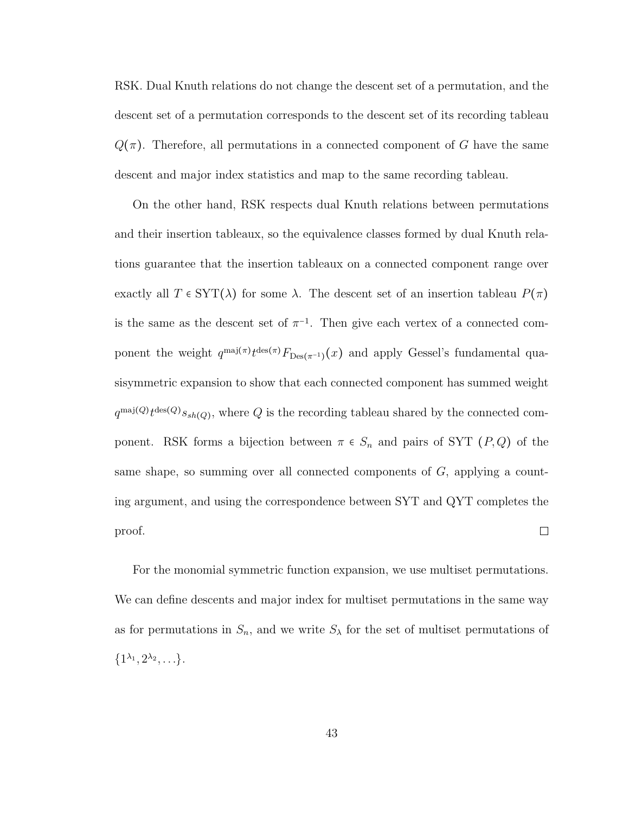RSK. Dual Knuth relations do not change the descent set of a permutation, and the descent set of a permutation corresponds to the descent set of its recording tableau  $Q(\pi)$ . Therefore, all permutations in a connected component of G have the same descent and major index statistics and map to the same recording tableau.

On the other hand, RSK respects dual Knuth relations between permutations and their insertion tableaux, so the equivalence classes formed by dual Knuth relations guarantee that the insertion tableaux on a connected component range over exactly all  $T \in \text{SYT}(\lambda)$  for some  $\lambda$ . The descent set of an insertion tableau  $P(\pi)$ is the same as the descent set of  $\pi^{-1}$ . Then give each vertex of a connected component the weight  $q^{\text{maj}(\pi)}t^{\text{des}(\pi)}F_{\text{Des}(\pi^{-1})}(x)$  and apply Gessel's fundamental quasisymmetric expansion to show that each connected component has summed weight  $q^{\text{maj}(Q)}t^{\text{des}(Q)}s_{sh(Q)}$ , where Q is the recording tableau shared by the connected component. RSK forms a bijection between  $\pi \in S_n$  and pairs of SYT  $(P,Q)$  of the same shape, so summing over all connected components of  $G$ , applying a counting argument, and using the correspondence between SYT and QYT completes the  $\Box$ proof.

For the monomial symmetric function expansion, we use multiset permutations. We can define descents and major index for multiset permutations in the same way as for permutations in  $S_n$ , and we write  $S_\lambda$  for the set of multiset permutations of  $\{1^{\lambda_1}, 2^{\lambda_2}, \ldots\}.$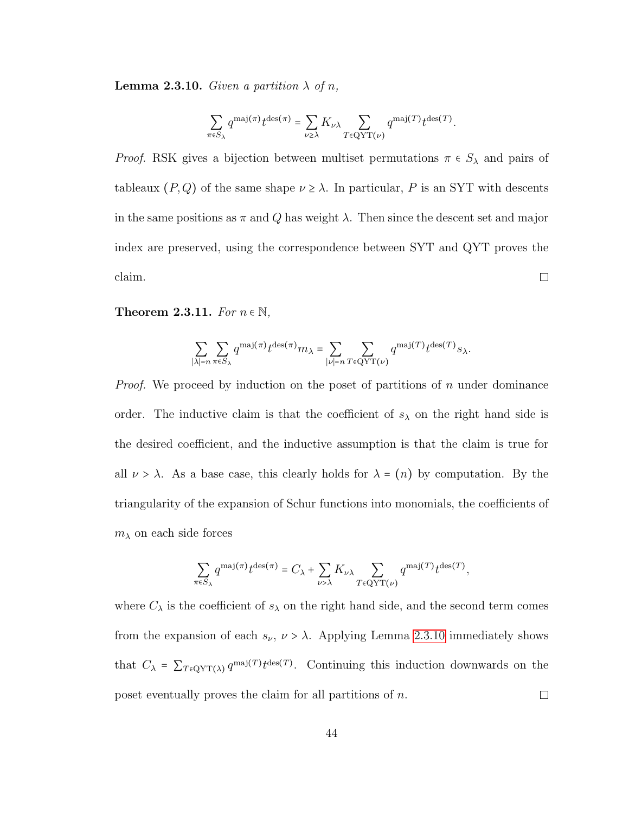<span id="page-49-0"></span>**Lemma 2.3.10.** Given a partition  $\lambda$  of n,

$$
\sum_{\pi \in S_{\lambda}} q^{\text{maj}(\pi)} t^{\text{des}(\pi)} = \sum_{\nu \geq \lambda} K_{\nu \lambda} \sum_{T \in \text{QYT}(\nu)} q^{\text{maj}(T)} t^{\text{des}(T)}.
$$

*Proof.* RSK gives a bijection between multiset permutations  $\pi \in S_\lambda$  and pairs of tableaux  $(P,Q)$  of the same shape  $\nu \geq \lambda$ . In particular, P is an SYT with descents in the same positions as  $\pi$  and Q has weight  $\lambda$ . Then since the descent set and major index are preserved, using the correspondence between SYT and QYT proves the  $\Box$ claim.

Theorem 2.3.11. For  $n \in \mathbb{N}$ ,

$$
\sum_{|\lambda|=n} \sum_{\pi \in S_{\lambda}} q^{\text{maj}(\pi)} t^{\text{des}(\pi)} m_{\lambda} = \sum_{|\nu|=n} \sum_{T \in \text{QYT}(\nu)} q^{\text{maj}(T)} t^{\text{des}(T)} s_{\lambda}.
$$

*Proof.* We proceed by induction on the poset of partitions of n under dominance order. The inductive claim is that the coefficient of  $s_{\lambda}$  on the right hand side is the desired coefficient, and the inductive assumption is that the claim is true for all  $\nu > \lambda$ . As a base case, this clearly holds for  $\lambda = (n)$  by computation. By the triangularity of the expansion of Schur functions into monomials, the coefficients of  $m<sub>\lambda</sub>$  on each side forces

$$
\sum_{\pi \in S_{\lambda}} q^{\text{maj}(\pi)} t^{\text{des}(\pi)} = C_{\lambda} + \sum_{\nu > \lambda} K_{\nu \lambda} \sum_{T \in \text{QYT}(\nu)} q^{\text{maj}(T)} t^{\text{des}(T)},
$$

where  $C_{\lambda}$  is the coefficient of  $s_{\lambda}$  on the right hand side, and the second term comes from the expansion of each  $s_{\nu}$ ,  $\nu > \lambda$ . Applying Lemma [2.3.10](#page-49-0) immediately shows that  $C_{\lambda} = \sum_{T \in \mathcal{Q}YT(\lambda)} q^{\text{maj}(T)} t^{\text{des}(T)}$ . Continuing this induction downwards on the poset eventually proves the claim for all partitions of n.  $\Box$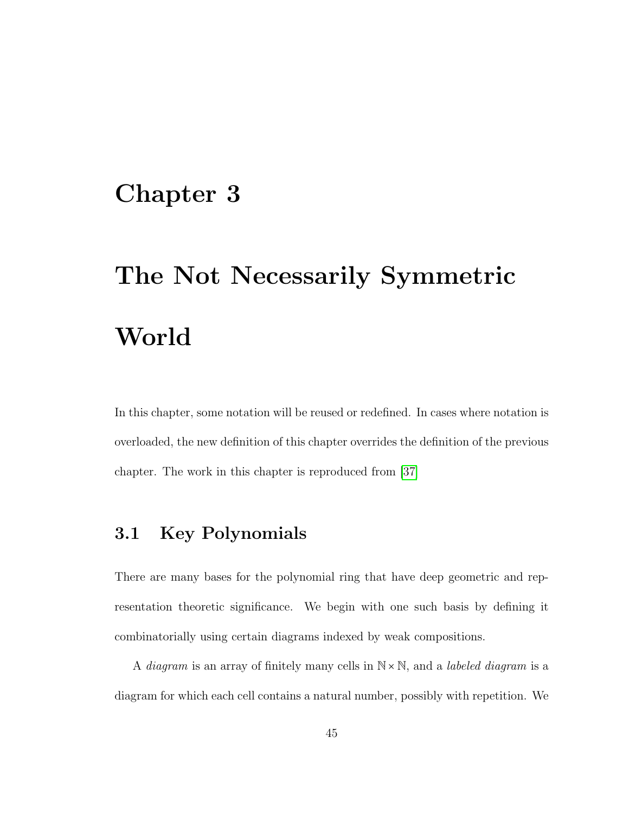# Chapter 3

# The Not Necessarily Symmetric World

In this chapter, some notation will be reused or redefined. In cases where notation is overloaded, the new definition of this chapter overrides the definition of the previous chapter. The work in this chapter is reproduced from [\[37\]](#page-94-2)

# 3.1 Key Polynomials

There are many bases for the polynomial ring that have deep geometric and representation theoretic significance. We begin with one such basis by defining it combinatorially using certain diagrams indexed by weak compositions.

A *diagram* is an array of finitely many cells in  $\mathbb{N} \times \mathbb{N}$ , and a *labeled diagram* is a diagram for which each cell contains a natural number, possibly with repetition. We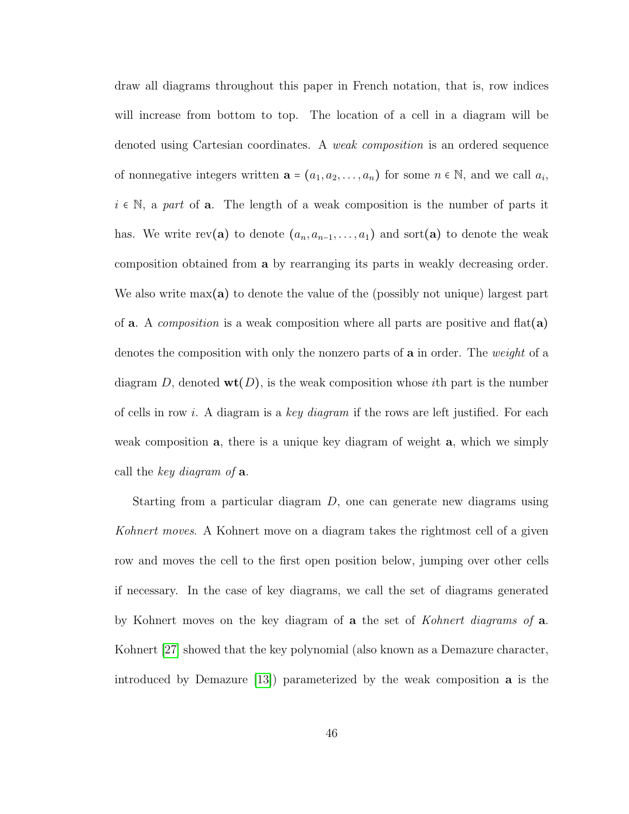draw all diagrams throughout this paper in French notation, that is, row indices will increase from bottom to top. The location of a cell in a diagram will be denoted using Cartesian coordinates. A weak composition is an ordered sequence of nonnegative integers written  $\mathbf{a} = (a_1, a_2, \dots, a_n)$  for some  $n \in \mathbb{N}$ , and we call  $a_i$ ,  $i \in \mathbb{N}$ , a part of **a**. The length of a weak composition is the number of parts it has. We write rev(a) to denote  $(a_n, a_{n-1}, \ldots, a_1)$  and sort(a) to denote the weak composition obtained from a by rearranging its parts in weakly decreasing order. We also write  $max(a)$  to denote the value of the (possibly not unique) largest part of **a**. A *composition* is a weak composition where all parts are positive and  $\text{flat}(\mathbf{a})$ denotes the composition with only the nonzero parts of **a** in order. The *weight* of a diagram D, denoted  $\text{wt}(D)$ , is the weak composition whose *i*th part is the number of cells in row i. A diagram is a key diagram if the rows are left justified. For each weak composition a, there is a unique key diagram of weight a, which we simply call the key diagram of **a**.

Starting from a particular diagram D, one can generate new diagrams using Kohnert moves. A Kohnert move on a diagram takes the rightmost cell of a given row and moves the cell to the first open position below, jumping over other cells if necessary. In the case of key diagrams, we call the set of diagrams generated by Kohnert moves on the key diagram of a the set of Kohnert diagrams of a. Kohnert [\[27\]](#page-93-2) showed that the key polynomial (also known as a Demazure character, introduced by Demazure [\[13\]](#page-91-1)) parameterized by the weak composition a is the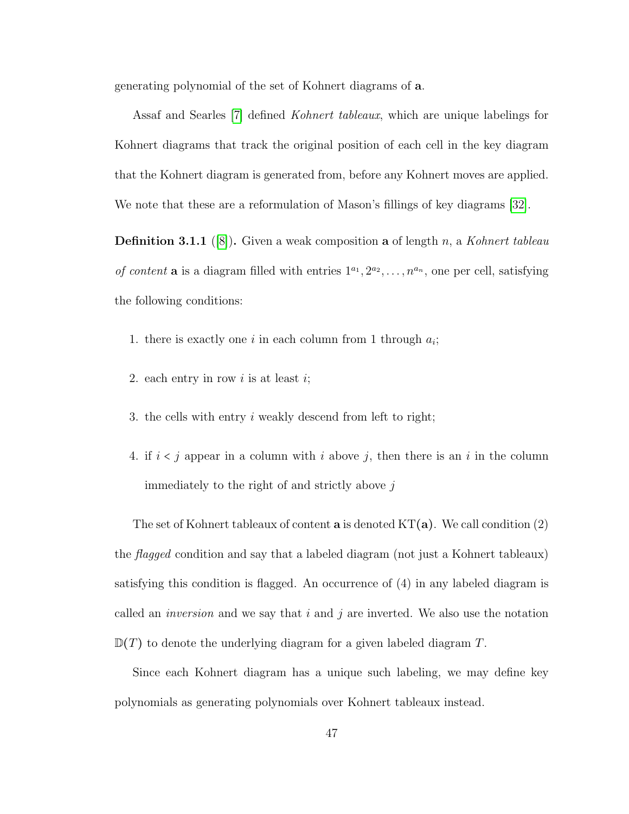generating polynomial of the set of Kohnert diagrams of a.

Assaf and Searles [\[7\]](#page-91-2) defined Kohnert tableaux, which are unique labelings for Kohnert diagrams that track the original position of each cell in the key diagram that the Kohnert diagram is generated from, before any Kohnert moves are applied. We note that these are a reformulation of Mason's fillings of key diagrams [\[32\]](#page-94-3).

**Definition 3.1.1** ([\[8\]](#page-91-3)). Given a weak composition **a** of length n, a Kohnert tableau of content **a** is a diagram filled with entries  $1^{a_1}, 2^{a_2}, \ldots, n^{a_n}$ , one per cell, satisfying the following conditions:

- 1. there is exactly one i in each column from 1 through  $a_i$ ;
- 2. each entry in row  $i$  is at least  $i$ ;
- 3. the cells with entry i weakly descend from left to right;
- 4. if  $i < j$  appear in a column with i above j, then there is an i in the column immediately to the right of and strictly above  $j$

The set of Kohnert tableaux of content **a** is denoted  $KT(a)$ . We call condition (2) the *flagged* condition and say that a labeled diagram (not just a Kohnert tableaux) satisfying this condition is flagged. An occurrence of (4) in any labeled diagram is called an *inversion* and we say that  $i$  and  $j$  are inverted. We also use the notation  $\mathbb{D}(T)$  to denote the underlying diagram for a given labeled diagram T.

Since each Kohnert diagram has a unique such labeling, we may define key polynomials as generating polynomials over Kohnert tableaux instead.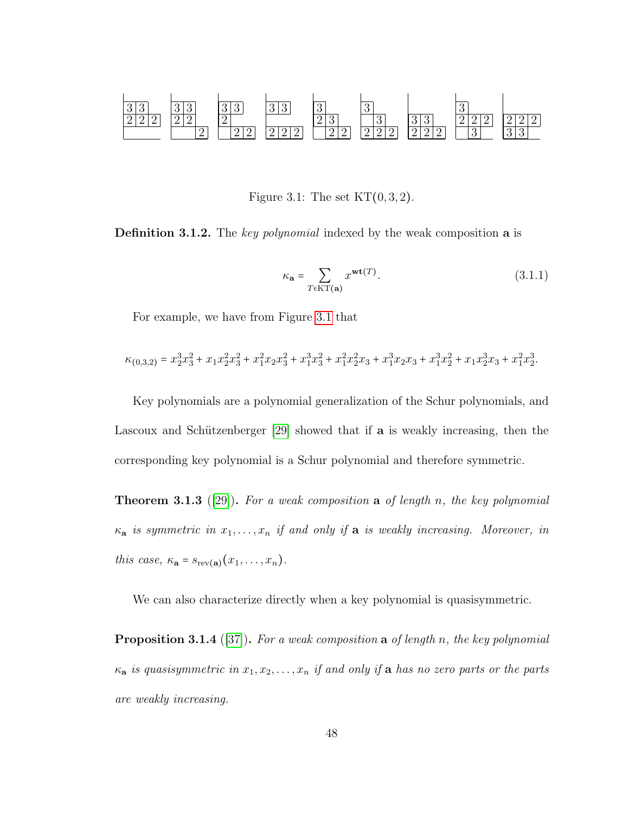<span id="page-53-0"></span>

Figure 3.1: The set  $KT(0,3,2)$ .

**Definition 3.1.2.** The key polynomial indexed by the weak composition **a** is

$$
\kappa_{\mathbf{a}} = \sum_{T \in \mathrm{KT}(\mathbf{a})} x^{\mathrm{wt}(T)}.
$$
\n(3.1.1)

For example, we have from Figure [3.1](#page-53-0) that

$$
\kappa_{(0,3,2)} = x_2^3 x_3^2 + x_1 x_2^2 x_3^2 + x_1^2 x_2 x_3^2 + x_1^3 x_3^2 + x_1^2 x_2^2 x_3 + x_1^3 x_2 x_3 + x_1^3 x_2^2 + x_1 x_2^3 x_3 + x_1^2 x_2^3.
$$

Key polynomials are a polynomial generalization of the Schur polynomials, and Lascoux and Schützenberger [\[29\]](#page-93-3) showed that if **a** is weakly increasing, then the corresponding key polynomial is a Schur polynomial and therefore symmetric.

<span id="page-53-1"></span>**Theorem 3.1.3** ([\[29\]](#page-93-3)). For a weak composition a of length n, the key polynomial  $\kappa_{\mathbf{a}}$  is symmetric in  $x_1, \ldots, x_n$  if and only if  $\mathbf a$  is weakly increasing. Moreover, in this case,  $\kappa_{\mathbf{a}} = s_{\text{rev}(\mathbf{a})}(x_1, \ldots, x_n)$ .

We can also characterize directly when a key polynomial is quasisymmetric.

<span id="page-53-2"></span>**Proposition 3.1.4** ([\[37\]](#page-94-2)). For a weak composition a of length n, the key polynomial  $\kappa_a$  is quasisymmetric in  $x_1, x_2, \ldots, x_n$  if and only if a has no zero parts or the parts are weakly increasing.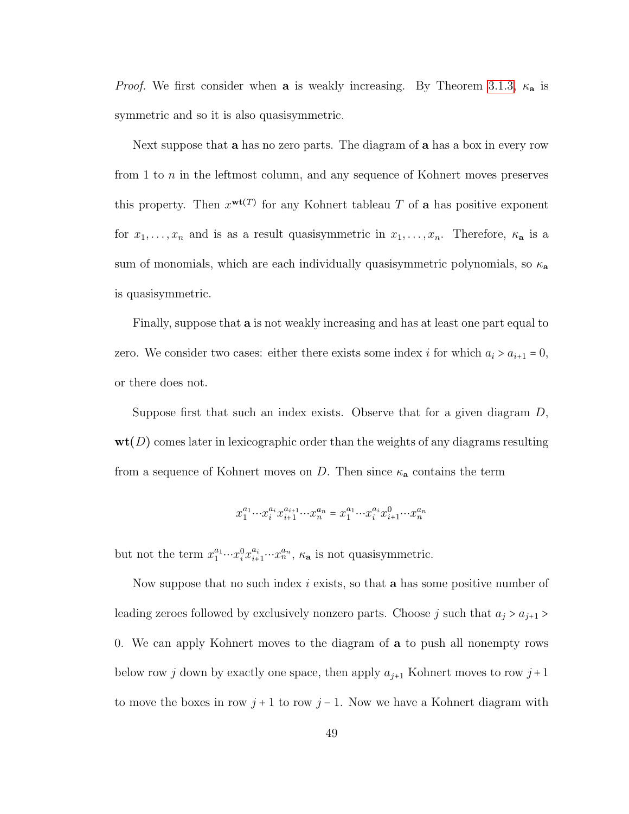*Proof.* We first consider when a is weakly increasing. By Theorem [3.1.3,](#page-53-1)  $\kappa_a$  is symmetric and so it is also quasisymmetric.

Next suppose that a has no zero parts. The diagram of a has a box in every row from 1 to  $n$  in the leftmost column, and any sequence of Kohnert moves preserves this property. Then  $x^{wt(T)}$  for any Kohnert tableau T of **a** has positive exponent for  $x_1, \ldots, x_n$  and is as a result quasisymmetric in  $x_1, \ldots, x_n$ . Therefore,  $\kappa_a$  is a sum of monomials, which are each individually quasisymmetric polynomials, so  $\kappa_a$ is quasisymmetric.

Finally, suppose that a is not weakly increasing and has at least one part equal to zero. We consider two cases: either there exists some index i for which  $a_i > a_{i+1} = 0$ , or there does not.

Suppose first that such an index exists. Observe that for a given diagram  $D$ ,  $\textbf{wt}(D)$  comes later in lexicographic order than the weights of any diagrams resulting from a sequence of Kohnert moves on D. Then since  $\kappa_{a}$  contains the term

$$
x_1^{a_1} \cdots x_i^{a_i} x_{i+1}^{a_{i+1}} \cdots x_n^{a_n} = x_1^{a_1} \cdots x_i^{a_i} x_{i+1}^0 \cdots x_n^{a_n}
$$

but not the term  $x_1^{a_1} \cdots x_i^0 x_{i+1}^{a_i} \cdots x_n^{a_n}$ ,  $\kappa_a$  is not quasisymmetric.

Now suppose that no such index  $i$  exists, so that **a** has some positive number of leading zeroes followed by exclusively nonzero parts. Choose j such that  $a_j > a_{j+1} >$ 0. We can apply Kohnert moves to the diagram of a to push all nonempty rows below row j down by exactly one space, then apply  $a_{j+1}$  Kohnert moves to row  $j+1$ to move the boxes in row  $j+1$  to row  $j-1$ . Now we have a Kohnert diagram with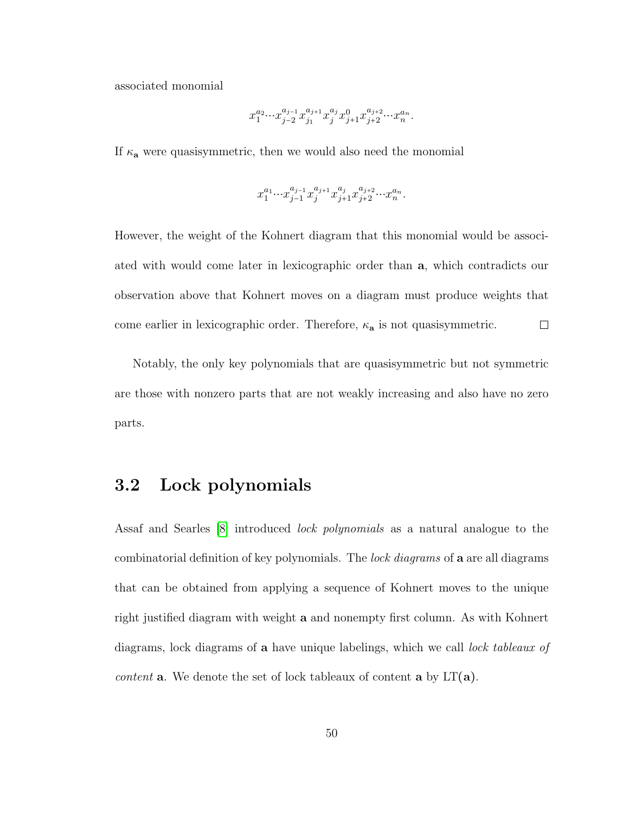associated monomial

$$
x_1^{a_2} {\cdots} x_{j-2}^{a_{j-1}} x_{j_1}^{a_{j+1}} x_j^{a_j} x_{j+1}^0 x_{j+2}^{a_{j+2}} {\cdots} x_n^{a_n}.
$$

If  $\kappa_a$  were quasisymmetric, then we would also need the monomial

$$
x_1^{a_1} \cdots x_{j-1}^{a_{j-1}} x_j^{a_{j+1}} x_{j+1}^{a_j} x_{j+2}^{a_{j+2}} \cdots x_n^{a_n}.
$$

However, the weight of the Kohnert diagram that this monomial would be associated with would come later in lexicographic order than a, which contradicts our observation above that Kohnert moves on a diagram must produce weights that come earlier in lexicographic order. Therefore,  $\kappa_a$  is not quasisymmetric.  $\Box$ 

Notably, the only key polynomials that are quasisymmetric but not symmetric are those with nonzero parts that are not weakly increasing and also have no zero parts.

## 3.2 Lock polynomials

Assaf and Searles [\[8\]](#page-91-3) introduced lock polynomials as a natural analogue to the combinatorial definition of key polynomials. The lock diagrams of **a** are all diagrams that can be obtained from applying a sequence of Kohnert moves to the unique right justified diagram with weight a and nonempty first column. As with Kohnert diagrams, lock diagrams of **a** have unique labelings, which we call *lock tableaux of content* **a**. We denote the set of lock tableaux of content **a** by  $LT(a)$ .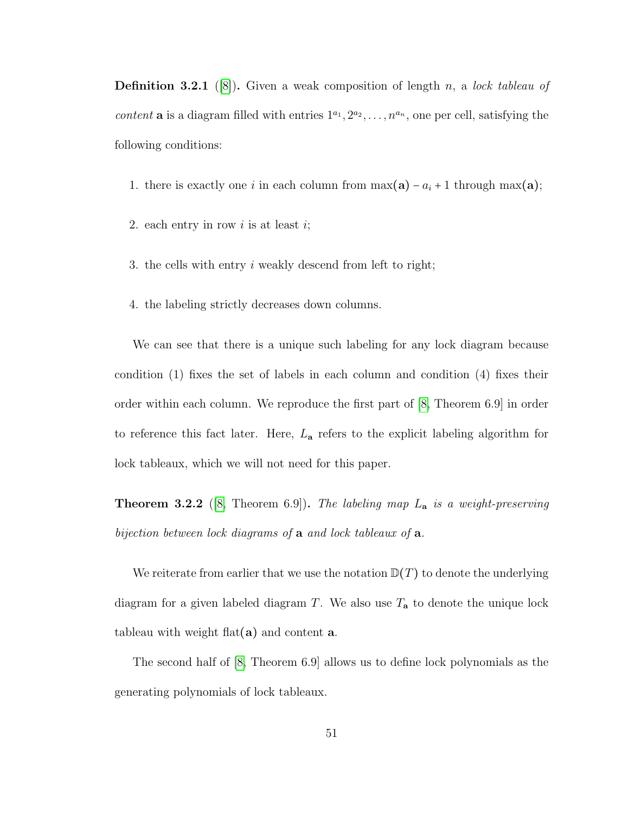<span id="page-56-1"></span>**Definition 3.2.1** ([\[8\]](#page-91-3)). Given a weak composition of length n, a lock tableau of content **a** is a diagram filled with entries  $1^{a_1}, 2^{a_2}, \ldots, n^{a_n}$ , one per cell, satisfying the following conditions:

- 1. there is exactly one i in each column from  $\max(\mathbf{a}) a_i + 1$  through  $\max(\mathbf{a})$ ;
- 2. each entry in row  $i$  is at least  $i$ ;
- 3. the cells with entry i weakly descend from left to right;
- 4. the labeling strictly decreases down columns.

We can see that there is a unique such labeling for any lock diagram because condition (1) fixes the set of labels in each column and condition (4) fixes their order within each column. We reproduce the first part of [\[8,](#page-91-3) Theorem 6.9] in order to reference this fact later. Here,  $L_a$  refers to the explicit labeling algorithm for lock tableaux, which we will not need for this paper.

<span id="page-56-0"></span>**Theorem 3.2.2** ([\[8,](#page-91-3) Theorem 6.9]). The labeling map  $L_a$  is a weight-preserving bijection between lock diagrams of a and lock tableaux of a.

We reiterate from earlier that we use the notation  $D(T)$  to denote the underlying diagram for a given labeled diagram T. We also use  $T_a$  to denote the unique lock tableau with weight flat( $\mathbf{a}$ ) and content  $\mathbf{a}$ .

The second half of [\[8,](#page-91-3) Theorem 6.9] allows us to define lock polynomials as the generating polynomials of lock tableaux.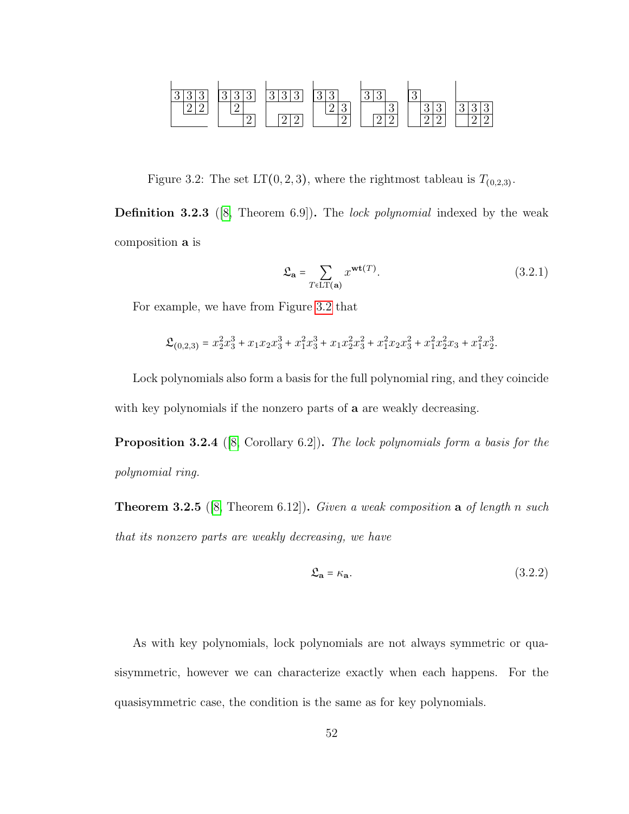<span id="page-57-0"></span>

Figure 3.2: The set  $LT(0, 2, 3)$ , where the rightmost tableau is  $T_{(0, 2, 3)}$ .

Definition 3.2.3 ([\[8,](#page-91-3) Theorem 6.9]). The lock polynomial indexed by the weak composition a is

$$
\mathfrak{L}_{\mathbf{a}} = \sum_{T \in \mathcal{LT}(\mathbf{a})} x^{\mathbf{wt}(T)}.
$$
\n(3.2.1)

For example, we have from Figure [3.2](#page-57-0) that

$$
\mathfrak{L}_{(0,2,3)} = x_2^2 x_3^3 + x_1 x_2 x_3^3 + x_1^2 x_3^3 + x_1 x_2^2 x_3^2 + x_1^2 x_2 x_3^2 + x_1^2 x_2^2 x_3 + x_1^2 x_2^3.
$$

Lock polynomials also form a basis for the full polynomial ring, and they coincide with key polynomials if the nonzero parts of **a** are weakly decreasing.

Proposition 3.2.4 ([\[8,](#page-91-3) Corollary 6.2]). The lock polynomials form a basis for the polynomial ring.

**Theorem 3.2.5** ([\[8,](#page-91-3) Theorem 6.12]). Given a weak composition a of length n such that its nonzero parts are weakly decreasing, we have

<span id="page-57-1"></span>
$$
\mathfrak{L}_{\mathbf{a}} = \kappa_{\mathbf{a}}.\tag{3.2.2}
$$

As with key polynomials, lock polynomials are not always symmetric or quasisymmetric, however we can characterize exactly when each happens. For the quasisymmetric case, the condition is the same as for key polynomials.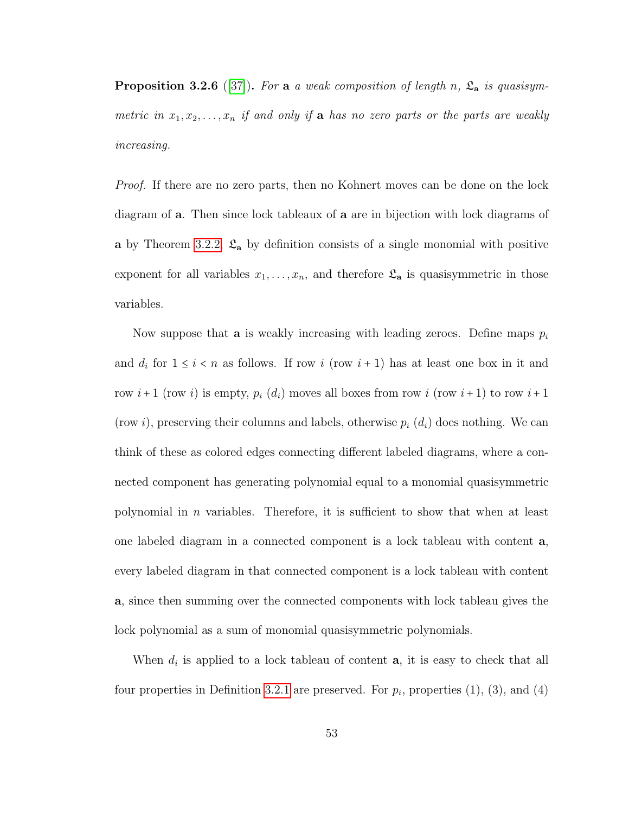<span id="page-58-0"></span>**Proposition 3.2.6** ([\[37\]](#page-94-2)). For a a weak composition of length n,  $\mathfrak{L}_a$  is quasisymmetric in  $x_1, x_2, \ldots, x_n$  if and only if **a** has no zero parts or the parts are weakly increasing.

Proof. If there are no zero parts, then no Kohnert moves can be done on the lock diagram of a. Then since lock tableaux of a are in bijection with lock diagrams of a by Theorem [3.2.2,](#page-56-0)  $\mathfrak{L}_a$  by definition consists of a single monomial with positive exponent for all variables  $x_1, \ldots, x_n$ , and therefore  $\mathfrak{L}_a$  is quasisymmetric in those variables.

Now suppose that **a** is weakly increasing with leading zeroes. Define maps  $p_i$ and  $d_i$  for  $1 \leq i < n$  as follows. If row  $i$  (row  $i + 1$ ) has at least one box in it and row  $i+1$  (row i) is empty,  $p_i(d_i)$  moves all boxes from row i (row  $i+1$ ) to row  $i+1$ (row i), preserving their columns and labels, otherwise  $p_i$   $(d_i)$  does nothing. We can think of these as colored edges connecting different labeled diagrams, where a connected component has generating polynomial equal to a monomial quasisymmetric polynomial in *n* variables. Therefore, it is sufficient to show that when at least one labeled diagram in a connected component is a lock tableau with content a, every labeled diagram in that connected component is a lock tableau with content a, since then summing over the connected components with lock tableau gives the lock polynomial as a sum of monomial quasisymmetric polynomials.

When  $d_i$  is applied to a lock tableau of content  $a$ , it is easy to check that all four properties in Definition [3.2.1](#page-56-1) are preserved. For  $p_i$ , properties  $(1)$ ,  $(3)$ , and  $(4)$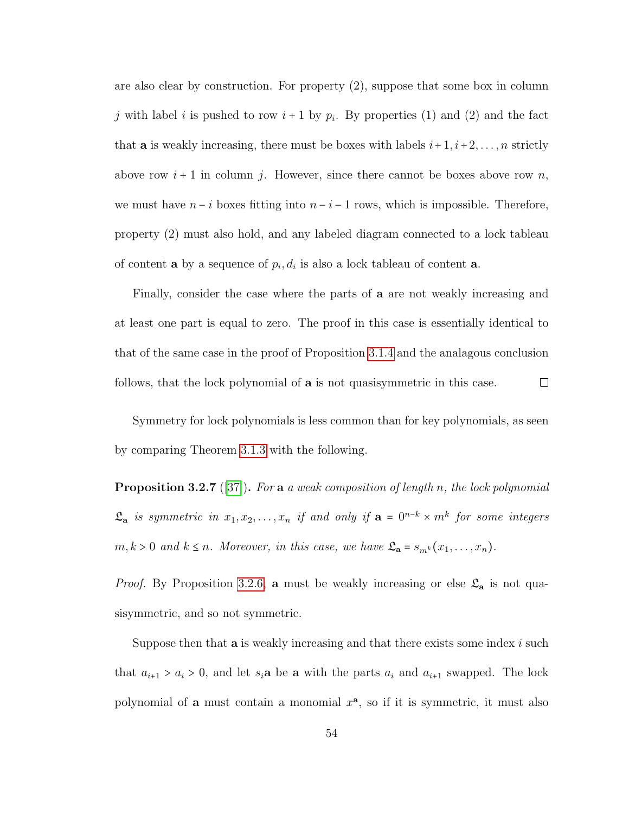are also clear by construction. For property (2), suppose that some box in column j with label i is pushed to row  $i+1$  by  $p_i$ . By properties (1) and (2) and the fact that **a** is weakly increasing, there must be boxes with labels  $i+1, i+2, \ldots, n$  strictly above row  $i + 1$  in column j. However, since there cannot be boxes above row n, we must have  $n-i$  boxes fitting into  $n-i-1$  rows, which is impossible. Therefore, property (2) must also hold, and any labeled diagram connected to a lock tableau of content **a** by a sequence of  $p_i, d_i$  is also a lock tableau of content **a**.

Finally, consider the case where the parts of a are not weakly increasing and at least one part is equal to zero. The proof in this case is essentially identical to that of the same case in the proof of Proposition [3.1.4](#page-53-2) and the analagous conclusion follows, that the lock polynomial of **a** is not quasisymmetric in this case.  $\Box$ 

Symmetry for lock polynomials is less common than for key polynomials, as seen by comparing Theorem [3.1.3](#page-53-1) with the following.

**Proposition 3.2.7** ([\[37\]](#page-94-2)). For a a weak composition of length n, the lock polynomial  $\mathfrak{L}_{\mathbf{a}}$  is symmetric in  $x_1, x_2, \ldots, x_n$  if and only if  $\mathbf{a} = 0^{n-k} \times m^k$  for some integers  $m, k > 0$  and  $k \leq n$ . Moreover, in this case, we have  $\mathfrak{L}_a = s_{m^k}(x_1, \ldots, x_n)$ .

*Proof.* By Proposition [3.2.6,](#page-58-0) a must be weakly increasing or else  $\mathfrak{L}_{a}$  is not quasisymmetric, and so not symmetric.

Suppose then that  $a$  is weakly increasing and that there exists some index  $i$  such that  $a_{i+1} > a_i > 0$ , and let  $s_i$ **a** be **a** with the parts  $a_i$  and  $a_{i+1}$  swapped. The lock polynomial of **a** must contain a monomial  $x^a$ , so if it is symmetric, it must also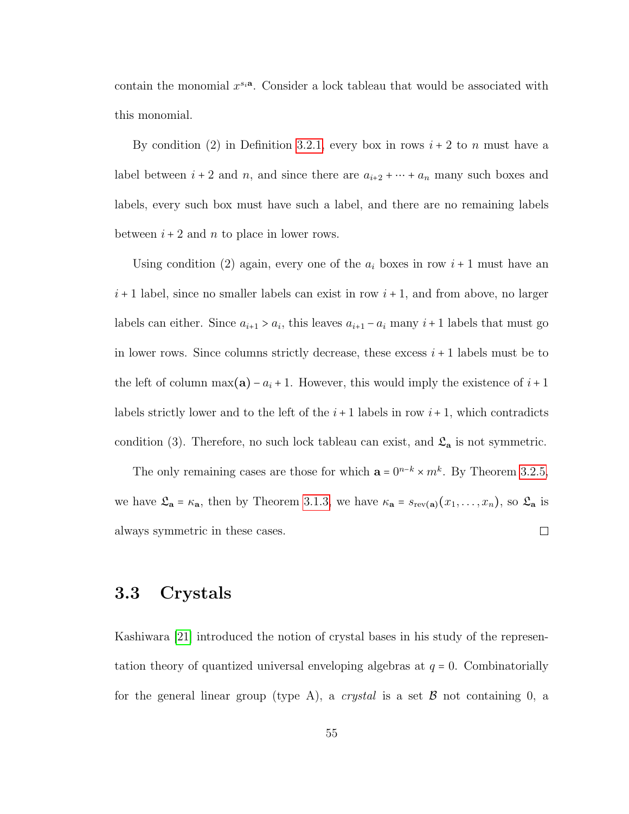contain the monomial  $x^{s_i}$ . Consider a lock tableau that would be associated with this monomial.

By condition (2) in Definition [3.2.1,](#page-56-1) every box in rows  $i + 2$  to n must have a label between  $i + 2$  and n, and since there are  $a_{i+2} + \cdots + a_n$  many such boxes and labels, every such box must have such a label, and there are no remaining labels between  $i + 2$  and n to place in lower rows.

Using condition (2) again, every one of the  $a_i$  boxes in row  $i + 1$  must have an  $i+1$  label, since no smaller labels can exist in row  $i+1$ , and from above, no larger labels can either. Since  $a_{i+1} > a_i$ , this leaves  $a_{i+1} - a_i$  many  $i+1$  labels that must go in lower rows. Since columns strictly decrease, these excess  $i + 1$  labels must be to the left of column max(a) –  $a_i + 1$ . However, this would imply the existence of  $i + 1$ labels strictly lower and to the left of the  $i + 1$  labels in row  $i + 1$ , which contradicts condition (3). Therefore, no such lock tableau can exist, and  $\mathfrak{L}_{\mathbf{a}}$  is not symmetric.

The only remaining cases are those for which  $\mathbf{a} = 0^{n-k} \times m^k$ . By Theorem [3.2.5,](#page-57-1) we have  $\mathfrak{L}_{\mathbf{a}} = \kappa_{\mathbf{a}}$ , then by Theorem [3.1.3,](#page-53-1) we have  $\kappa_{\mathbf{a}} = s_{rev(\mathbf{a})}(x_1, \ldots, x_n)$ , so  $\mathfrak{L}_{\mathbf{a}}$  is always symmetric in these cases.  $\Box$ 

## 3.3 Crystals

Kashiwara [\[21\]](#page-92-2) introduced the notion of crystal bases in his study of the representation theory of quantized universal enveloping algebras at  $q = 0$ . Combinatorially for the general linear group (type A), a *crystal* is a set  $\beta$  not containing 0, a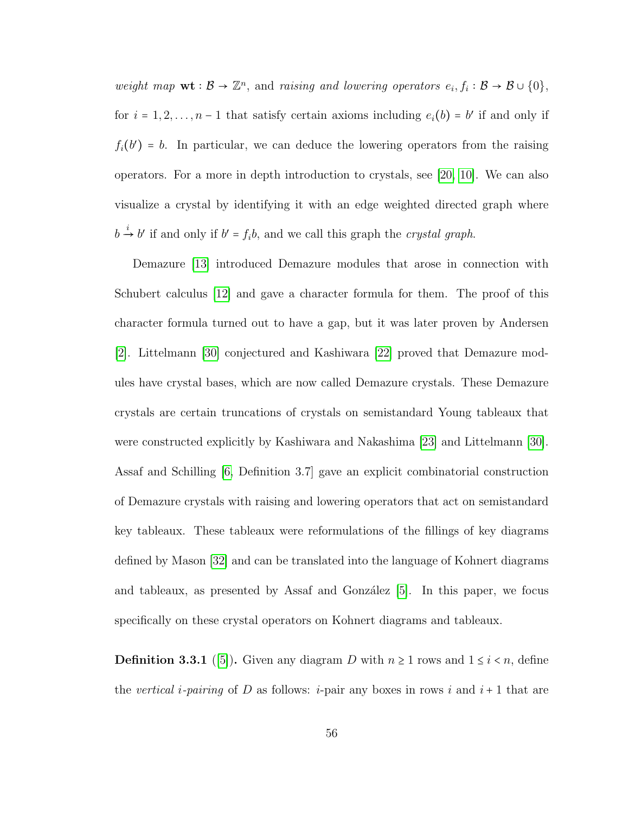weight map  $\mathbf{wt} : \mathcal{B} \to \mathbb{Z}^n$ , and raising and lowering operators  $e_i, f_i : \mathcal{B} \to \mathcal{B} \cup \{0\},$ for  $i = 1, 2, ..., n - 1$  that satisfy certain axioms including  $e_i(b) = b'$  if and only if  $f_i(b') = b$ . In particular, we can deduce the lowering operators from the raising operators. For a more in depth introduction to crystals, see [\[20,](#page-92-3) [10\]](#page-91-4). We can also visualize a crystal by identifying it with an edge weighted directed graph where  $b \stackrel{i}{\rightarrow} b'$  if and only if  $b' = f_i b$ , and we call this graph the *crystal graph*.

Demazure [\[13\]](#page-91-1) introduced Demazure modules that arose in connection with Schubert calculus [\[12\]](#page-91-5) and gave a character formula for them. The proof of this character formula turned out to have a gap, but it was later proven by Andersen [\[2\]](#page-90-0). Littelmann [\[30\]](#page-93-4) conjectured and Kashiwara [\[22\]](#page-93-5) proved that Demazure modules have crystal bases, which are now called Demazure crystals. These Demazure crystals are certain truncations of crystals on semistandard Young tableaux that were constructed explicitly by Kashiwara and Nakashima [\[23\]](#page-93-6) and Littelmann [\[30\]](#page-93-4). Assaf and Schilling [\[6,](#page-90-1) Definition 3.7] gave an explicit combinatorial construction of Demazure crystals with raising and lowering operators that act on semistandard key tableaux. These tableaux were reformulations of the fillings of key diagrams defined by Mason [\[32\]](#page-94-3) and can be translated into the language of Kohnert diagrams and tableaux, as presented by Assaf and González  $|5|$ . In this paper, we focus specifically on these crystal operators on Kohnert diagrams and tableaux.

**Definition 3.3.1** ([\[5\]](#page-90-2)). Given any diagram D with  $n \ge 1$  rows and  $1 \le i \le n$ , define the vertical *i*-pairing of D as follows: *i*-pair any boxes in rows *i* and  $i + 1$  that are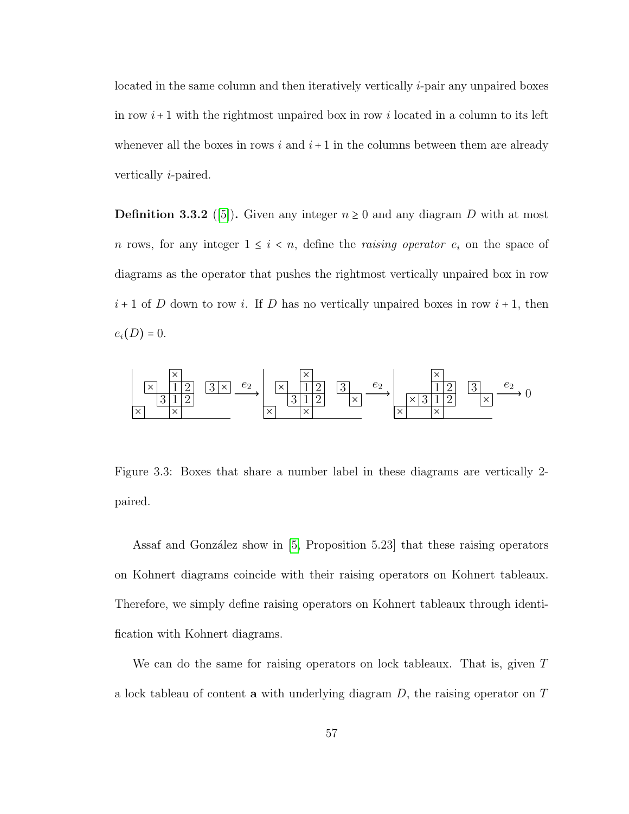located in the same column and then iteratively vertically i-pair any unpaired boxes in row  $i+1$  with the rightmost unpaired box in row i located in a column to its left whenever all the boxes in rows  $i$  and  $i+1$  in the columns between them are already vertically i-paired.

**Definition 3.3.2** ([\[5\]](#page-90-2)). Given any integer  $n \geq 0$  and any diagram D with at most n rows, for any integer  $1 \leq i \leq n$ , define the *raising operator*  $e_i$  on the space of diagrams as the operator that pushes the rightmost vertically unpaired box in row  $i+1$  of D down to row i. If D has no vertically unpaired boxes in row  $i+1$ , then  $e_i(D) = 0.$ 



Figure 3.3: Boxes that share a number label in these diagrams are vertically 2 paired.

Assaf and González show in  $[5,$  Proposition 5.23] that these raising operators on Kohnert diagrams coincide with their raising operators on Kohnert tableaux. Therefore, we simply define raising operators on Kohnert tableaux through identification with Kohnert diagrams.

We can do the same for raising operators on lock tableaux. That is, given T a lock tableau of content a with underlying diagram  $D$ , the raising operator on  $T$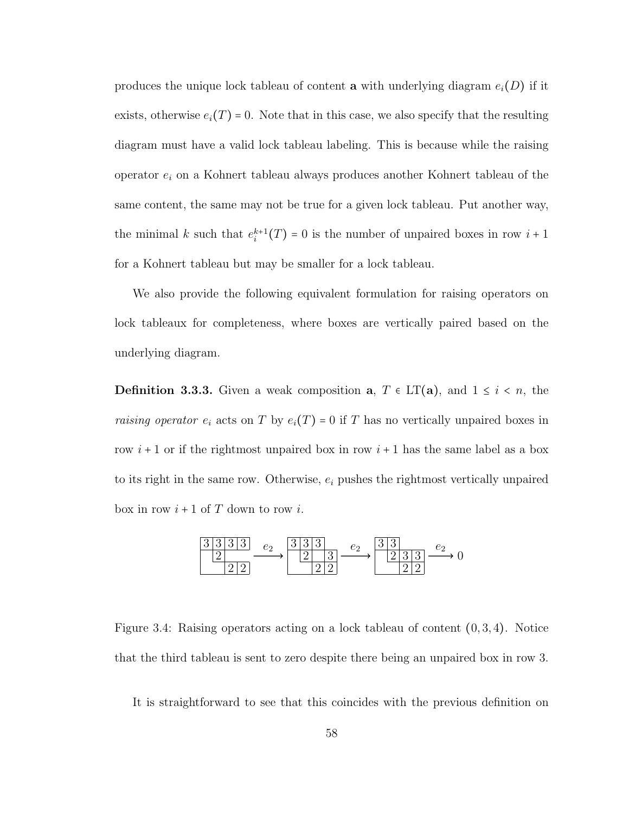produces the unique lock tableau of content a with underlying diagram  $e_i(D)$  if it exists, otherwise  $e_i(T) = 0$ . Note that in this case, we also specify that the resulting diagram must have a valid lock tableau labeling. This is because while the raising operator  $e_i$  on a Kohnert tableau always produces another Kohnert tableau of the same content, the same may not be true for a given lock tableau. Put another way, the minimal k such that  $e_i^{k+1}(T) = 0$  is the number of unpaired boxes in row  $i+1$ for a Kohnert tableau but may be smaller for a lock tableau.

We also provide the following equivalent formulation for raising operators on lock tableaux for completeness, where boxes are vertically paired based on the underlying diagram.

**Definition 3.3.3.** Given a weak composition  $a, T \in LT(a)$ , and  $1 \leq i \leq n$ , the *raising operator*  $e_i$  acts on T by  $e_i(T) = 0$  if T has no vertically unpaired boxes in row  $i+1$  or if the rightmost unpaired box in row  $i+1$  has the same label as a box to its right in the same row. Otherwise,  $e_i$  pushes the rightmost vertically unpaired box in row  $i+1$  of T down to row i.

$$
\frac{3\,3\,3\,3\,3}{2\,2\,2}
$$
\n
$$
\xrightarrow{e_2} \frac{3\,3\,3}{2\,2}
$$
\n
$$
\xrightarrow{e_2} \frac{3\,3}{2\,2}
$$
\n
$$
\xrightarrow{e_2} \frac{3\,3}{2\,2}
$$
\n
$$
\xrightarrow{e_2} 0
$$

Figure 3.4: Raising operators acting on a lock tableau of content  $(0, 3, 4)$ . Notice that the third tableau is sent to zero despite there being an unpaired box in row 3.

It is straightforward to see that this coincides with the previous definition on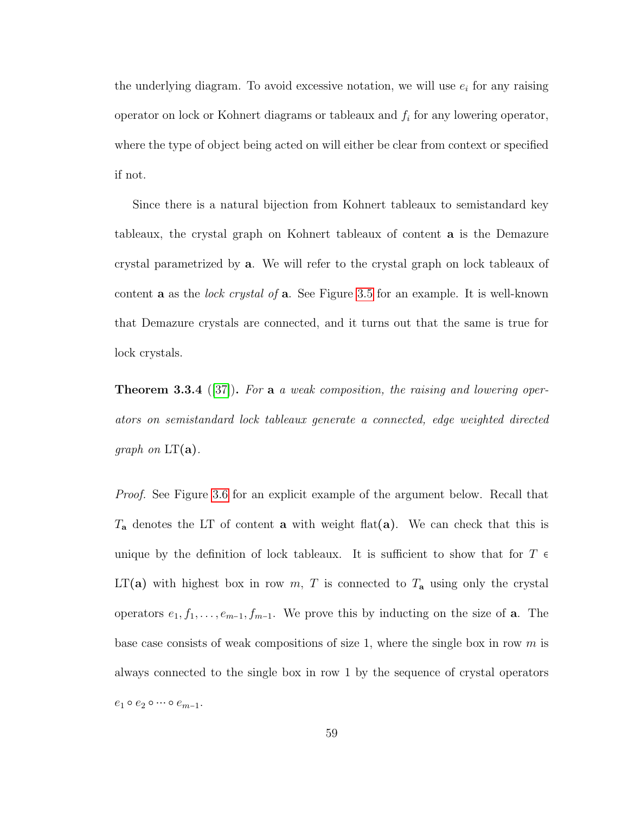the underlying diagram. To avoid excessive notation, we will use  $e_i$  for any raising operator on lock or Kohnert diagrams or tableaux and  $f_i$  for any lowering operator, where the type of object being acted on will either be clear from context or specified if not.

Since there is a natural bijection from Kohnert tableaux to semistandard key tableaux, the crystal graph on Kohnert tableaux of content a is the Demazure crystal parametrized by a. We will refer to the crystal graph on lock tableaux of content **a** as the *lock crystal of* **a**. See Figure [3.5](#page-65-0) for an example. It is well-known that Demazure crystals are connected, and it turns out that the same is true for lock crystals.

<span id="page-64-0"></span>**Theorem 3.3.4** ([\[37\]](#page-94-2)). For a a weak composition, the raising and lowering operators on semistandard lock tableaux generate a connected, edge weighted directed *graph* on  $LT(a)$ .

Proof. See Figure [3.6](#page-66-0) for an explicit example of the argument below. Recall that  $T_a$  denotes the LT of content **a** with weight flat(**a**). We can check that this is unique by the definition of lock tableaux. It is sufficient to show that for  $T \in$  $LT(a)$  with highest box in row m, T is connected to  $T_a$  using only the crystal operators  $e_1, f_1, \ldots, e_{m-1}, f_{m-1}$ . We prove this by inducting on the size of **a**. The base case consists of weak compositions of size 1, where the single box in row  $m$  is always connected to the single box in row 1 by the sequence of crystal operators  $e_1 \circ e_2 \circ \cdots \circ e_{m-1}.$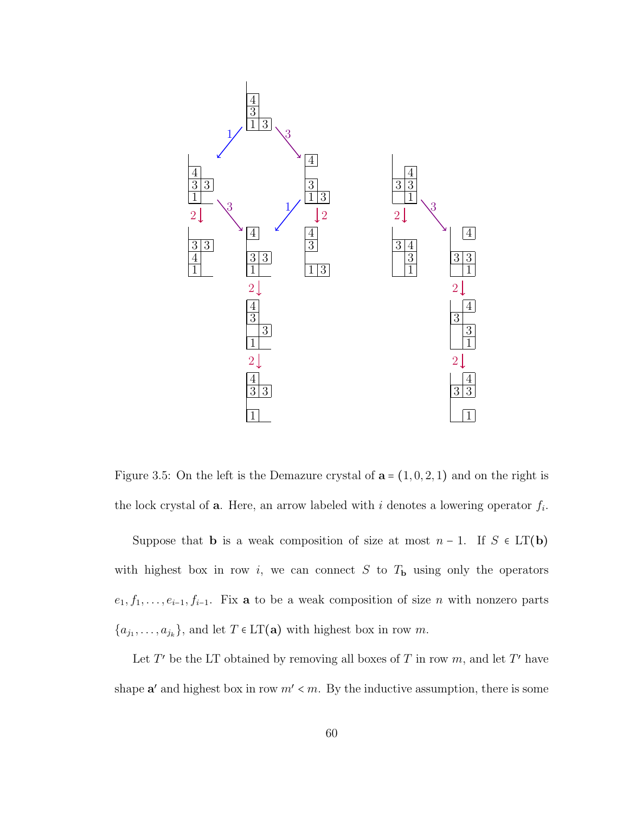

<span id="page-65-0"></span>Figure 3.5: On the left is the Demazure crystal of  $\mathbf{a} = (1, 0, 2, 1)$  and on the right is the lock crystal of **a**. Here, an arrow labeled with i denotes a lowering operator  $f_i$ .

Suppose that **b** is a weak composition of size at most  $n - 1$ . If  $S \in LT(b)$ with highest box in row i, we can connect S to  $T<sub>b</sub>$  using only the operators  $e_1, f_1, \ldots, e_{i-1}, f_{i-1}$ . Fix **a** to be a weak composition of size *n* with nonzero parts  $\{a_{j_1}, \ldots, a_{j_k}\}\$ , and let  $T \in LT(a)$  with highest box in row m.

Let  $T'$  be the LT obtained by removing all boxes of  $T$  in row  $m$ , and let  $T'$  have shape  $a'$  and highest box in row  $m' < m$ . By the inductive assumption, there is some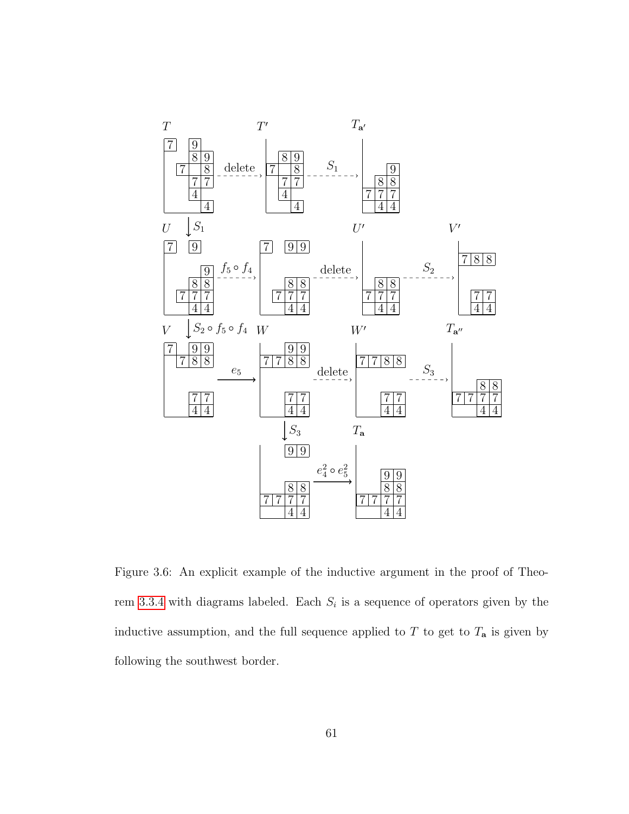

<span id="page-66-0"></span>Figure 3.6: An explicit example of the inductive argument in the proof of Theo-rem [3.3.4](#page-64-0) with diagrams labeled. Each  $S_i$  is a sequence of operators given by the inductive assumption, and the full sequence applied to  $T$  to get to  $T_a$  is given by following the southwest border.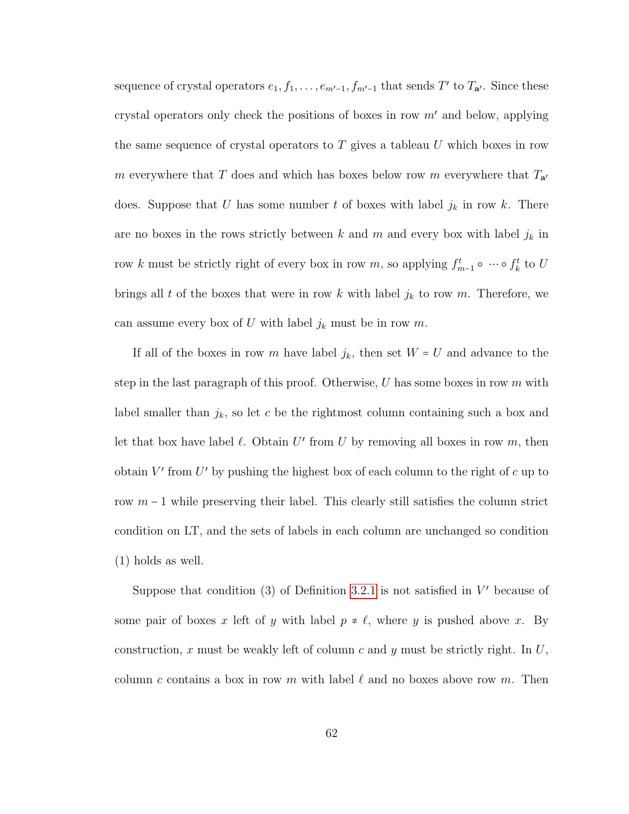sequence of crystal operators  $e_1, f_1, \ldots, e_{m'-1}, f_{m'-1}$  that sends T' to  $T_{\mathbf{a}'}$ . Since these crystal operators only check the positions of boxes in row  $m'$  and below, applying the same sequence of crystal operators to T gives a tableau U which boxes in row m everywhere that T does and which has boxes below row m everywhere that  $T_{a'}$ does. Suppose that U has some number t of boxes with label  $j_k$  in row k. There are no boxes in the rows strictly between  $k$  and  $m$  and every box with label  $j_k$  in row k must be strictly right of every box in row m, so applying  $f_{m-1}^t \circ \cdots \circ f_k^t$  to U brings all t of the boxes that were in row k with label  $j_k$  to row m. Therefore, we can assume every box of U with label  $j_k$  must be in row m.

If all of the boxes in row m have label  $j_k$ , then set  $W = U$  and advance to the step in the last paragraph of this proof. Otherwise,  $U$  has some boxes in row  $m$  with label smaller than  $j_k$ , so let c be the rightmost column containing such a box and let that box have label  $\ell$ . Obtain U' from U by removing all boxes in row  $m$ , then obtain  $V'$  from  $U'$  by pushing the highest box of each column to the right of  $c$  up to row  $m-1$  while preserving their label. This clearly still satisfies the column strict condition on LT, and the sets of labels in each column are unchanged so condition (1) holds as well.

Suppose that condition  $(3)$  of Definition [3.2.1](#page-56-1) is not satisfied in  $V'$  because of some pair of boxes x left of y with label  $p \neq \ell$ , where y is pushed above x. By construction, x must be weakly left of column c and y must be strictly right. In  $U$ , column c contains a box in row m with label  $\ell$  and no boxes above row m. Then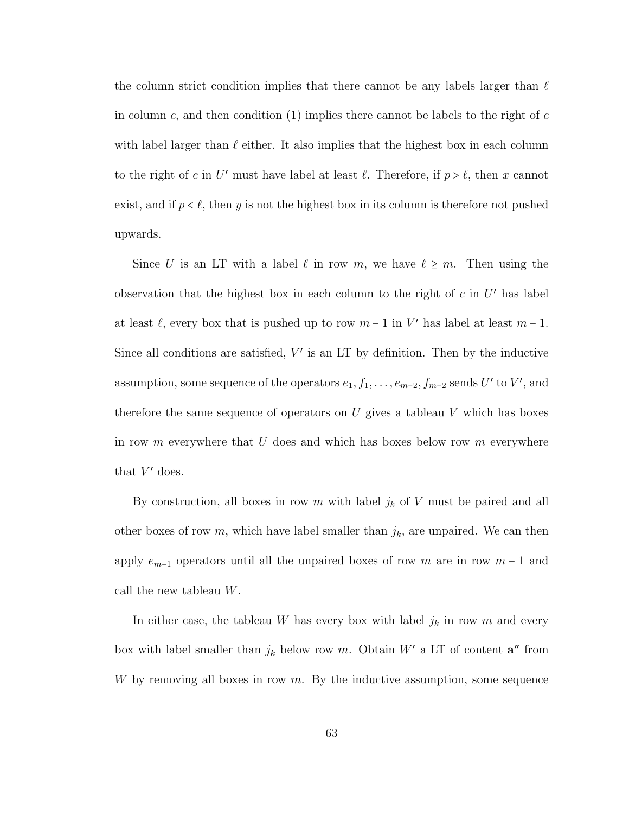the column strict condition implies that there cannot be any labels larger than  $\ell$ in column  $c$ , and then condition  $(1)$  implies there cannot be labels to the right of  $c$ with label larger than  $\ell$  either. It also implies that the highest box in each column to the right of c in U' must have label at least  $\ell$ . Therefore, if  $p > \ell$ , then x cannot exist, and if  $p < \ell$ , then y is not the highest box in its column is therefore not pushed upwards.

Since U is an LT with a label  $\ell$  in row m, we have  $\ell \geq m$ . Then using the observation that the highest box in each column to the right of  $c$  in  $U'$  has label at least  $\ell$ , every box that is pushed up to row  $m - 1$  in V' has label at least  $m - 1$ . Since all conditions are satisfied,  $V'$  is an LT by definition. Then by the inductive assumption, some sequence of the operators  $e_1, f_1, \ldots, e_{m-2}, f_{m-2}$  sends  $U'$  to  $V'$ , and therefore the same sequence of operators on U gives a tableau V which has boxes in row m everywhere that U does and which has boxes below row m everywhere that  $V'$  does.

By construction, all boxes in row m with label  $j_k$  of V must be paired and all other boxes of row  $m$ , which have label smaller than  $j_k$ , are unpaired. We can then apply  $e_{m-1}$  operators until all the unpaired boxes of row m are in row  $m-1$  and call the new tableau W.

In either case, the tableau W has every box with label  $j_k$  in row m and every box with label smaller than  $j_k$  below row m. Obtain W' a LT of content  $\mathbf{a}''$  from W by removing all boxes in row  $m$ . By the inductive assumption, some sequence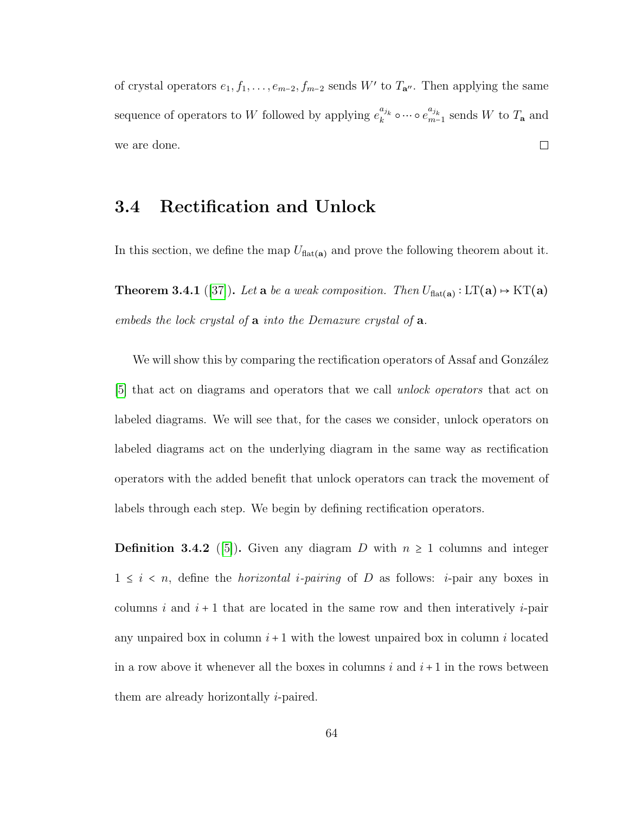of crystal operators  $e_1, f_1, \ldots, e_{m-2}, f_{m-2}$  sends W' to  $T_{\mathbf{a}''}$ . Then applying the same sequence of operators to W followed by applying  $e_k^{a_{j_k}}$  $a_{j_k}$  o  $\cdots$  o  $e_{m-}^{a_{j_k}}$  $_{m-1}^{a_{j_k}}$  sends W to  $T_a$  and we are done.  $\Box$ 

## 3.4 Rectification and Unlock

<span id="page-69-0"></span>In this section, we define the map  $U_{\text{flat}(a)}$  and prove the following theorem about it.

**Theorem 3.4.1** ([\[37\]](#page-94-2)). Let **a** be a weak composition. Then  $U_{\text{flat}(a)} : LT(a) \rightarrow KT(a)$ embeds the lock crystal of **a** into the Demazure crystal of **a**.

We will show this by comparing the rectification operators of Assaf and González [\[5\]](#page-90-2) that act on diagrams and operators that we call unlock operators that act on labeled diagrams. We will see that, for the cases we consider, unlock operators on labeled diagrams act on the underlying diagram in the same way as rectification operators with the added benefit that unlock operators can track the movement of labels through each step. We begin by defining rectification operators.

**Definition 3.4.2** ([\[5\]](#page-90-2)). Given any diagram D with  $n \geq 1$  columns and integer  $1 \leq i \leq n$ , define the *horizontal i-pairing* of D as follows: *i*-pair any boxes in columns i and  $i + 1$  that are located in the same row and then interatively i-pair any unpaired box in column  $i+1$  with the lowest unpaired box in column i located in a row above it whenever all the boxes in columns i and  $i+1$  in the rows between them are already horizontally i-paired.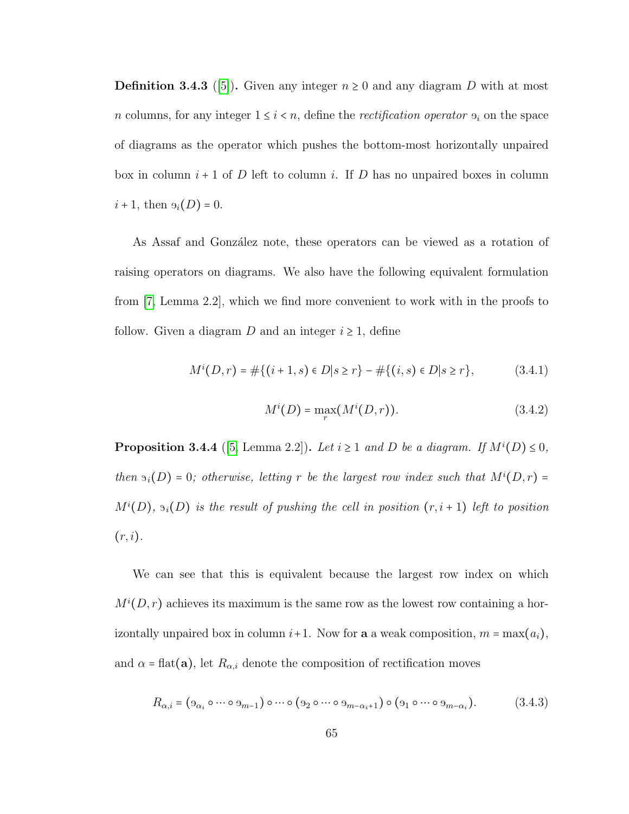**Definition 3.4.3** ([\[5\]](#page-90-2)). Given any integer  $n \geq 0$  and any diagram D with at most n columns, for any integer  $1 \leq i \leq n$ , define the *rectification operator*  $\vartheta_i$  on the space of diagrams as the operator which pushes the bottom-most horizontally unpaired box in column  $i + 1$  of D left to column i. If D has no unpaired boxes in column  $i + 1$ , then  $\Theta_i(D) = 0$ .

As Assaf and González note, these operators can be viewed as a rotation of raising operators on diagrams. We also have the following equivalent formulation from [\[7,](#page-91-2) Lemma 2.2], which we find more convenient to work with in the proofs to follow. Given a diagram D and an integer  $i \geq 1$ , define

$$
M^{i}(D,r) = \#\{(i+1,s) \in D | s \ge r\} - \#\{(i,s) \in D | s \ge r\},\tag{3.4.1}
$$

$$
M^{i}(D) = \max_{r} (M^{i}(D,r)).
$$
\n(3.4.2)

**Proposition 3.4.4** ([\[5,](#page-90-2) Lemma 2.2]). Let  $i \ge 1$  and D be a diagram. If  $M^{i}(D) \le 0$ , then  $\mathfrak{B}_i(D) = 0$ ; otherwise, letting r be the largest row index such that  $M^i(D, r) =$  $M^{i}(D)$ ,  $\mathfrak{I}_{i}(D)$  is the result of pushing the cell in position  $(r, i + 1)$  left to position  $(r, i)$ .

We can see that this is equivalent because the largest row index on which  $M^{i}(D,r)$  achieves its maximum is the same row as the lowest row containing a horizontally unpaired box in column  $i+1$ . Now for **a** a weak composition,  $m = \max(a_i)$ , and  $\alpha$  = flat(a), let  $R_{\alpha,i}$  denote the composition of rectification moves

$$
R_{\alpha,i} = (9_{\alpha_i} \circ \cdots \circ 9_{m-1}) \circ \cdots \circ (9_2 \circ \cdots \circ 9_{m-\alpha_i+1}) \circ (9_1 \circ \cdots \circ 9_{m-\alpha_i}).
$$
 (3.4.3)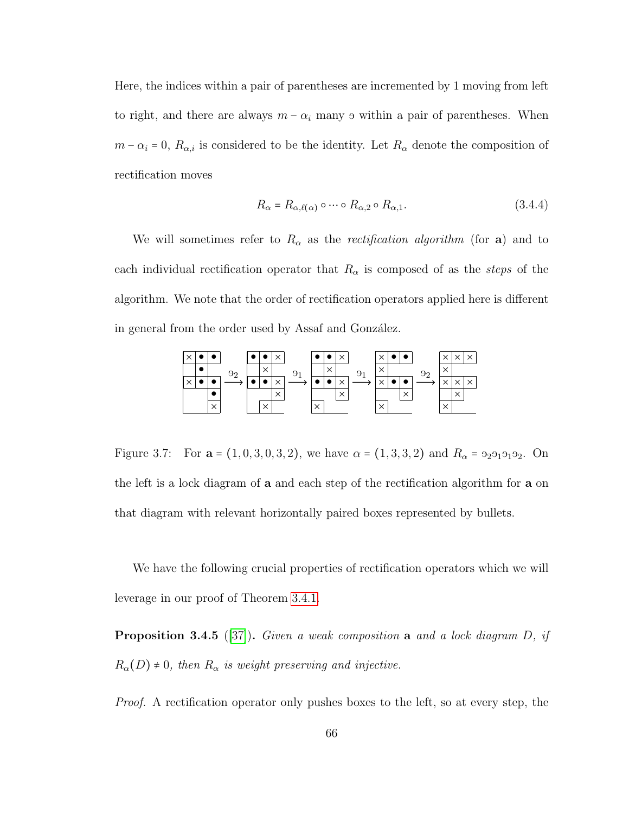Here, the indices within a pair of parentheses are incremented by 1 moving from left to right, and there are always  $m - \alpha_i$  many  $\theta$  within a pair of parentheses. When  $m - \alpha_i = 0$ ,  $R_{\alpha,i}$  is considered to be the identity. Let  $R_{\alpha}$  denote the composition of rectification moves

$$
R_{\alpha} = R_{\alpha,\ell(\alpha)} \circ \cdots \circ R_{\alpha,2} \circ R_{\alpha,1}.
$$
 (3.4.4)

We will sometimes refer to  $R_{\alpha}$  as the *rectification algorithm* (for a) and to each individual rectification operator that  $R_{\alpha}$  is composed of as the *steps* of the algorithm. We note that the order of rectification operators applied here is different in general from the order used by Assaf and González.



Figure 3.7: For  $\mathbf{a} = (1, 0, 3, 0, 3, 2)$ , we have  $\alpha = (1, 3, 3, 2)$  and  $R_{\alpha} = 92919192$ . On the left is a lock diagram of a and each step of the rectification algorithm for a on that diagram with relevant horizontally paired boxes represented by bullets.

We have the following crucial properties of rectification operators which we will leverage in our proof of Theorem [3.4.1.](#page-69-0)

**Proposition 3.4.5** ([\[37\]](#page-94-2)). Given a weak composition a and a lock diagram  $D$ , if  $R_{\alpha}(D) \neq 0$ , then  $R_{\alpha}$  is weight preserving and injective.

Proof. A rectification operator only pushes boxes to the left, so at every step, the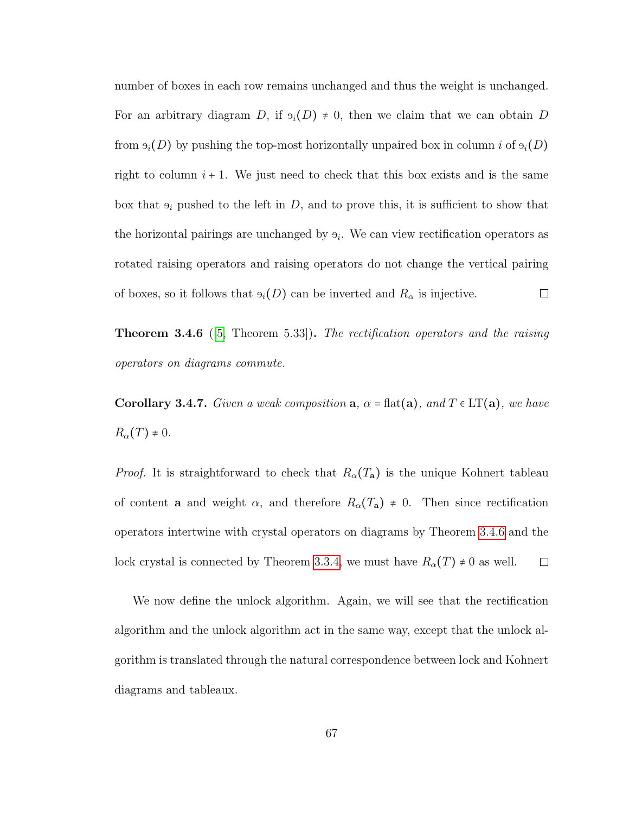number of boxes in each row remains unchanged and thus the weight is unchanged. For an arbitrary diagram D, if  $\mathfrak{h}_i(D) \neq 0$ , then we claim that we can obtain D from  $\Theta_i(D)$  by pushing the top-most horizontally unpaired box in column i of  $\Theta_i(D)$ right to column  $i + 1$ . We just need to check that this box exists and is the same box that  $\Theta_i$  pushed to the left in D, and to prove this, it is sufficient to show that the horizontal pairings are unchanged by  $\mathfrak{s}_i$ . We can view rectification operators as rotated raising operators and raising operators do not change the vertical pairing of boxes, so it follows that  $\Theta_i(D)$  can be inverted and  $R_\alpha$  is injective.  $\Box$ 

<span id="page-72-0"></span>**Theorem 3.4.6** ([\[5,](#page-90-0) Theorem 5.33]). The rectification operators and the raising operators on diagrams commute.

<span id="page-72-1"></span>Corollary 3.4.7. Given a weak composition  $a, \alpha = \text{flat}(a), \text{ and } T \in LT(a), \text{ we have}$  $R_{\alpha}(T) \neq 0.$ 

*Proof.* It is straightforward to check that  $R_{\alpha}(T_{\mathbf{a}})$  is the unique Kohnert tableau of content **a** and weight  $\alpha$ , and therefore  $R_{\alpha}(T_{\mathbf{a}}) \neq 0$ . Then since rectification operators intertwine with crystal operators on diagrams by Theorem [3.4.6](#page-72-0) and the lock crystal is connected by Theorem [3.3.4,](#page-64-0) we must have  $R_{\alpha}(T) \neq 0$  as well.  $\Box$ 

We now define the unlock algorithm. Again, we will see that the rectification algorithm and the unlock algorithm act in the same way, except that the unlock algorithm is translated through the natural correspondence between lock and Kohnert diagrams and tableaux.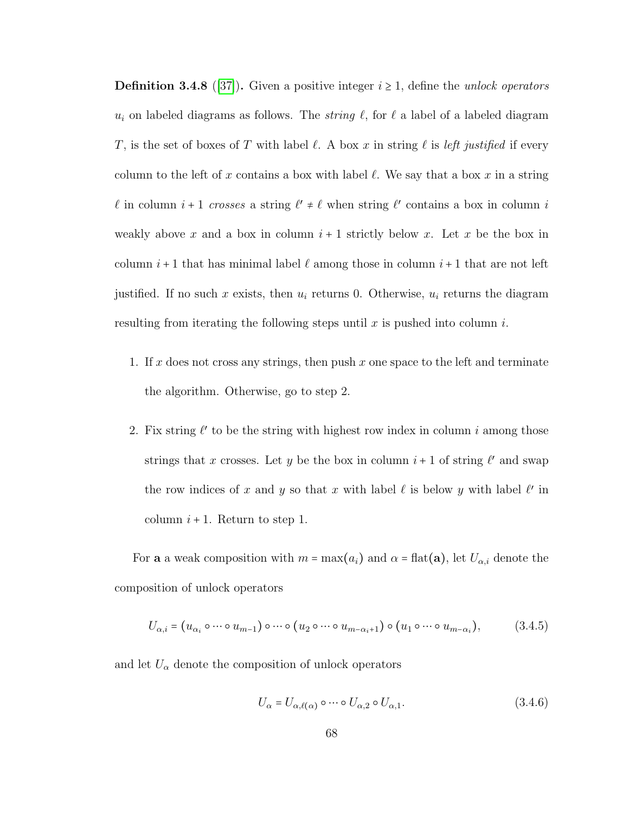**Definition 3.4.8** ([\[37\]](#page-94-0)). Given a positive integer  $i \ge 1$ , define the unlock operators  $u_i$  on labeled diagrams as follows. The *string*  $\ell$ , for  $\ell$  a label of a labeled diagram T, is the set of boxes of T with label  $\ell$ . A box x in string  $\ell$  is left justified if every column to the left of x contains a box with label  $\ell$ . We say that a box x in a string  $\ell$  in column  $i + 1$  crosses a string  $\ell' \neq \ell$  when string  $\ell'$  contains a box in column i weakly above x and a box in column  $i+1$  strictly below x. Let x be the box in column  $i + 1$  that has minimal label  $\ell$  among those in column  $i + 1$  that are not left justified. If no such x exists, then  $u_i$  returns 0. Otherwise,  $u_i$  returns the diagram resulting from iterating the following steps until x is pushed into column  $i$ .

- 1. If x does not cross any strings, then push x one space to the left and terminate the algorithm. Otherwise, go to step 2.
- 2. Fix string  $\ell'$  to be the string with highest row index in column i among those strings that x crosses. Let y be the box in column  $i + 1$  of string  $\ell'$  and swap the row indices of x and y so that x with label  $\ell$  is below y with label  $\ell'$  in column  $i + 1$ . Return to step 1.

For **a** a weak composition with  $m = \max(a_i)$  and  $\alpha = \text{flat}(\mathbf{a})$ , let  $U_{\alpha,i}$  denote the composition of unlock operators

$$
U_{\alpha,i} = (u_{\alpha_i} \circ \cdots \circ u_{m-1}) \circ \cdots \circ (u_2 \circ \cdots \circ u_{m-\alpha_i+1}) \circ (u_1 \circ \cdots \circ u_{m-\alpha_i}), \tag{3.4.5}
$$

and let  $U_{\alpha}$  denote the composition of unlock operators

$$
U_{\alpha} = U_{\alpha,\ell(\alpha)} \circ \cdots \circ U_{\alpha,2} \circ U_{\alpha,1}.
$$
 (3.4.6)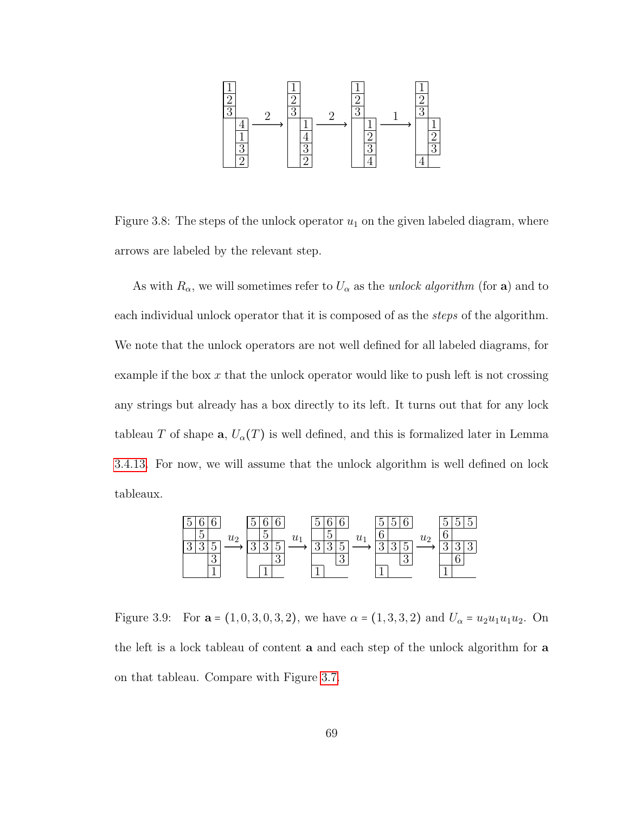

Figure 3.8: The steps of the unlock operator  $u_1$  on the given labeled diagram, where arrows are labeled by the relevant step.

As with  $R_{\alpha}$ , we will sometimes refer to  $U_{\alpha}$  as the unlock algorithm (for a) and to each individual unlock operator that it is composed of as the steps of the algorithm. We note that the unlock operators are not well defined for all labeled diagrams, for example if the box  $x$  that the unlock operator would like to push left is not crossing any strings but already has a box directly to its left. It turns out that for any lock tableau T of shape  $\mathbf{a}, U_{\alpha}(T)$  is well defined, and this is formalized later in Lemma [3.4.13.](#page-85-0) For now, we will assume that the unlock algorithm is well defined on lock tableaux.

<span id="page-74-0"></span>

Figure 3.9: For  $\mathbf{a} = (1, 0, 3, 0, 3, 2)$ , we have  $\alpha = (1, 3, 3, 2)$  and  $U_{\alpha} = u_2 u_1 u_1 u_2$ . On the left is a lock tableau of content a and each step of the unlock algorithm for a on that tableau. Compare with Figure [3.7.](#page-71-0)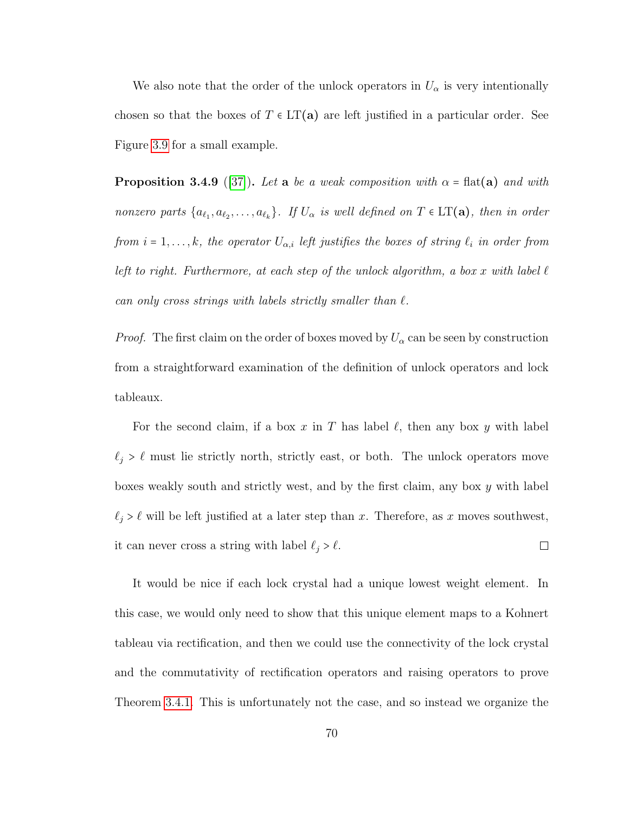We also note that the order of the unlock operators in  $U_{\alpha}$  is very intentionally chosen so that the boxes of  $T \in LT(a)$  are left justified in a particular order. See Figure [3.9](#page-74-0) for a small example.

<span id="page-75-0"></span>**Proposition 3.4.9** ([\[37\]](#page-94-0)). Let a be a weak composition with  $\alpha$  = flat(a) and with nonzero parts  $\{a_{\ell_1}, a_{\ell_2}, \ldots, a_{\ell_k}\}$ . If  $U_\alpha$  is well defined on  $T \in \mathrm{LT}(\mathbf{a})$ , then in order from  $i = 1, \ldots, k$ , the operator  $U_{\alpha,i}$  left justifies the boxes of string  $\ell_i$  in order from left to right. Furthermore, at each step of the unlock algorithm, a box x with label  $\ell$ can only cross strings with labels strictly smaller than  $\ell$ .

*Proof.* The first claim on the order of boxes moved by  $U_{\alpha}$  can be seen by construction from a straightforward examination of the definition of unlock operators and lock tableaux.

For the second claim, if a box x in T has label  $\ell$ , then any box y with label  $\ell_j > \ell$  must lie strictly north, strictly east, or both. The unlock operators move boxes weakly south and strictly west, and by the first claim, any box y with label  $\ell_j > \ell$  will be left justified at a later step than x. Therefore, as x moves southwest, it can never cross a string with label  $\ell_j > \ell.$  $\Box$ 

It would be nice if each lock crystal had a unique lowest weight element. In this case, we would only need to show that this unique element maps to a Kohnert tableau via rectification, and then we could use the connectivity of the lock crystal and the commutativity of rectification operators and raising operators to prove Theorem [3.4.1.](#page-69-0) This is unfortunately not the case, and so instead we organize the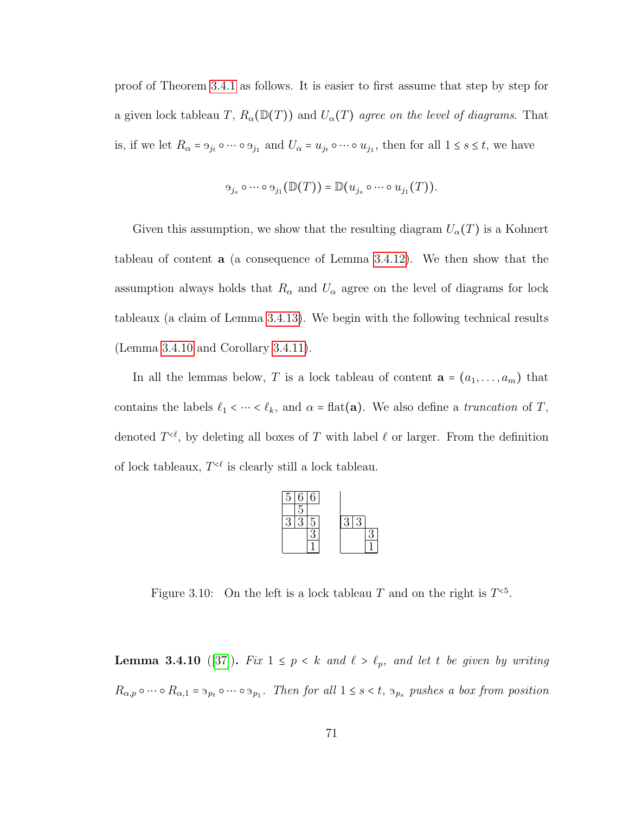proof of Theorem [3.4.1](#page-69-0) as follows. It is easier to first assume that step by step for a given lock tableau T,  $R_{\alpha}(\mathbb{D}(T))$  and  $U_{\alpha}(T)$  agree on the level of diagrams. That is, if we let  $R_{\alpha} = 9_{j_t} \circ \cdots \circ 9_{j_1}$  and  $U_{\alpha} = u_{j_t} \circ \cdots \circ u_{j_1}$ , then for all  $1 \le s \le t$ , we have

$$
\Theta_{j_s} \circ \cdots \circ \Theta_{j_1}(\mathbb{D}(T)) = \mathbb{D}(u_{j_s} \circ \cdots \circ u_{j_1}(T)).
$$

Given this assumption, we show that the resulting diagram  $U_{\alpha}(T)$  is a Kohnert tableau of content a (a consequence of Lemma [3.4.12\)](#page-79-0). We then show that the assumption always holds that  $R_{\alpha}$  and  $U_{\alpha}$  agree on the level of diagrams for lock tableaux (a claim of Lemma [3.4.13\)](#page-85-0). We begin with the following technical results (Lemma [3.4.10](#page-76-0) and Corollary [3.4.11\)](#page-78-0).

In all the lemmas below, T is a lock tableau of content  $\mathbf{a} = (a_1, \ldots, a_m)$  that contains the labels  $\ell_1 < \cdots < \ell_k$ , and  $\alpha = \text{flat}(\mathbf{a})$ . We also define a *truncation* of T, denoted  $T^{&\ell}$ , by deleting all boxes of T with label  $\ell$  or larger. From the definition of lock tableaux,  $T^{\leq \ell}$  is clearly still a lock tableau.



Figure 3.10: On the left is a lock tableau T and on the right is  $T<sup>{5}</sup>$ .

<span id="page-76-0"></span>**Lemma 3.4.10** ([\[37\]](#page-94-0)). Fix  $1 \leq p \leq k$  and  $\ell > \ell_p$ , and let t be given by writing  $R_{\alpha,p} \circ \cdots \circ R_{\alpha,1} = \mathfrak{H}_{p_t} \circ \cdots \circ \mathfrak{H}_{p_1}$ . Then for all  $1 \leq s < t$ ,  $\mathfrak{H}_{p_s}$  pushes a box from position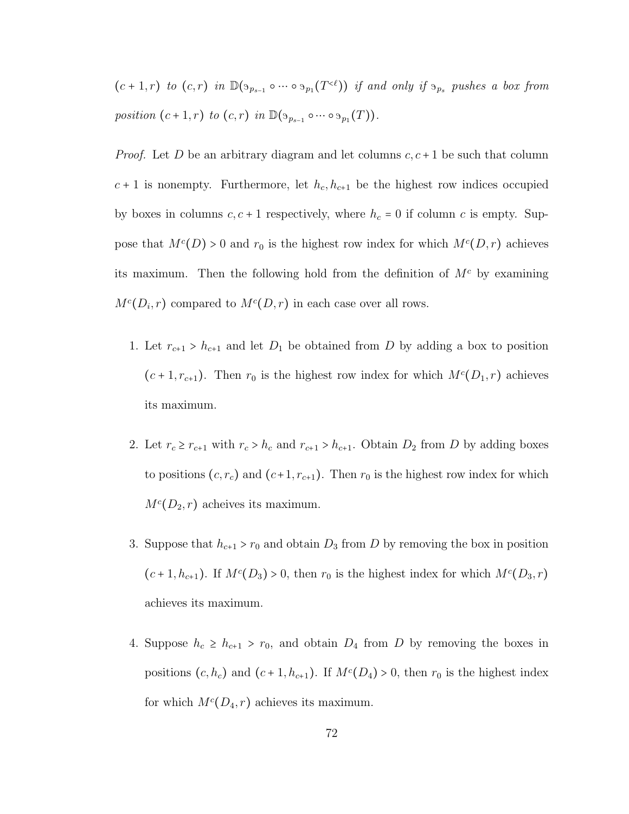$(c+1,r)$  to  $(c,r)$  in  $\mathbb{D}(S_{p_{s-1}} \circ \cdots \circ S_{p_1}(T^{\lt c}))$  if and only if  $S_{p_s}$  pushes a box from position  $(c+1,r)$  to  $(c,r)$  in  $\mathbb{D}(\mathfrak{g}_{p_{s-1}} \circ \cdots \circ \mathfrak{g}_{p_1}(T)).$ 

*Proof.* Let D be an arbitrary diagram and let columns  $c, c + 1$  be such that column  $c + 1$  is nonempty. Furthermore, let  $h_c, h_{c+1}$  be the highest row indices occupied by boxes in columns  $c, c+1$  respectively, where  $h_c = 0$  if column c is empty. Suppose that  $M<sup>c</sup>(D) > 0$  and  $r_0$  is the highest row index for which  $M<sup>c</sup>(D,r)$  achieves its maximum. Then the following hold from the definition of  $M<sup>c</sup>$  by examining  $M<sup>c</sup>(D<sub>i</sub>, r)$  compared to  $M<sup>c</sup>(D,r)$  in each case over all rows.

- 1. Let  $r_{c+1} > h_{c+1}$  and let  $D_1$  be obtained from D by adding a box to position  $(c+1, r_{c+1})$ . Then  $r_0$  is the highest row index for which  $M<sup>c</sup>(D_1, r)$  achieves its maximum.
- 2. Let  $r_c \ge r_{c+1}$  with  $r_c > h_c$  and  $r_{c+1} > h_{c+1}$ . Obtain  $D_2$  from D by adding boxes to positions  $(c, r_c)$  and  $(c+1, r_{c+1})$ . Then  $r_0$  is the highest row index for which  $M^{c}(D_2, r)$  acheives its maximum.
- 3. Suppose that  $h_{c+1} > r_0$  and obtain  $D_3$  from D by removing the box in position  $(c+1, h_{c+1})$ . If  $M<sup>c</sup>(D_3) > 0$ , then  $r_0$  is the highest index for which  $M<sup>c</sup>(D_3, r)$ achieves its maximum.
- 4. Suppose  $h_c \geq h_{c+1} > r_0$ , and obtain  $D_4$  from D by removing the boxes in positions  $(c, h_c)$  and  $(c + 1, h_{c+1})$ . If  $M<sup>c</sup>(D<sub>4</sub>) > 0$ , then  $r_0$  is the highest index for which  $M^c(D_4, r)$  achieves its maximum.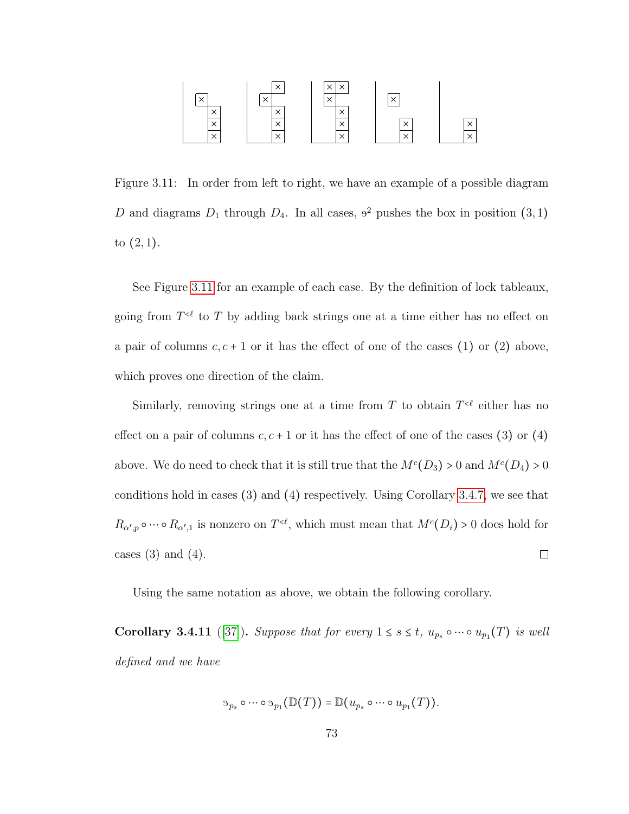<span id="page-78-1"></span>

Figure 3.11: In order from left to right, we have an example of a possible diagram D and diagrams  $D_1$  through  $D_4$ . In all cases,  $9^2$  pushes the box in position  $(3,1)$ to  $(2, 1)$ .

See Figure [3.11](#page-78-1) for an example of each case. By the definition of lock tableaux, going from  $T<sup>{\epsilon}</sup>$  to T by adding back strings one at a time either has no effect on a pair of columns  $c, c + 1$  or it has the effect of one of the cases (1) or (2) above, which proves one direction of the claim.

Similarly, removing strings one at a time from T to obtain  $T^{&\ell}$  either has no effect on a pair of columns  $c, c + 1$  or it has the effect of one of the cases (3) or (4) above. We do need to check that it is still true that the  $M<sup>c</sup>(D_3) > 0$  and  $M<sup>c</sup>(D_4) > 0$ conditions hold in cases (3) and (4) respectively. Using Corollary [3.4.7,](#page-72-1) we see that  $R_{\alpha',p} \circ \cdots \circ R_{\alpha',1}$  is nonzero on  $T^{<\ell}$ , which must mean that  $M^c(D_i) > 0$  does hold for cases  $(3)$  and  $(4)$ .  $\Box$ 

Using the same notation as above, we obtain the following corollary.

<span id="page-78-0"></span>**Corollary 3.4.11** ([\[37\]](#page-94-0)). Suppose that for every  $1 \leq s \leq t$ ,  $u_{p_s} \circ \cdots \circ u_{p_1}(T)$  is well defined and we have

$$
\mathfrak{p}_{p_s} \circ \cdots \circ \mathfrak{p}_1(\mathbb{D}(T)) = \mathbb{D}(u_{p_s} \circ \cdots \circ u_{p_1}(T)).
$$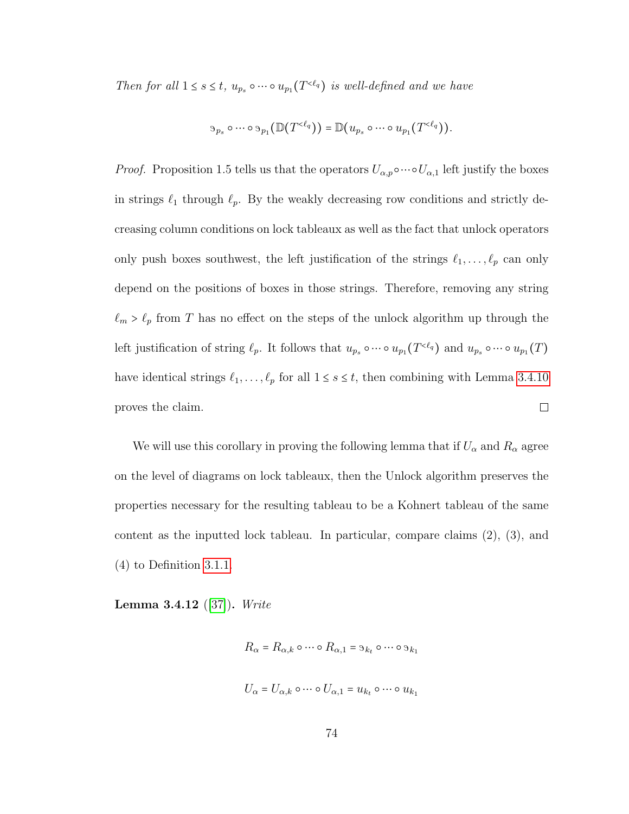Then for all  $1 \leq s \leq t$ ,  $u_{p_s} \circ \cdots \circ u_{p_1}(T^{<\ell_q})$  is well-defined and we have

$$
\mathfrak{D}_{p_s} \circ \cdots \circ \mathfrak{D}_{p_1}(\mathbb{D}(T^{\langle \ell_q \rangle}) = \mathbb{D}(u_{p_s} \circ \cdots \circ u_{p_1}(T^{\langle \ell_q \rangle}).
$$

*Proof.* Proposition 1.5 tells us that the operators  $U_{\alpha,p} \circ \cdots \circ U_{\alpha,1}$  left justify the boxes in strings  $\ell_1$  through  $\ell_p$ . By the weakly decreasing row conditions and strictly decreasing column conditions on lock tableaux as well as the fact that unlock operators only push boxes southwest, the left justification of the strings  $\ell_1, \ldots, \ell_p$  can only depend on the positions of boxes in those strings. Therefore, removing any string  $\ell_m > \ell_p$  from T has no effect on the steps of the unlock algorithm up through the left justification of string  $\ell_p$ . It follows that  $u_{p_s} \circ \cdots \circ u_{p_1}(T^{<\ell_q})$  and  $u_{p_s} \circ \cdots \circ u_{p_1}(T)$ have identical strings  $\ell_1, \ldots, \ell_p$  for all  $1 \leq s \leq t$ , then combining with Lemma [3.4.10](#page-76-0) proves the claim.  $\Box$ 

We will use this corollary in proving the following lemma that if  $U_{\alpha}$  and  $R_{\alpha}$  agree on the level of diagrams on lock tableaux, then the Unlock algorithm preserves the properties necessary for the resulting tableau to be a Kohnert tableau of the same content as the inputted lock tableau. In particular, compare claims (2), (3), and (4) to Definition [3.1.1.](#page-52-0)

<span id="page-79-0"></span>**Lemma 3.4.12** ([\[37\]](#page-94-0)). Write

 $R_{\alpha} = R_{\alpha,k} \circ \cdots \circ R_{\alpha,1} = \mathfrak{B}_{k_t} \circ \cdots \circ \mathfrak{B}_{k_1}$  $U_{\alpha} = U_{\alpha,k} \circ \cdots \circ U_{\alpha,1} = u_{k_t} \circ \cdots \circ u_{k_1}$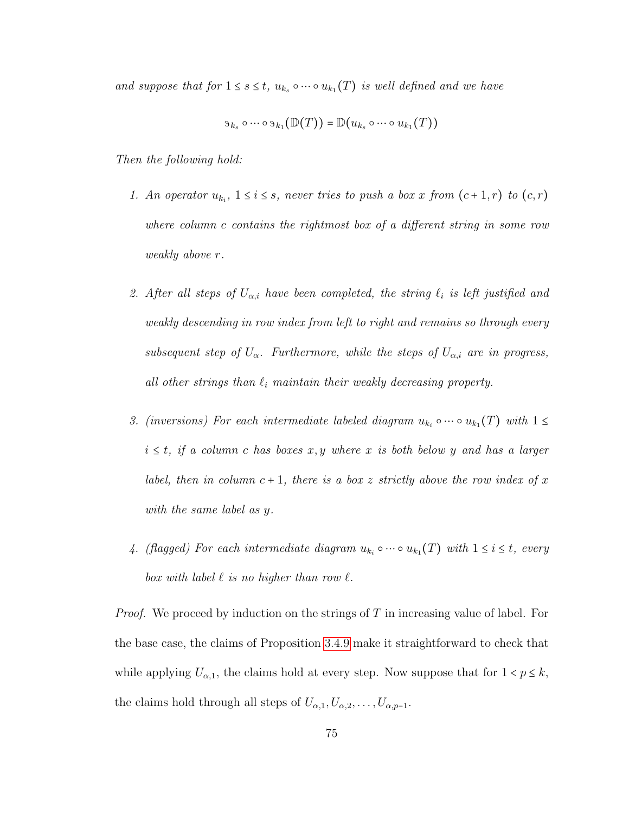and suppose that for  $1 \leq s \leq t$ ,  $u_{k_s} \circ \cdots \circ u_{k_1}(T)$  is well defined and we have

$$
\mathfrak{I}_{k_s} \circ \cdots \circ \mathfrak{I}_{k_1}(\mathbb{D}(T)) = \mathbb{D}(u_{k_s} \circ \cdots \circ u_{k_1}(T))
$$

Then the following hold:

- 1. An operator  $u_{k_i}$ ,  $1 \leq i \leq s$ , never tries to push a box x from  $(c+1,r)$  to  $(c,r)$ where column c contains the rightmost box of a different string in some row weakly above r.
- 2. After all steps of  $U_{\alpha,i}$  have been completed, the string  $\ell_i$  is left justified and weakly descending in row index from left to right and remains so through every subsequent step of  $U_{\alpha}$ . Furthermore, while the steps of  $U_{\alpha,i}$  are in progress, all other strings than  $\ell_i$  maintain their weakly decreasing property.
- 3. (inversions) For each intermediate labeled diagram  $u_{k_i} \circ \cdots \circ u_{k_1}(T)$  with  $1 \leq$  $i \leq t$ , if a column c has boxes x, y where x is both below y and has a larger label, then in column  $c + 1$ , there is a box z strictly above the row index of x with the same label as y.
- 4. (flagged) For each intermediate diagram  $u_{k_i} \circ \cdots \circ u_{k_1}(T)$  with  $1 \leq i \leq t$ , every box with label  $\ell$  is no higher than row  $\ell$ .

*Proof.* We proceed by induction on the strings of T in increasing value of label. For the base case, the claims of Proposition [3.4.9](#page-75-0) make it straightforward to check that while applying  $U_{\alpha,1}$ , the claims hold at every step. Now suppose that for  $1 < p \leq k$ , the claims hold through all steps of  $U_{\alpha,1}, U_{\alpha,2}, \ldots, U_{\alpha,p-1}$ .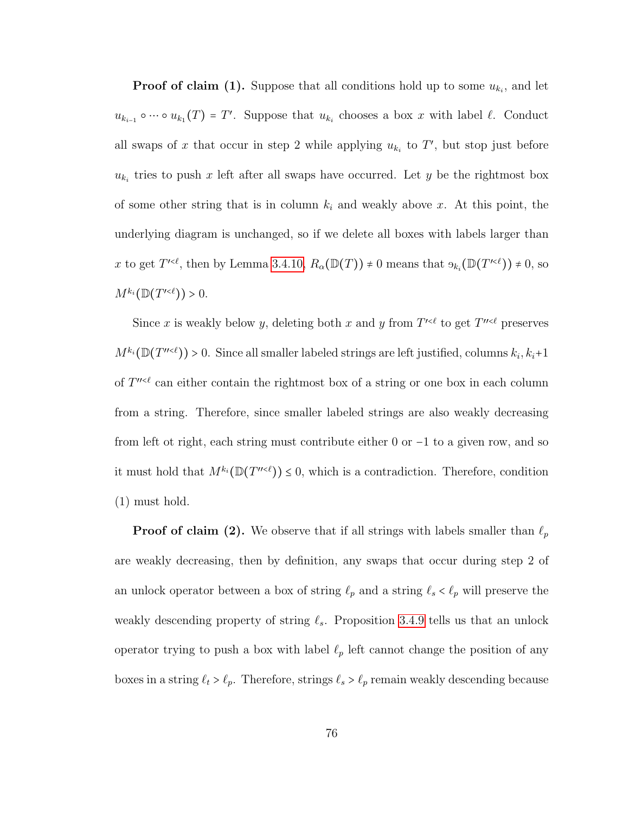**Proof of claim (1).** Suppose that all conditions hold up to some  $u_{k_i}$ , and let  $u_{k_{i-1}} \circ \cdots \circ u_{k_1}(T) = T'.$  Suppose that  $u_{k_i}$  chooses a box x with label  $\ell$ . Conduct all swaps of x that occur in step 2 while applying  $u_{k_i}$  to T', but stop just before  $u_{k_i}$  tries to push x left after all swaps have occurred. Let y be the rightmost box of some other string that is in column  $k_i$  and weakly above x. At this point, the underlying diagram is unchanged, so if we delete all boxes with labels larger than x to get  $T^{\prime\leq\ell}$ , then by Lemma [3.4.10,](#page-76-0)  $R_{\alpha}(\mathbb{D}(T)) \neq 0$  means that  $\Theta_{k_i}(\mathbb{D}(T^{\prime\leq\ell})) \neq 0$ , so  $M^{k_i}(\mathbb{D}(T^{\prime<\ell}))>0.$ 

Since x is weakly below y, deleting both x and y from  $T^{\prime\leq\ell}$  to get  $T^{\prime\prime\leq\ell}$  preserves  $M^{k_i}(\mathbb{D}(T^{n\ltimes\ell}))>0$ . Since all smaller labeled strings are left justified, columns  $k_i, k_i+1$ of  $T^{\prime\prime\prime\ell}$  can either contain the rightmost box of a string or one box in each column from a string. Therefore, since smaller labeled strings are also weakly decreasing from left ot right, each string must contribute either 0 or <sup>−</sup>1 to a given row, and so it must hold that  $M^{k_i}(\mathbb{D}(T^{n\lt \ell})) \leq 0$ , which is a contradiction. Therefore, condition (1) must hold.

**Proof of claim (2).** We observe that if all strings with labels smaller than  $\ell_p$ are weakly decreasing, then by definition, any swaps that occur during step 2 of an unlock operator between a box of string  $\ell_p$  and a string  $\ell_s < \ell_p$  will preserve the weakly descending property of string  $\ell_s$ . Proposition [3.4.9](#page-75-0) tells us that an unlock operator trying to push a box with label  $\ell_p$  left cannot change the position of any boxes in a string  $\ell_t > \ell_p$ . Therefore, strings  $\ell_s > \ell_p$  remain weakly descending because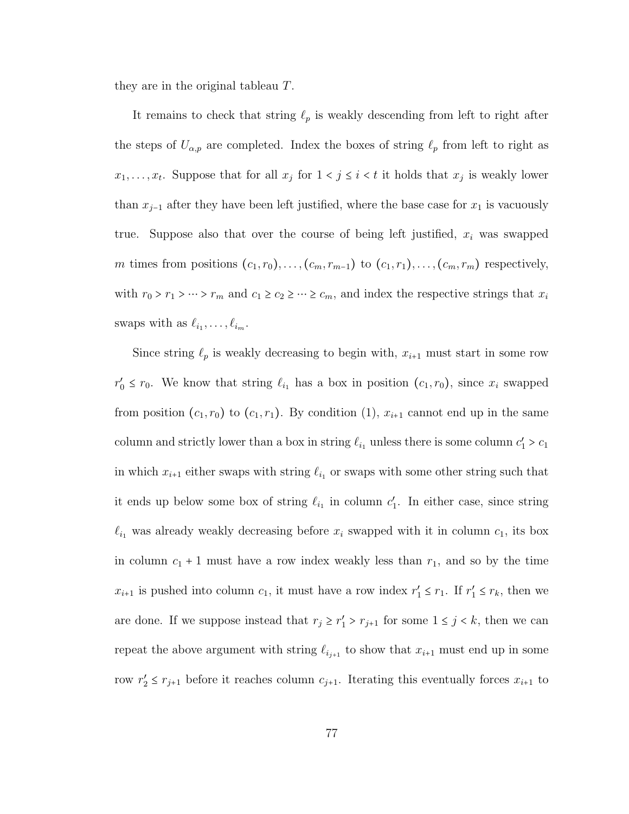they are in the original tableau T.

It remains to check that string  $\ell_p$  is weakly descending from left to right after the steps of  $U_{\alpha,p}$  are completed. Index the boxes of string  $\ell_p$  from left to right as  $x_1, \ldots, x_t$ . Suppose that for all  $x_j$  for  $1 \le j \le i \le t$  it holds that  $x_j$  is weakly lower than  $x_{j-1}$  after they have been left justified, where the base case for  $x_1$  is vacuously true. Suppose also that over the course of being left justified,  $x_i$  was swapped m times from positions  $(c_1, r_0), \ldots, (c_m, r_{m-1})$  to  $(c_1, r_1), \ldots, (c_m, r_m)$  respectively, with  $r_0 > r_1 > \cdots > r_m$  and  $c_1 \geq c_2 \geq \cdots \geq c_m$ , and index the respective strings that  $x_i$ swaps with as  $\ell_{i_1}, \ldots, \ell_{i_m}$ .

Since string  $\ell_p$  is weakly decreasing to begin with,  $x_{i+1}$  must start in some row  $r'_0 \n\t\leq r_0$ . We know that string  $\ell_{i_1}$  has a box in position  $(c_1, r_0)$ , since  $x_i$  swapped from position  $(c_1, r_0)$  to  $(c_1, r_1)$ . By condition  $(1), x_{i+1}$  cannot end up in the same column and strictly lower than a box in string  $\ell_{i_1}$  unless there is some column  $c'_1 > c_1$ in which  $x_{i+1}$  either swaps with string  $\ell_{i_1}$  or swaps with some other string such that it ends up below some box of string  $\ell_{i_1}$  in column  $c'_1$ . In either case, since string  $\ell_{i_1}$  was already weakly decreasing before  $x_i$  swapped with it in column  $c_1$ , its box in column  $c_1 + 1$  must have a row index weakly less than  $r_1$ , and so by the time  $x_{i+1}$  is pushed into column  $c_1$ , it must have a row index  $r'_1 \leq r_1$ . If  $r'_1 \leq r_k$ , then we are done. If we suppose instead that  $r_j \ge r'_1 > r_{j+1}$  for some  $1 \le j \le k$ , then we can repeat the above argument with string  $\ell_{i_{j+1}}$  to show that  $x_{i+1}$  must end up in some row  $r'_2 \leq r_{j+1}$  before it reaches column  $c_{j+1}$ . Iterating this eventually forces  $x_{i+1}$  to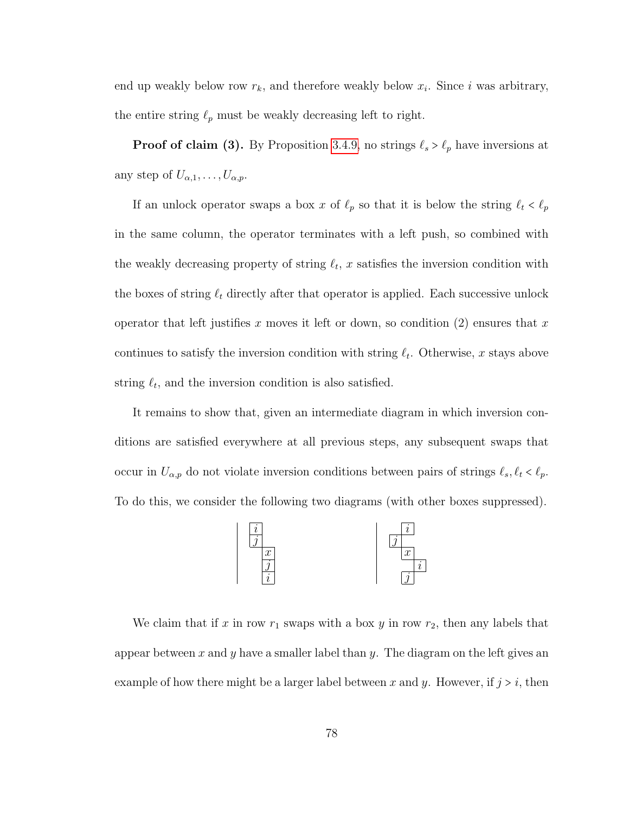end up weakly below row  $r_k$ , and therefore weakly below  $x_i$ . Since i was arbitrary, the entire string  $\ell_p$  must be weakly decreasing left to right.

**Proof of claim (3).** By Proposition [3.4.9,](#page-75-0) no strings  $\ell_s > \ell_p$  have inversions at any step of  $U_{\alpha,1},\ldots,U_{\alpha,p}$ .

If an unlock operator swaps a box x of  $\ell_p$  so that it is below the string  $\ell_t < \ell_p$ in the same column, the operator terminates with a left push, so combined with the weakly decreasing property of string  $\ell_t$ , x satisfies the inversion condition with the boxes of string  $\ell_t$  directly after that operator is applied. Each successive unlock operator that left justifies x moves it left or down, so condition  $(2)$  ensures that x continues to satisfy the inversion condition with string  $\ell_t$ . Otherwise, x stays above string  $\ell_t$ , and the inversion condition is also satisfied.

It remains to show that, given an intermediate diagram in which inversion conditions are satisfied everywhere at all previous steps, any subsequent swaps that occur in  $U_{\alpha,p}$  do not violate inversion conditions between pairs of strings  $\ell_s, \ell_t < \ell_p$ . To do this, we consider the following two diagrams (with other boxes suppressed).



We claim that if x in row  $r_1$  swaps with a box y in row  $r_2$ , then any labels that appear between x and y have a smaller label than y. The diagram on the left gives an example of how there might be a larger label between x and y. However, if  $j > i$ , then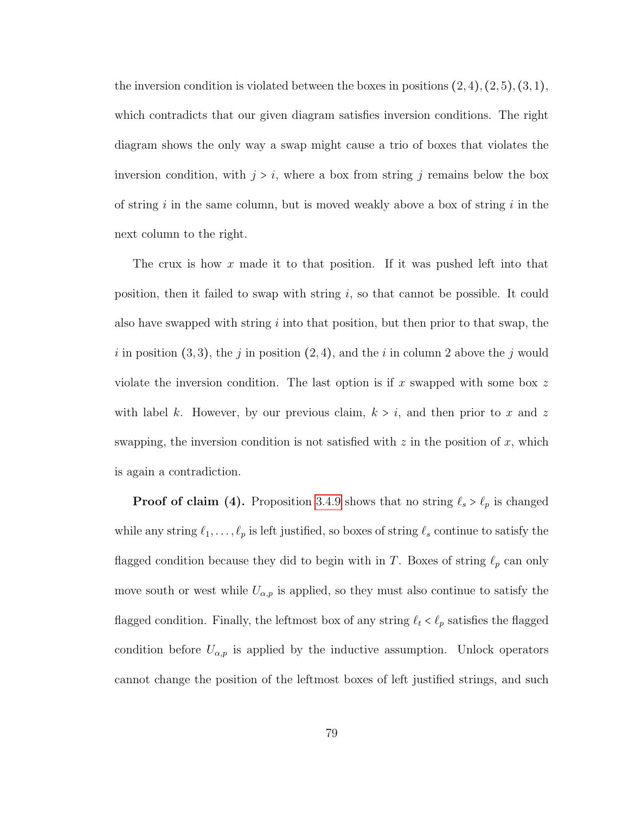the inversion condition is violated between the boxes in positions  $(2, 4)$ ,  $(2, 5)$ ,  $(3, 1)$ , which contradicts that our given diagram satisfies inversion conditions. The right diagram shows the only way a swap might cause a trio of boxes that violates the inversion condition, with  $j > i$ , where a box from string j remains below the box of string i in the same column, but is moved weakly above a box of string i in the next column to the right.

The crux is how x made it to that position. If it was pushed left into that position, then it failed to swap with string  $i$ , so that cannot be possible. It could also have swapped with string  $i$  into that position, but then prior to that swap, the i in position  $(3, 3)$ , the j in position  $(2, 4)$ , and the i in column 2 above the j would violate the inversion condition. The last option is if x swapped with some box z with label k. However, by our previous claim,  $k > i$ , and then prior to x and z swapping, the inversion condition is not satisfied with  $z$  in the position of  $x$ , which is again a contradiction.

**Proof of claim (4).** Proposition [3.4.9](#page-75-0) shows that no string  $\ell_s > \ell_p$  is changed while any string  $\ell_1, \ldots, \ell_p$  is left justified, so boxes of string  $\ell_s$  continue to satisfy the flagged condition because they did to begin with in T. Boxes of string  $\ell_p$  can only move south or west while  $U_{\alpha,p}$  is applied, so they must also continue to satisfy the flagged condition. Finally, the leftmost box of any string  $\ell_t < \ell_p$  satisfies the flagged condition before  $U_{\alpha,p}$  is applied by the inductive assumption. Unlock operators cannot change the position of the leftmost boxes of left justified strings, and such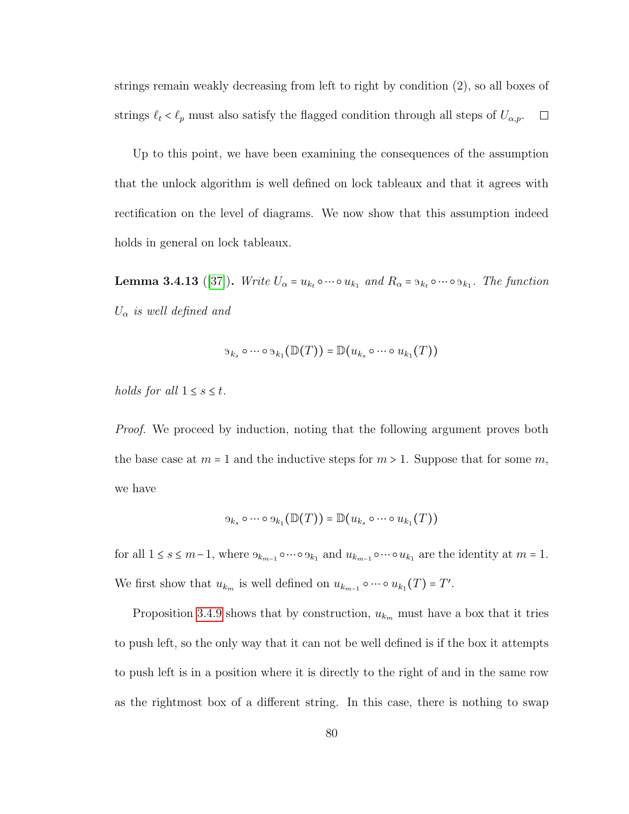strings remain weakly decreasing from left to right by condition (2), so all boxes of strings  $\ell_t < \ell_p$  must also satisfy the flagged condition through all steps of  $U_{\alpha,p}$ .  $\Box$ 

Up to this point, we have been examining the consequences of the assumption that the unlock algorithm is well defined on lock tableaux and that it agrees with rectification on the level of diagrams. We now show that this assumption indeed holds in general on lock tableaux.

<span id="page-85-0"></span>**Lemma 3.4.13** ([\[37\]](#page-94-0)). Write  $U_{\alpha} = u_{k_t} \circ \cdots \circ u_{k_1}$  and  $R_{\alpha} = s_{k_t} \circ \cdots \circ s_{k_1}$ . The function  $U_{\alpha}$  is well defined and

$$
\mathfrak{I}_{k_s} \circ \cdots \circ \mathfrak{I}_{k_1}(\mathbb{D}(T)) = \mathbb{D}(u_{k_s} \circ \cdots \circ u_{k_1}(T))
$$

holds for all  $1 \leq s \leq t$ .

*Proof.* We proceed by induction, noting that the following argument proves both the base case at  $m = 1$  and the inductive steps for  $m > 1$ . Suppose that for some m, we have

$$
\Theta_{k_s} \circ \cdots \circ \Theta_{k_1}(\mathbb{D}(T)) = \mathbb{D}(u_{k_s} \circ \cdots \circ u_{k_1}(T))
$$

for all  $1 \le s \le m-1$ , where  $\Theta_{k_{m-1}} \circ \cdots \circ \Theta_{k_1}$  and  $u_{k_{m-1}} \circ \cdots \circ u_{k_1}$  are the identity at  $m = 1$ . We first show that  $u_{k_m}$  is well defined on  $u_{k_{m-1}} \circ \cdots \circ u_{k_1}(T) = T'$ .

Proposition [3.4.9](#page-75-0) shows that by construction,  $u_{k_m}$  must have a box that it tries to push left, so the only way that it can not be well defined is if the box it attempts to push left is in a position where it is directly to the right of and in the same row as the rightmost box of a different string. In this case, there is nothing to swap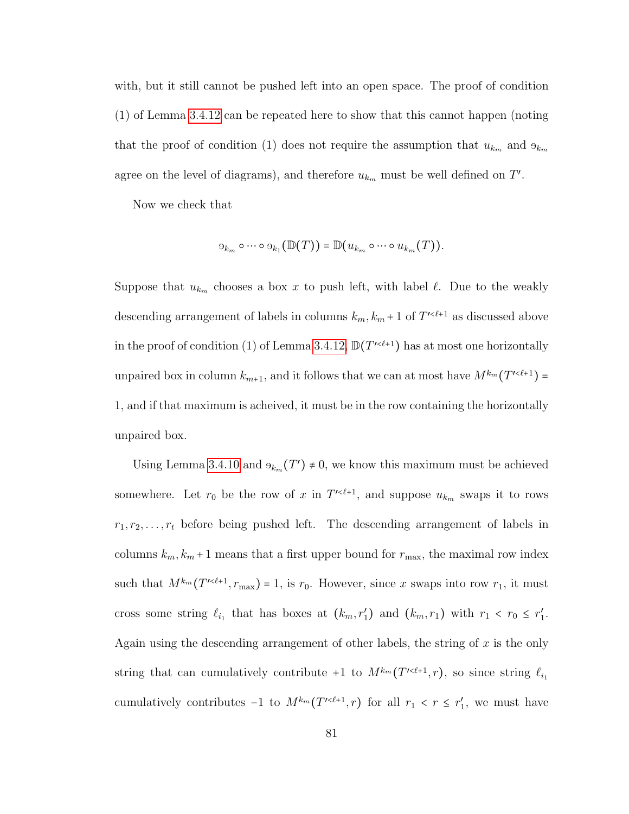with, but it still cannot be pushed left into an open space. The proof of condition (1) of Lemma [3.4.12](#page-79-0) can be repeated here to show that this cannot happen (noting that the proof of condition (1) does not require the assumption that  $u_{k_m}$  and  $\Theta_{k_m}$ agree on the level of diagrams), and therefore  $u_{k_m}$  must be well defined on T'.

Now we check that

$$
\Theta_{k_m} \circ \cdots \circ \Theta_{k_1}(\mathbb{D}(T)) = \mathbb{D}(u_{k_m} \circ \cdots \circ u_{k_m}(T)).
$$

Suppose that  $u_{k_m}$  chooses a box x to push left, with label  $\ell$ . Due to the weakly descending arrangement of labels in columns  $k_m, k_m + 1$  of  $T^{\prime \leq \ell+1}$  as discussed above in the proof of condition (1) of Lemma [3.4.12,](#page-79-0)  $\mathbb{D}(T'^{<\ell+1})$  has at most one horizontally unpaired box in column  $k_{m+1}$ , and it follows that we can at most have  $M^{k_m}(T^{\prime \leq \ell+1}) =$ 1, and if that maximum is acheived, it must be in the row containing the horizontally unpaired box.

Using Lemma [3.4.10](#page-76-0) and  $\Theta_{k_m}(T') \neq 0$ , we know this maximum must be achieved somewhere. Let  $r_0$  be the row of x in  $T^{1 \lt \ell+1}$ , and suppose  $u_{k_m}$  swaps it to rows  $r_1, r_2, \ldots, r_t$  before being pushed left. The descending arrangement of labels in columns  $k_m, k_m + 1$  means that a first upper bound for  $r_{\text{max}}$ , the maximal row index such that  $M^{k_m}(T^{\prime \leq \ell+1}, r_{\text{max}}) = 1$ , is  $r_0$ . However, since x swaps into row  $r_1$ , it must cross some string  $\ell_{i_1}$  that has boxes at  $(k_m, r'_1)$  and  $(k_m, r_1)$  with  $r_1 < r_0 \le r'_1$ . Again using the descending arrangement of other labels, the string of  $x$  is the only string that can cumulatively contribute  $+1$  to  $M^{k_m}(T^{<\ell+1},r)$ , so since string  $\ell_{i_1}$ cumulatively contributes  $-1$  to  $M^{k_m}(T^{\prime \leq \ell+1}, r)$  for all  $r_1 < r \leq r'_1$ , we must have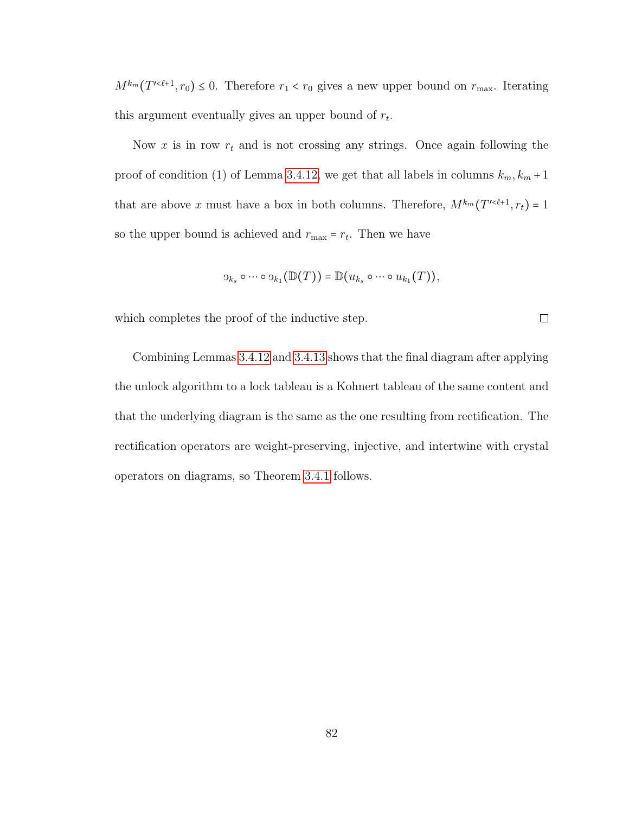$M^{k_m}(T^{\prime \leq \ell+1}, r_0) \leq 0$ . Therefore  $r_1 < r_0$  gives a new upper bound on  $r_{\text{max}}$ . Iterating this argument eventually gives an upper bound of  $r_t$ .

Now  $x$  is in row  $r_t$  and is not crossing any strings. Once again following the proof of condition (1) of Lemma [3.4.12,](#page-79-0) we get that all labels in columns  $k_m, k_m + 1$ that are above x must have a box in both columns. Therefore,  $M^{k_m}(T^{\prime\leq \ell+1}, r_t) = 1$ so the upper bound is achieved and  $r_{\text{max}} = r_t$ . Then we have

$$
\Theta_{k_s} \circ \cdots \circ \Theta_{k_1}(\mathbb{D}(T)) = \mathbb{D}(u_{k_s} \circ \cdots \circ u_{k_1}(T)),
$$

 $\Box$ 

which completes the proof of the inductive step.

Combining Lemmas [3.4.12](#page-79-0) and [3.4.13](#page-85-0) shows that the final diagram after applying the unlock algorithm to a lock tableau is a Kohnert tableau of the same content and that the underlying diagram is the same as the one resulting from rectification. The rectification operators are weight-preserving, injective, and intertwine with crystal operators on diagrams, so Theorem [3.4.1](#page-69-0) follows.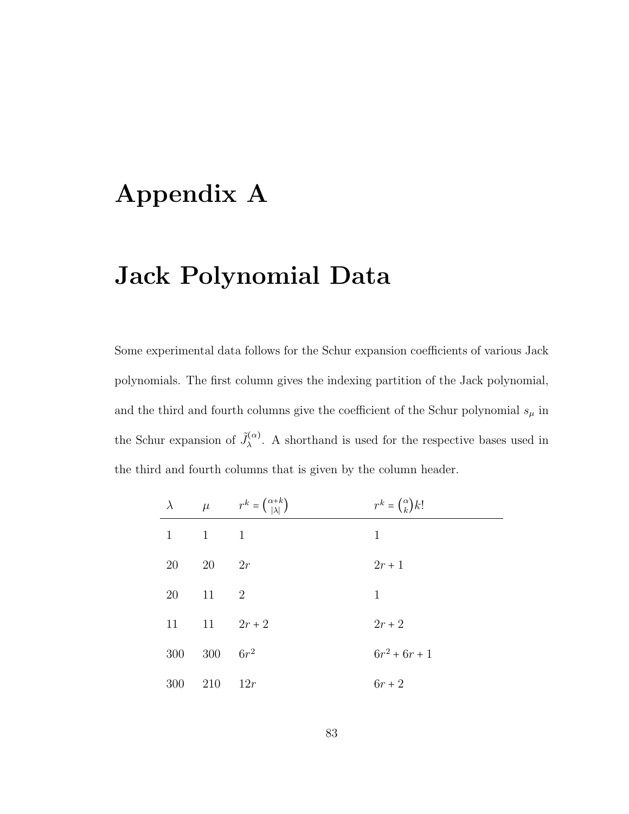## Appendix A

## Jack Polynomial Data

Some experimental data follows for the Schur expansion coefficients of various Jack polynomials. The first column gives the indexing partition of the Jack polynomial, and the third and fourth columns give the coefficient of the Schur polynomial  $s_\mu$  in the Schur expansion of  $\tilde{J}_{\lambda}^{(\alpha)}$ . A shorthand is used for the respective bases used in the third and fourth columns that is given by the column header.

| $\lambda$ | $\mu$        | $r^k = \binom{\alpha+k}{ \lambda }$ | $r^k = \binom{\alpha}{k} k!$ |
|-----------|--------------|-------------------------------------|------------------------------|
| 1         | $\mathbf{1}$ | 1                                   | 1                            |
| 20        | 20           | 2r                                  | $2r + 1$                     |
| 20        | 11           | $\overline{2}$                      | 1                            |
| 11        | 11           | $2r + 2$                            | $2r + 2$                     |
| 300       | 300          | $6r^2$                              | $6r^2 + 6r + 1$              |
| 300       | 210          | 12r                                 | $6r + 2$                     |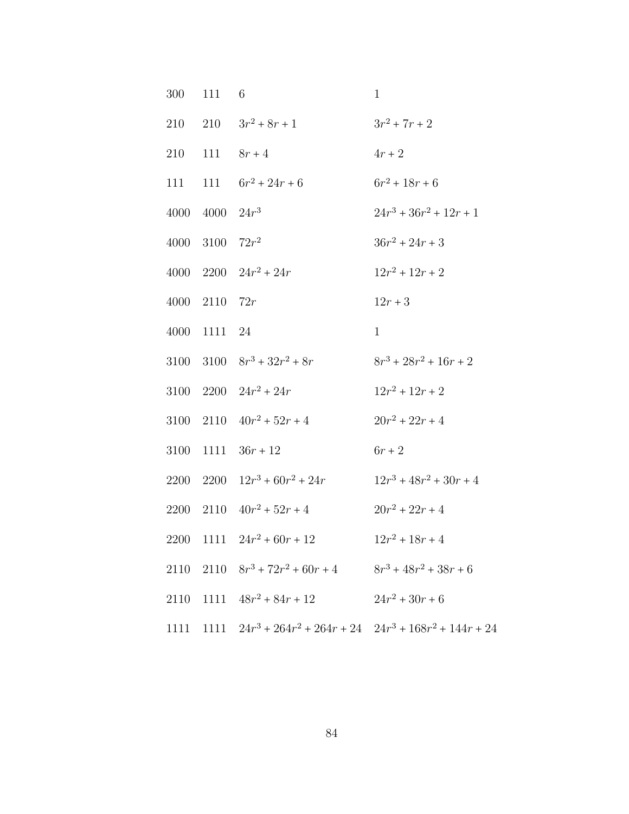| 300  | 111 6               |                                                                     | $\mathbf{1}$              |
|------|---------------------|---------------------------------------------------------------------|---------------------------|
|      |                     | 210 210 $3r^2 + 8r + 1$                                             | $3r^2 + 7r + 2$           |
| 210  |                     | 111 $8r + 4$                                                        | $4r+2$                    |
|      |                     | 111 111 $6r^2 + 24r + 6$                                            | $6r^2 + 18r + 6$          |
| 4000 | $4000 \quad 24r^3$  |                                                                     | $24r^3 + 36r^2 + 12r + 1$ |
| 4000 | 3100 $72r^2$        |                                                                     | $36r^2 + 24r + 3$         |
|      |                     | 4000 $2200 \t 24r^2 + 24r$                                          | $12r^2 + 12r + 2$         |
|      | $4000$ $2110$ $72r$ |                                                                     | $12r + 3$                 |
|      | 4000 1111 24        |                                                                     | $\mathbf{1}$              |
|      |                     | 3100 $3100 \t 8r^3 + 32r^2 + 8r$                                    | $8r^3 + 28r^2 + 16r + 2$  |
|      |                     | 3100 $2200 \t 24r^2 + 24r$                                          | $12r^2 + 12r + 2$         |
|      |                     | 3100 2110 $40r^2 + 52r + 4$                                         | $20r^2 + 22r + 4$         |
| 3100 |                     | $1111 \quad 36r + 12$                                               | $6r+2$                    |
|      |                     | 2200 $2200 \t 12r^3 + 60r^2 + 24r$                                  | $12r^3 + 48r^2 + 30r + 4$ |
|      |                     | 2200 2110 $40r^2 + 52r + 4$                                         | $20r^2 + 22r + 4$         |
|      |                     | 2200 1111 $24r^2 + 60r + 12$                                        | $12r^2 + 18r + 4$         |
|      |                     | 2110 2110 $8r^3 + 72r^2 + 60r + 4$ $8r^3 + 48r^2 + 38r + 6$         |                           |
|      |                     | 2110 1111 $48r^2 + 84r + 12$ $24r^2 + 30r + 6$                      |                           |
|      |                     | 1111 1111 $24r^3 + 264r^2 + 264r + 24$ $24r^3 + 168r^2 + 144r + 24$ |                           |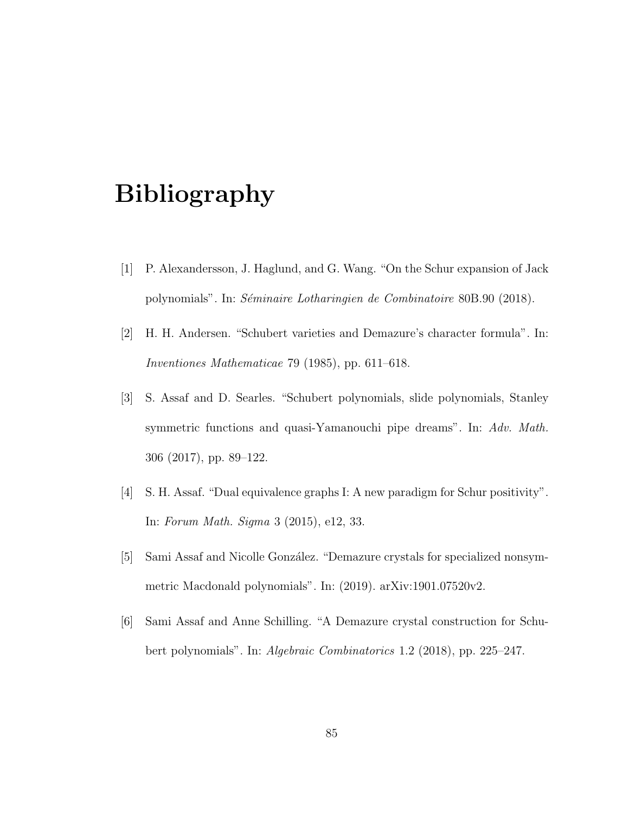## Bibliography

- [1] P. Alexandersson, J. Haglund, and G. Wang. "On the Schur expansion of Jack polynomials". In: Séminaire Lotharingien de Combinatoire 80B.90 (2018).
- [2] H. H. Andersen. "Schubert varieties and Demazure's character formula". In: Inventiones Mathematicae 79 (1985), pp. 611–618.
- [3] S. Assaf and D. Searles. "Schubert polynomials, slide polynomials, Stanley symmetric functions and quasi-Yamanouchi pipe dreams". In: Adv. Math. 306 (2017), pp. 89–122.
- [4] S. H. Assaf. "Dual equivalence graphs I: A new paradigm for Schur positivity". In: Forum Math. Sigma 3 (2015), e12, 33.
- <span id="page-90-0"></span>[5] Sami Assaf and Nicolle González. "Demazure crystals for specialized nonsymmetric Macdonald polynomials". In: (2019). arXiv:1901.07520v2.
- [6] Sami Assaf and Anne Schilling. "A Demazure crystal construction for Schubert polynomials". In: Algebraic Combinatorics 1.2 (2018), pp. 225–247.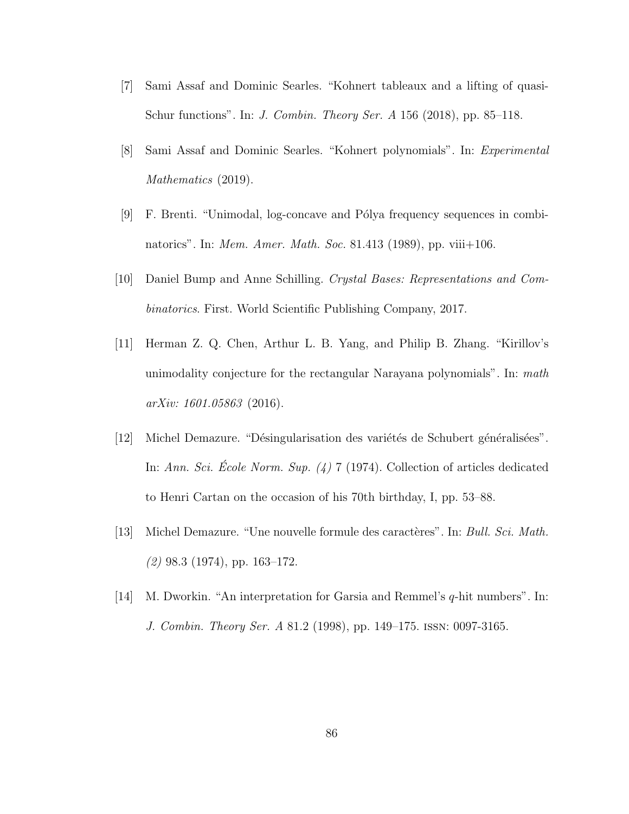- [7] Sami Assaf and Dominic Searles. "Kohnert tableaux and a lifting of quasi-Schur functions". In: J. Combin. Theory Ser. A 156 (2018), pp. 85–118.
- [8] Sami Assaf and Dominic Searles. "Kohnert polynomials". In: Experimental Mathematics  $(2019)$ .
- [9] F. Brenti. "Unimodal, log-concave and Pólya frequency sequences in combinatorics". In: *Mem. Amer. Math. Soc.* 81.413 (1989), pp. viii+106.
- [10] Daniel Bump and Anne Schilling. Crystal Bases: Representations and Combinatorics. First. World Scientific Publishing Company, 2017.
- [11] Herman Z. Q. Chen, Arthur L. B. Yang, and Philip B. Zhang. "Kirillov's unimodality conjecture for the rectangular Narayana polynomials". In: math arXiv: 1601.05863 (2016).
- [12] Michel Demazure. "Désingularisation des variétés de Schubert généralisées". In: Ann. Sci. Ecole Norm. Sup.  $(4)$  7 (1974). Collection of articles dedicated to Henri Cartan on the occasion of his 70th birthday, I, pp. 53–88.
- [13] Michel Demazure. "Une nouvelle formule des caractères". In: Bull. Sci. Math.  $(2)$  98.3 (1974), pp. 163–172.
- [14] M. Dworkin. "An interpretation for Garsia and Remmel's q-hit numbers". In: J. Combin. Theory Ser. A 81.2 (1998), pp. 149–175. issn: 0097-3165.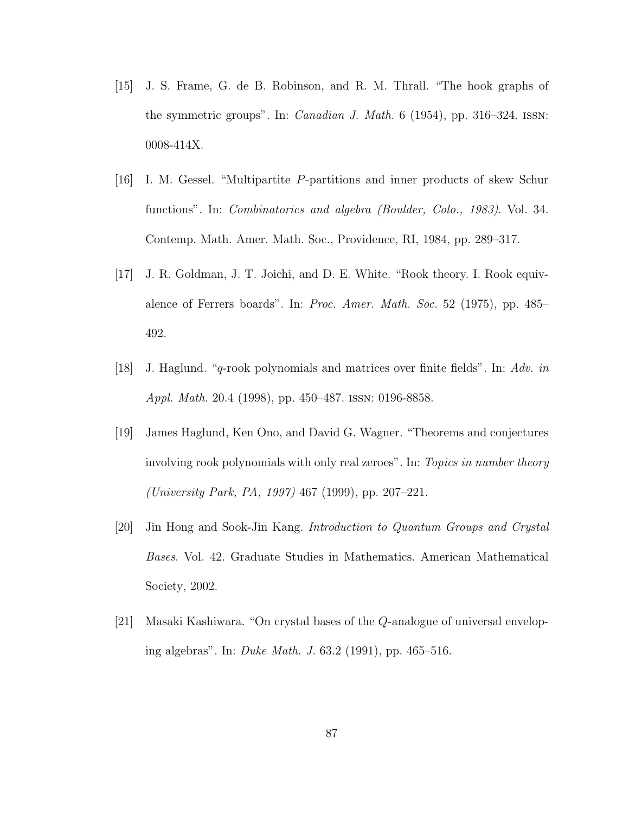- [15] J. S. Frame, G. de B. Robinson, and R. M. Thrall. "The hook graphs of the symmetric groups". In: Canadian J. Math. 6 (1954), pp. 316–324. issn: 0008-414X.
- [16] I. M. Gessel. "Multipartite P-partitions and inner products of skew Schur functions". In: Combinatorics and algebra (Boulder, Colo., 1983). Vol. 34. Contemp. Math. Amer. Math. Soc., Providence, RI, 1984, pp. 289–317.
- [17] J. R. Goldman, J. T. Joichi, and D. E. White. "Rook theory. I. Rook equivalence of Ferrers boards". In: Proc. Amer. Math. Soc. 52 (1975), pp. 485– 492.
- [18] J. Haglund. "q-rook polynomials and matrices over finite fields". In: Adv. in Appl. Math. 20.4 (1998), pp. 450–487. issn: 0196-8858.
- [19] James Haglund, Ken Ono, and David G. Wagner. "Theorems and conjectures involving rook polynomials with only real zeroes". In: Topics in number theory (University Park, PA, 1997) 467 (1999), pp. 207–221.
- [20] Jin Hong and Sook-Jin Kang. Introduction to Quantum Groups and Crystal Bases. Vol. 42. Graduate Studies in Mathematics. American Mathematical Society, 2002.
- [21] Masaki Kashiwara. "On crystal bases of the Q-analogue of universal enveloping algebras". In: Duke Math. J. 63.2 (1991), pp. 465–516.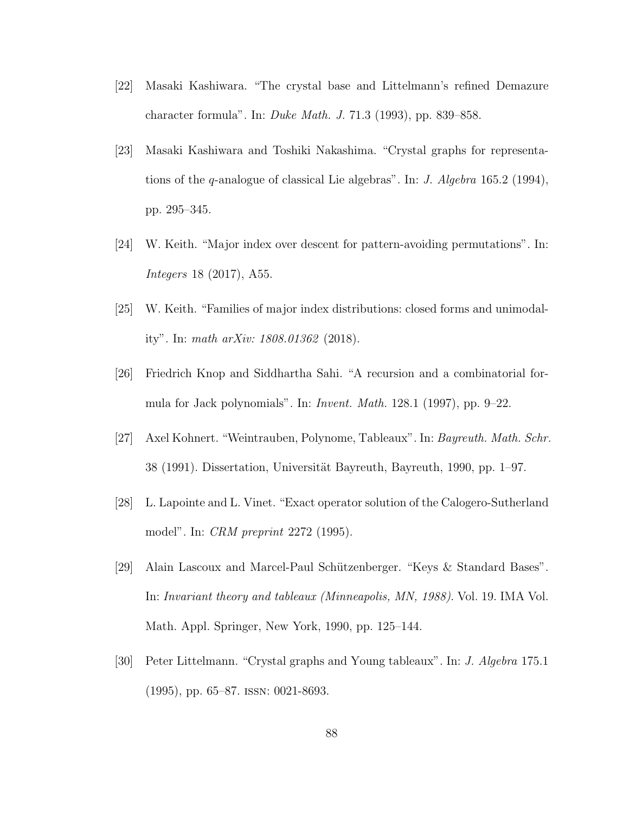- [22] Masaki Kashiwara. "The crystal base and Littelmann's refined Demazure character formula". In: Duke Math. J. 71.3 (1993), pp. 839–858.
- [23] Masaki Kashiwara and Toshiki Nakashima. "Crystal graphs for representations of the q-analogue of classical Lie algebras". In: J. Algebra 165.2 (1994), pp. 295–345.
- [24] W. Keith. "Major index over descent for pattern-avoiding permutations". In: Integers 18 (2017), A55.
- [25] W. Keith. "Families of major index distributions: closed forms and unimodality". In: math arXiv: 1808.01362 (2018).
- [26] Friedrich Knop and Siddhartha Sahi. "A recursion and a combinatorial formula for Jack polynomials". In: Invent. Math. 128.1 (1997), pp. 9–22.
- [27] Axel Kohnert. "Weintrauben, Polynome, Tableaux". In: Bayreuth. Math. Schr. 38 (1991). Dissertation, Universität Bayreuth, Bayreuth, 1990, pp. 1–97.
- [28] L. Lapointe and L. Vinet. "Exact operator solution of the Calogero-Sutherland model". In: CRM preprint 2272 (1995).
- [29] Alain Lascoux and Marcel-Paul Schützenberger. "Keys & Standard Bases". In: Invariant theory and tableaux (Minneapolis, MN, 1988). Vol. 19. IMA Vol. Math. Appl. Springer, New York, 1990, pp. 125–144.
- [30] Peter Littelmann. "Crystal graphs and Young tableaux". In: J. Algebra 175.1 (1995), pp. 65–87. issn: 0021-8693.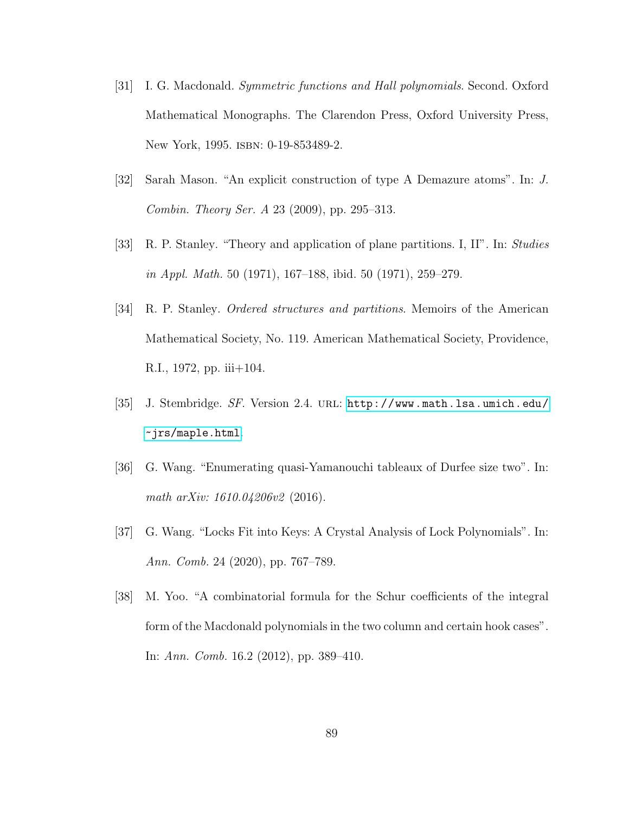- [31] I. G. Macdonald. Symmetric functions and Hall polynomials. Second. Oxford Mathematical Monographs. The Clarendon Press, Oxford University Press, New York, 1995. ISBN: 0-19-853489-2.
- [32] Sarah Mason. "An explicit construction of type A Demazure atoms". In: J. Combin. Theory Ser. A 23 (2009), pp. 295–313.
- [33] R. P. Stanley. "Theory and application of plane partitions. I, II". In: Studies in Appl. Math. 50 (1971), 167–188, ibid. 50 (1971), 259–279.
- [34] R. P. Stanley. Ordered structures and partitions. Memoirs of the American Mathematical Society, No. 119. American Mathematical Society, Providence, R.I., 1972, pp. iii+104.
- [35] J. Stembridge. SF. Version 2.4. url: [http://www.math.lsa.umich.edu/](http://www.math.lsa.umich.edu/~jrs/maple.html) [~jrs/maple.html](http://www.math.lsa.umich.edu/~jrs/maple.html).
- [36] G. Wang. "Enumerating quasi-Yamanouchi tableaux of Durfee size two". In: math arXiv: 1610.04206v2 (2016).
- <span id="page-94-0"></span>[37] G. Wang. "Locks Fit into Keys: A Crystal Analysis of Lock Polynomials". In: Ann. Comb. 24 (2020), pp. 767–789.
- [38] M. Yoo. "A combinatorial formula for the Schur coefficients of the integral form of the Macdonald polynomials in the two column and certain hook cases". In: Ann. Comb. 16.2 (2012), pp. 389–410.